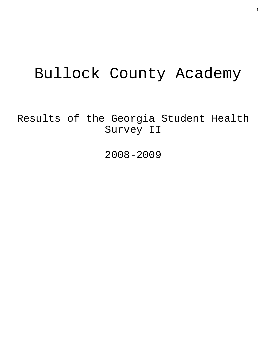# Bullock County Academy

Results of the Georgia Student Health Survey II

2008-2009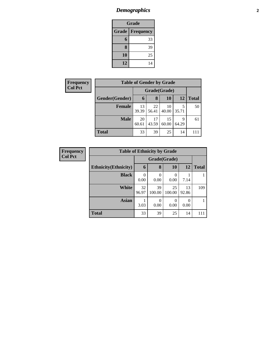## *Demographics* **2**

| <b>Grade</b>              |    |  |  |  |  |
|---------------------------|----|--|--|--|--|
| Grade<br><b>Frequency</b> |    |  |  |  |  |
| 6                         | 33 |  |  |  |  |
| 8                         | 39 |  |  |  |  |
| 10                        | 25 |  |  |  |  |
| 12                        | 14 |  |  |  |  |

| <b>Frequency</b> | <b>Table of Gender by Grade</b> |              |             |             |            |              |  |
|------------------|---------------------------------|--------------|-------------|-------------|------------|--------------|--|
| <b>Col Pct</b>   |                                 | Grade(Grade) |             |             |            |              |  |
|                  | Gender(Gender)                  | 6            | 8           | 10          | 12         | <b>Total</b> |  |
|                  | <b>Female</b>                   | 13<br>39.39  | 22<br>56.41 | 10<br>40.00 | 5<br>35.71 | 50           |  |
|                  | <b>Male</b>                     | 20<br>60.61  | 17<br>43.59 | 15<br>60.00 | 9<br>64.29 | 61           |  |
|                  | <b>Total</b>                    | 33           | 39          | 25          | 14         |              |  |

| <b>Frequency</b> | <b>Table of Ethnicity by Grade</b> |                  |                  |              |             |              |
|------------------|------------------------------------|------------------|------------------|--------------|-------------|--------------|
| <b>Col Pct</b>   |                                    |                  | Grade(Grade)     |              |             |              |
|                  | <b>Ethnicity</b> (Ethnicity)       | 6                | 8                | 10           | 12          | <b>Total</b> |
|                  | <b>Black</b>                       | $\Omega$<br>0.00 | $\Omega$<br>0.00 | 0<br>0.00    | 7.14        |              |
|                  | <b>White</b>                       | 32<br>96.97      | 39<br>100.00     | 25<br>100.00 | 13<br>92.86 | 109          |
|                  | Asian                              | 3.03             | $\Omega$<br>0.00 | 0<br>0.00    | 0<br>0.00   |              |
|                  | <b>Total</b>                       | 33               | 39               | 25           | 14          | 111          |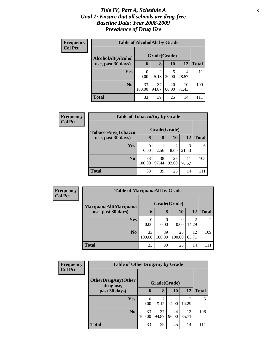#### *Title IV, Part A, Schedule A* **3** *Goal 1: Ensure that all schools are drug-free Baseline Data: Year 2008-2009 Prevalence of Drug Use*

| <b>Frequency</b><br><b>Col Pct</b> | <b>Table of AlcoholAlt by Grade</b> |                  |              |             |             |              |  |  |
|------------------------------------|-------------------------------------|------------------|--------------|-------------|-------------|--------------|--|--|
|                                    | AlcoholAlt(Alcohol                  |                  | Grade(Grade) |             |             |              |  |  |
|                                    | use, past 30 days)                  | 6                | 8            | 10          | 12          | <b>Total</b> |  |  |
|                                    | <b>Yes</b>                          | $\theta$<br>0.00 | 2<br>5.13    | 5<br>20.00  | 4<br>28.57  |              |  |  |
|                                    | N <sub>0</sub>                      | 33<br>100.00     | 37<br>94.87  | 20<br>80.00 | 10<br>71.43 | 100          |  |  |
|                                    | <b>Total</b>                        | 33               | 39           | 25          | 14          |              |  |  |

| <b>Frequency</b> | <b>Table of TobaccoAny by Grade</b> |              |              |             |             |               |  |
|------------------|-------------------------------------|--------------|--------------|-------------|-------------|---------------|--|
| <b>Col Pct</b>   | TobaccoAny(Tobacco                  |              | Grade(Grade) |             |             |               |  |
|                  | use, past 30 days)                  | 6            | 8            | 10          | 12          | <b>Total</b>  |  |
|                  | <b>Yes</b>                          | 0.00         | 2.56         | 2<br>8.00   | 3<br>21.43  | 6             |  |
|                  | N <sub>o</sub>                      | 33<br>100.00 | 38<br>97.44  | 23<br>92.00 | 11<br>78.57 | 105           |  |
|                  | <b>Total</b>                        | 33           | 39           | 25          | 14          | $\mathbf{11}$ |  |

| Frequency<br><b>Col Pct</b> | <b>Table of MarijuanaAlt by Grade</b> |              |              |                  |                         |                |  |
|-----------------------------|---------------------------------------|--------------|--------------|------------------|-------------------------|----------------|--|
|                             | MarijuanaAlt(Marijuana                | Grade(Grade) |              |                  |                         |                |  |
|                             | use, past 30 days)                    | h            | 8            | 10               | 12                      | <b>Total</b>   |  |
|                             | <b>Yes</b>                            | 0.00         | 0.00         | $\Omega$<br>0.00 | $\overline{c}$<br>14.29 | $\mathfrak{D}$ |  |
|                             | N <sub>o</sub>                        | 33<br>100.00 | 39<br>100.00 | 25<br>100.00     | 12<br>85.71             | 109            |  |
|                             | Total                                 | 33           | 39           | 25               | 14                      |                |  |

| <b>Frequency</b> | <b>Table of OtherDrugAny by Grade</b>  |                  |              |             |                         |              |
|------------------|----------------------------------------|------------------|--------------|-------------|-------------------------|--------------|
| <b>Col Pct</b>   | <b>OtherDrugAny(Other</b><br>drug use, |                  | Grade(Grade) |             |                         |              |
|                  | past 30 days)                          | 6                | 8            | 10          | 12                      | <b>Total</b> |
|                  | <b>Yes</b>                             | $\Omega$<br>0.00 | 2<br>5.13    | 4.00        | $\overline{2}$<br>14.29 | 5            |
|                  | N <sub>o</sub>                         | 33<br>100.00     | 37<br>94.87  | 24<br>96.00 | 12<br>85.71             | 106          |
|                  | <b>Total</b>                           | 33               | 39           | 25          | 14                      | 111          |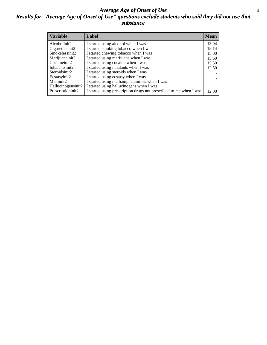#### *Average Age of Onset of Use* **4** *Results for "Average Age of Onset of Use" questions exclude students who said they did not use that substance*

| <b>Variable</b>    | Label                                                              | <b>Mean</b> |
|--------------------|--------------------------------------------------------------------|-------------|
| Alcoholinit2       | I started using alcohol when I was                                 | 13.94       |
| Cigarettesinit2    | I started smoking tobacco when I was                               | 15.14       |
| Smokelessinit2     | I started chewing tobacco when I was                               | 15.00       |
| Marijuanainit2     | I started using marijuana when I was                               | 15.60       |
| Cocaineinit2       | I started using cocaine when I was                                 | 15.50       |
| Inhalantsinit2     | I started using inhalants when I was                               | 12.50       |
| Steroidsinit2      | I started using steroids when I was                                |             |
| Ecstasyinit2       | I started using ecstasy when I was                                 |             |
| Methinit2          | I started using methamphetamines when I was                        |             |
| Hallucinogensinit2 | I started using hallucinogens when I was                           |             |
| Prescriptioninit2  | I started using prescription drugs not prescribed to me when I was | 12.00       |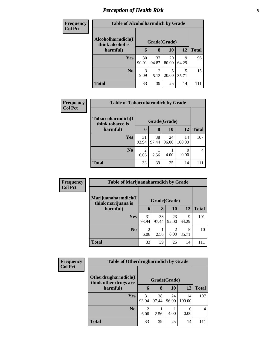### *Perception of Health Risk* **5**

| <b>Frequency</b> | <b>Table of Alcoholharmdich by Grade</b> |             |                        |             |            |              |
|------------------|------------------------------------------|-------------|------------------------|-------------|------------|--------------|
| <b>Col Pct</b>   | Alcoholharmdich(I<br>think alcohol is    |             | Grade(Grade)           |             |            |              |
|                  | harmful)                                 | 6           | 8                      | <b>10</b>   | 12         | <b>Total</b> |
|                  | <b>Yes</b>                               | 30<br>90.91 | 37<br>94.87            | 20<br>80.00 | 9<br>64.29 | 96           |
|                  | N <sub>o</sub>                           | 3<br>9.09   | $\overline{2}$<br>5.13 | 5<br>20.00  | 5<br>35.71 | 15           |
|                  | <b>Total</b>                             | 33          | 39                     | 25          | 14         | 111          |

| Frequency      | <b>Table of Tobaccoharmdich by Grade</b> |                        |              |             |              |              |  |  |
|----------------|------------------------------------------|------------------------|--------------|-------------|--------------|--------------|--|--|
| <b>Col Pct</b> | Tobaccoharmdich(I<br>think tobacco is    |                        | Grade(Grade) |             |              |              |  |  |
|                | harmful)                                 | 6                      | 8            | 10          | 12           | <b>Total</b> |  |  |
|                | <b>Yes</b>                               | 31<br>93.94            | 38<br>97.44  | 24<br>96.00 | 14<br>100.00 | 107          |  |  |
|                | N <sub>0</sub>                           | $\overline{c}$<br>6.06 | 2.56         | 4.00        | 0.00         | 4            |  |  |
|                | <b>Total</b>                             | 33                     | 39           | 25          | 14           |              |  |  |

| Frequency      | <b>Table of Marijuanaharmdich by Grade</b> |             |              |                        |            |              |
|----------------|--------------------------------------------|-------------|--------------|------------------------|------------|--------------|
| <b>Col Pct</b> | Marijuanaharmdich(I<br>think marijuana is  |             | Grade(Grade) |                        |            |              |
|                | harmful)                                   | 6           | 8            | 10                     | 12         | <b>Total</b> |
|                | <b>Yes</b>                                 | 31<br>93.94 | 38<br>97.44  | 23<br>92.00            | 9<br>64.29 | 101          |
|                | N <sub>0</sub>                             | 2<br>6.06   | 2.56         | $\mathfrak{D}$<br>8.00 | 5<br>35.71 | 10           |
|                | <b>Total</b>                               | 33          | 39           | 25                     | 14         | 111          |

| Frequency      | <b>Table of Otherdrugharmdich by Grade</b>   |                        |              |             |              |                |
|----------------|----------------------------------------------|------------------------|--------------|-------------|--------------|----------------|
| <b>Col Pct</b> | Otherdrugharmdich(I<br>think other drugs are |                        | Grade(Grade) |             |              |                |
|                | harmful)                                     | 6                      | 8            | 10          | 12           | <b>Total</b>   |
|                | <b>Yes</b>                                   | 31<br>93.94            | 38<br>97.44  | 24<br>96.00 | 14<br>100.00 | 107            |
|                | N <sub>0</sub>                               | $\overline{2}$<br>6.06 | 2.56         | 4.00        | 0.00         | $\overline{4}$ |
|                | <b>Total</b>                                 | 33                     | 39           | 25          | 14           | 111            |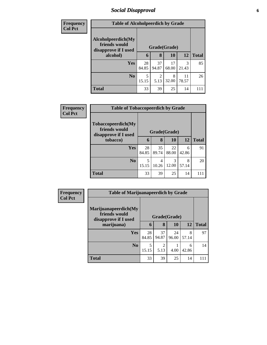### *Social Disapproval* **6**

| <b>Frequency</b> | <b>Table of Alcoholpeerdich by Grade</b>                    |             |                        |              |             |              |  |
|------------------|-------------------------------------------------------------|-------------|------------------------|--------------|-------------|--------------|--|
| <b>Col Pct</b>   |                                                             |             |                        |              |             |              |  |
|                  | Alcoholpeerdich(My<br>friends would<br>disapprove if I used |             |                        | Grade(Grade) |             |              |  |
|                  | alcohol)                                                    | 6           | 8                      | <b>10</b>    | <b>12</b>   | <b>Total</b> |  |
|                  | Yes                                                         | 28<br>84.85 | 37<br>94.87            | 17<br>68.00  | 3<br>21.43  | 85           |  |
|                  | N <sub>0</sub>                                              | 5<br>15.15  | $\mathfrak{D}$<br>5.13 | 8<br>32.00   | 11<br>78.57 | 26           |  |
|                  | <b>Total</b>                                                | 33          | 39                     | 25           | 14          |              |  |

| <b>Frequency</b> | <b>Table of Tobaccopeerdich by Grade</b>                    |             |              |             |            |              |  |
|------------------|-------------------------------------------------------------|-------------|--------------|-------------|------------|--------------|--|
| <b>Col Pct</b>   | Tobaccopeerdich(My<br>friends would<br>disapprove if I used |             | Grade(Grade) |             |            |              |  |
|                  | tobacco)                                                    | 6           | 8            | 10          | 12         | <b>Total</b> |  |
|                  | <b>Yes</b>                                                  | 28<br>84.85 | 35<br>89.74  | 22<br>88.00 | 6<br>42.86 | 91           |  |
|                  | N <sub>o</sub>                                              | 5<br>15.15  | 4<br>10.26   | 3<br>12.00  | 8<br>57.14 | 20           |  |
|                  | <b>Total</b>                                                | 33          | 39           | 25          | 14         | 111          |  |

| <b>Frequency</b> |                                                               | <b>Table of Marijuanapeerdich by Grade</b> |              |             |            |              |  |  |
|------------------|---------------------------------------------------------------|--------------------------------------------|--------------|-------------|------------|--------------|--|--|
| <b>Col Pct</b>   | Marijuanapeerdich(My<br>friends would<br>disapprove if I used |                                            | Grade(Grade) |             |            |              |  |  |
|                  | marijuana)                                                    | 6                                          | 8            | <b>10</b>   | 12         | <b>Total</b> |  |  |
|                  | <b>Yes</b>                                                    | 28<br>84.85                                | 37<br>94.87  | 24<br>96.00 | 8<br>57.14 | 97           |  |  |
|                  | N <sub>o</sub>                                                | 5<br>15.15                                 | 2<br>5.13    | 4.00        | 6<br>42.86 | 14           |  |  |
|                  | <b>Total</b>                                                  | 33                                         | 39           | 25          | 14         | 111          |  |  |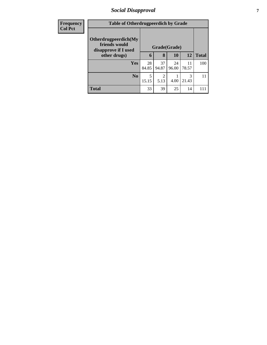### *Social Disapproval* **7**

| <b>Frequency</b> |                                                               | <b>Table of Otherdrugpeerdich by Grade</b> |              |             |             |              |  |  |
|------------------|---------------------------------------------------------------|--------------------------------------------|--------------|-------------|-------------|--------------|--|--|
| <b>Col Pct</b>   | Otherdrugpeerdich(My<br>friends would<br>disapprove if I used |                                            | Grade(Grade) |             |             |              |  |  |
|                  | other drugs)                                                  | 6                                          | 8            | <b>10</b>   | <b>12</b>   | <b>Total</b> |  |  |
|                  | Yes                                                           | 28<br>84.85                                | 37<br>94.87  | 24<br>96.00 | 11<br>78.57 | 100          |  |  |
|                  | N <sub>0</sub>                                                | 5<br>15.15                                 | 2<br>5.13    | 4.00        | 3<br>21.43  | 11           |  |  |
|                  | <b>Total</b>                                                  | 33                                         | 39           | 25          | 14          | 111          |  |  |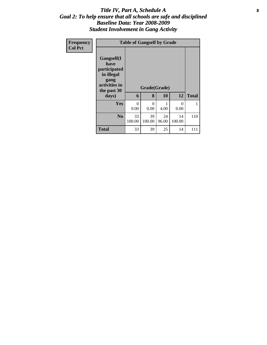#### Title IV, Part A, Schedule A **8** *Goal 2: To help ensure that all schools are safe and disciplined Baseline Data: Year 2008-2009 Student Involvement in Gang Activity*

| <b>Frequency</b> |                                                                                                   |                  | <b>Table of Gangself by Grade</b> |             |              |              |
|------------------|---------------------------------------------------------------------------------------------------|------------------|-----------------------------------|-------------|--------------|--------------|
| <b>Col Pct</b>   | Gangself(I<br>have<br>participated<br>in illegal<br>gang<br>activities in<br>the past 30<br>days) | 6                | Grade(Grade)<br>8                 | 10          | 12           | <b>Total</b> |
|                  | Yes                                                                                               | $\Omega$<br>0.00 | $\Omega$<br>0.00                  | 4.00        | 0<br>0.00    |              |
|                  | N <sub>0</sub>                                                                                    | 33<br>100.00     | 39<br>100.00                      | 24<br>96.00 | 14<br>100.00 | 110          |
|                  | <b>Total</b>                                                                                      | 33               | 39                                | 25          | 14           | 111          |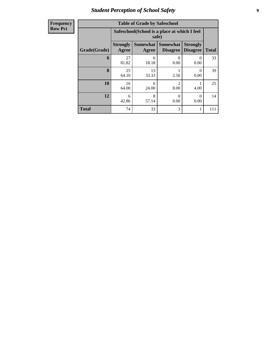### *Student Perception of School Safety* **9**

| <b>Frequency</b><br>Row Pct |
|-----------------------------|
|                             |

| <b>Table of Grade by Safeschool</b> |                          |                                                        |                                    |                                    |              |  |  |  |  |  |
|-------------------------------------|--------------------------|--------------------------------------------------------|------------------------------------|------------------------------------|--------------|--|--|--|--|--|
|                                     |                          | Safeschool (School is a place at which I feel<br>safe) |                                    |                                    |              |  |  |  |  |  |
| Grade(Grade)                        | <b>Strongly</b><br>Agree | <b>Somewhat</b><br>Agree                               | <b>Somewhat</b><br><b>Disagree</b> | <b>Strongly</b><br><b>Disagree</b> | <b>Total</b> |  |  |  |  |  |
| 6                                   | 27<br>81.82              | 6<br>18.18                                             | $\Omega$<br>0.00                   | $\mathbf{\Omega}$<br>0.00          | 33           |  |  |  |  |  |
| 8                                   | 25<br>64.10              | 13<br>33.33                                            | 2.56                               | ∩<br>0.00                          | 39           |  |  |  |  |  |
| 10                                  | 16<br>64.00              | 6<br>24.00                                             | $\mathfrak{D}$<br>8.00             | 4.00                               | 25           |  |  |  |  |  |
| 12                                  | 6<br>42.86               | 8<br>0<br>0<br>57.14<br>0.00<br>0.00                   |                                    |                                    |              |  |  |  |  |  |
| <b>Total</b>                        | 74                       | 33                                                     | 3                                  |                                    |              |  |  |  |  |  |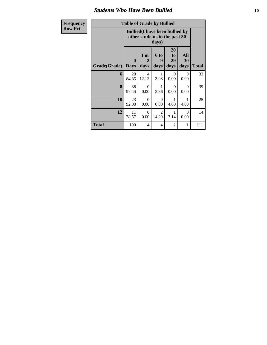#### *Students Who Have Been Bullied* **10**

| <b>Frequency</b> | <b>Table of Grade by Bullied</b> |      |       |                                                                         |                      |
|------------------|----------------------------------|------|-------|-------------------------------------------------------------------------|----------------------|
| <b>Row Pct</b>   |                                  |      | days) | <b>Bullied</b> (I have been bullied by<br>other students in the past 30 |                      |
|                  |                                  | 1 or | 6 to  | 20<br>to<br>29                                                          | Al<br>3 <sub>0</sub> |

|              |                                 | $\mathbf{u}\mathbf{u}$ , $\mathbf{v}$ |                   |                        |                   |              |  |  |  |  |
|--------------|---------------------------------|---------------------------------------|-------------------|------------------------|-------------------|--------------|--|--|--|--|
| Grade(Grade) | $\boldsymbol{0}$<br><b>Days</b> | 1 or<br>2<br>days                     | 6 to<br>9<br>days | 20<br>to<br>29<br>days | All<br>30<br>days | <b>Total</b> |  |  |  |  |
| 6            | 28<br>84.85                     | 4<br>12.12                            | 3.03              | $\theta$<br>0.00       | 0<br>0.00         | 33           |  |  |  |  |
| 8            | 38<br>97.44                     | $\Omega$<br>0.00                      | 2.56              | $\Omega$<br>0.00       | $\Omega$<br>0.00  | 39           |  |  |  |  |
| 10           | 23<br>92.00                     | $\Omega$<br>0.00                      | $\theta$<br>0.00  | 1<br>4.00              | 4.00              | 25           |  |  |  |  |
| 12           | 11<br>78.57                     | $\Omega$<br>0.00                      | 2<br>14.29        | 7.14                   | 0<br>0.00         | 14           |  |  |  |  |
| <b>Total</b> | 100                             | 4                                     | $\overline{4}$    | 2                      | 1                 | 111          |  |  |  |  |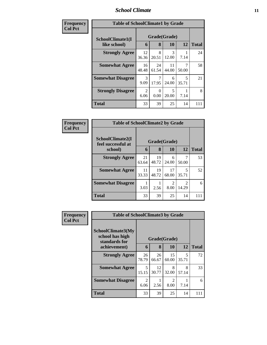#### *School Climate* **11**

| Frequency      | <b>Table of SchoolClimate1 by Grade</b> |              |                  |             |            |              |  |  |
|----------------|-----------------------------------------|--------------|------------------|-------------|------------|--------------|--|--|
| <b>Col Pct</b> | SchoolClimate1(I                        | Grade(Grade) |                  |             |            |              |  |  |
|                | like school)                            | 6            | 8                | 10          | 12         | <b>Total</b> |  |  |
|                | <b>Strongly Agree</b>                   | 12<br>36.36  | 8<br>20.51       | 3<br>12.00  | 7.14       | 24           |  |  |
|                | <b>Somewhat Agree</b>                   | 16<br>48.48  | 24<br>61.54      | 11<br>44.00 | 50.00      | 58           |  |  |
|                | <b>Somewhat Disagree</b>                | 3<br>9.09    | 17.95            | 6<br>24.00  | 5<br>35.71 | 21           |  |  |
|                | <b>Strongly Disagree</b>                | 2<br>6.06    | $\Omega$<br>0.00 | 5<br>20.00  | 7.14       | 8            |  |  |
|                | <b>Total</b>                            | 33           | 39               | 25          | 14         | 111          |  |  |

| <b>Frequency</b> |                                        | <b>Table of SchoolClimate2 by Grade</b> |             |                        |                        |              |  |  |  |
|------------------|----------------------------------------|-----------------------------------------|-------------|------------------------|------------------------|--------------|--|--|--|
| <b>Col Pct</b>   | SchoolClimate2(I<br>feel successful at | Grade(Grade)                            |             |                        |                        |              |  |  |  |
|                  | school)                                | 6                                       | 8           | 10                     | 12                     | <b>Total</b> |  |  |  |
|                  | <b>Strongly Agree</b>                  | 21<br>63.64                             | 19<br>48.72 | 6<br>24.00             | 50.00                  | 53           |  |  |  |
|                  | <b>Somewhat Agree</b>                  | 11<br>33.33                             | 19<br>48.72 | 17<br>68.00            | 5<br>35.71             | 52           |  |  |  |
|                  | <b>Somewhat Disagree</b>               | 3.03                                    | 2.56        | $\mathfrak{D}$<br>8.00 | $\mathcal{D}$<br>14.29 | 6            |  |  |  |
|                  | <b>Total</b>                           | 33                                      | 39          | 25                     | 14                     | 111          |  |  |  |

| <b>Frequency</b> | <b>Table of SchoolClimate3 by Grade</b>                                      |                        |                   |             |            |              |  |
|------------------|------------------------------------------------------------------------------|------------------------|-------------------|-------------|------------|--------------|--|
| <b>Col Pct</b>   | <b>SchoolClimate3(My</b><br>school has high<br>standards for<br>achievement) | 6                      | Grade(Grade)<br>8 | 10          | 12         | <b>Total</b> |  |
|                  | <b>Strongly Agree</b>                                                        | 26<br>78.79            | 26<br>66.67       | 15<br>60.00 | 5<br>35.71 | 72           |  |
|                  | <b>Somewhat Agree</b>                                                        | 5<br>15.15             | 12<br>30.77       | 8<br>32.00  | 8<br>57.14 | 33           |  |
|                  | <b>Somewhat Disagree</b>                                                     | $\overline{2}$<br>6.06 | 2.56              | 2<br>8.00   | 7.14       | 6            |  |
|                  | <b>Total</b>                                                                 | 33                     | 39                | 25          | 14         | 111          |  |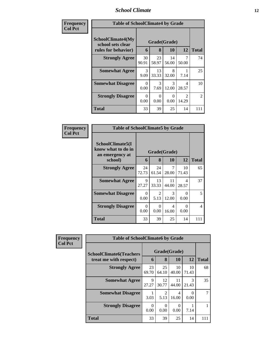#### *School Climate* **12**

| Frequency      | <b>Table of SchoolClimate4 by Grade</b>                              |                  |                       |             |                                      |                |
|----------------|----------------------------------------------------------------------|------------------|-----------------------|-------------|--------------------------------------|----------------|
| <b>Col Pct</b> | <b>SchoolClimate4(My</b><br>school sets clear<br>rules for behavior) | 6                | Grade(Grade)<br>8     | 10          | 12                                   | <b>Total</b>   |
|                | <b>Strongly Agree</b>                                                | 30<br>90.91      | 23<br>58.97           | 14<br>56.00 | 7<br>50.00                           | 74             |
|                | <b>Somewhat Agree</b>                                                | 3<br>9.09        | 13<br>33.33           | 8<br>32.00  | 7.14                                 | 25             |
|                | <b>Somewhat Disagree</b>                                             | 0<br>0.00        | $\mathcal{R}$<br>7.69 | 3<br>12.00  | 4<br>28.57                           | 10             |
|                | <b>Strongly Disagree</b>                                             | $\Omega$<br>0.00 | $\Omega$<br>0.00      | 0<br>0.00   | $\mathcal{D}_{\mathcal{L}}$<br>14.29 | $\overline{c}$ |
|                | <b>Total</b>                                                         | 33               | 39                    | 25          | 14                                   | 111            |

| Frequency<br><b>Col Pct</b> | <b>Table of SchoolClimate5 by Grade</b>                   |                  |              |             |                  |                |
|-----------------------------|-----------------------------------------------------------|------------------|--------------|-------------|------------------|----------------|
|                             | SchoolClimate5(I<br>know what to do in<br>an emergency at |                  | Grade(Grade) |             |                  |                |
|                             | school)                                                   | 6                | 8            | 10          | 12               | <b>Total</b>   |
|                             | <b>Strongly Agree</b>                                     | 24<br>72.73      | 24<br>61.54  | 7<br>28.00  | 10<br>71.43      | 65             |
|                             | <b>Somewhat Agree</b>                                     | 9<br>27.27       | 13<br>33.33  | 11<br>44.00 | 4<br>28.57       | 37             |
|                             | <b>Somewhat Disagree</b>                                  | 0<br>0.00        | 2<br>5.13    | 3<br>12.00  | $\Omega$<br>0.00 | 5              |
|                             | <b>Strongly Disagree</b>                                  | $\Omega$<br>0.00 | 0<br>0.00    | 4<br>16.00  | 0<br>0.00        | $\overline{4}$ |
|                             | Total                                                     | 33               | 39           | 25          | 14               | 111            |

| Frequency      | <b>Table of SchoolClimate6 by Grade</b>                  |             |                        |             |             |              |  |
|----------------|----------------------------------------------------------|-------------|------------------------|-------------|-------------|--------------|--|
| <b>Col Pct</b> | <b>SchoolClimate6(Teachers</b><br>treat me with respect) | 6           | Grade(Grade)<br>8      | <b>10</b>   | 12          | <b>Total</b> |  |
|                | <b>Strongly Agree</b>                                    | 23<br>69.70 | 25<br>64.10            | 10<br>40.00 | 10<br>71.43 | 68           |  |
|                | <b>Somewhat Agree</b>                                    | 9<br>27.27  | 12<br>30.77            | 11<br>44.00 | 3<br>21.43  | 35           |  |
|                | <b>Somewhat Disagree</b>                                 | 3.03        | $\mathfrak{D}$<br>5.13 | 4<br>16.00  | 0<br>0.00   |              |  |
|                | <b>Strongly Disagree</b>                                 | 0<br>0.00   | 0<br>0.00              | 0.00        | 7.14        |              |  |
|                | <b>Total</b>                                             | 33          | 39                     | 25          | 14          | 111          |  |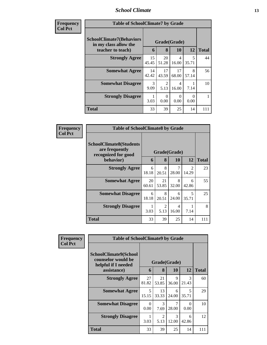#### *School Climate* **13**

| <b>Frequency</b> |
|------------------|
| <b>Col Pct</b>   |

| ncy | <b>Table of SchoolClimate7 by Grade</b>                  |             |                        |                  |            |              |  |  |
|-----|----------------------------------------------------------|-------------|------------------------|------------------|------------|--------------|--|--|
|     | <b>SchoolClimate7(Behaviors</b><br>in my class allow the |             | Grade(Grade)           |                  |            |              |  |  |
|     | teacher to teach)                                        | 6           | 8                      | 10               | 12         | <b>Total</b> |  |  |
|     | <b>Strongly Agree</b>                                    | 15<br>45.45 | 20<br>51.28            | 4<br>16.00       | 5<br>35.71 | 44           |  |  |
|     | <b>Somewhat Agree</b>                                    | 14<br>42.42 | 17<br>43.59            | 17<br>68.00      | 8<br>57.14 | 56           |  |  |
|     | <b>Somewhat Disagree</b>                                 | 3<br>9.09   | $\mathfrak{D}$<br>5.13 | 4<br>16.00       | 7.14       | 10           |  |  |
|     | <b>Strongly Disagree</b>                                 | 3.03        | 0<br>0.00              | $\Omega$<br>0.00 | ∩<br>0.00  |              |  |  |
|     | <b>Total</b>                                             | 33          | 39                     | 25               | 14         | 111          |  |  |

| Frequency      | <b>Table of SchoolClimate8 by Grade</b>                                 |             |                        |              |                         |              |  |
|----------------|-------------------------------------------------------------------------|-------------|------------------------|--------------|-------------------------|--------------|--|
| <b>Col Pct</b> | <b>SchoolClimate8(Students</b><br>are frequently<br>recognized for good |             |                        | Grade(Grade) |                         |              |  |
|                | behavior)                                                               | 6           | 8                      | 10           | 12                      | <b>Total</b> |  |
|                | <b>Strongly Agree</b>                                                   | 6<br>18.18  | 8<br>20.51             | 28.00        | $\mathfrak{D}$<br>14.29 | 23           |  |
|                | <b>Somewhat Agree</b>                                                   | 20<br>60.61 | 21<br>53.85            | 8<br>32.00   | 6<br>42.86              | 55           |  |
|                | <b>Somewhat Disagree</b>                                                | 6<br>18.18  | 8<br>20.51             | 6<br>24.00   | 5<br>35.71              | 25           |  |
|                | <b>Strongly Disagree</b>                                                | 3.03        | $\overline{2}$<br>5.13 | 4<br>16.00   | 7.14                    | 8            |  |
|                | <b>Total</b>                                                            | 33          | 39                     | 25           | 14                      | 111          |  |

| Frequency<br><b>Col Pct</b> | <b>Table of SchoolClimate9 by Grade</b>                            |                  |                                     |            |                        |              |  |  |
|-----------------------------|--------------------------------------------------------------------|------------------|-------------------------------------|------------|------------------------|--------------|--|--|
|                             | SchoolClimate9(School<br>counselor would be<br>helpful if I needed |                  | Grade(Grade)                        |            |                        |              |  |  |
|                             | assistance)                                                        | 6                | 8                                   | 10         | 12                     | <b>Total</b> |  |  |
|                             | <b>Strongly Agree</b>                                              | 27<br>81.82      | 21<br>53.85                         | 9<br>36.00 | $\mathcal{R}$<br>21.43 | 60           |  |  |
|                             | <b>Somewhat Agree</b>                                              | 5<br>15.15       | 13<br>33.33                         | 6<br>24.00 | 5<br>35.71             | 29           |  |  |
|                             | <b>Somewhat Disagree</b>                                           | $\Omega$<br>0.00 | 3<br>7.69                           | 7<br>28.00 | 0<br>0.00              | 10           |  |  |
|                             | <b>Strongly Disagree</b>                                           | 3.03             | $\mathcal{D}_{\mathcal{L}}$<br>5.13 | 3<br>12.00 | 6<br>42.86             | 12           |  |  |
|                             | <b>Total</b>                                                       | 33               | 39                                  | 25         | 14                     | 111          |  |  |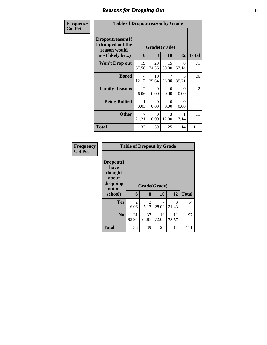# *Reasons for Dropping Out* **14**

| <b>Frequency</b> | <b>Table of Dropoutreason by Grade</b>                                   |                        |                  |                        |                                   |                |
|------------------|--------------------------------------------------------------------------|------------------------|------------------|------------------------|-----------------------------------|----------------|
| <b>Col Pct</b>   | Dropoutreason(If<br>I dropped out the<br>reason would<br>most likely be) | 6                      | 8                | Grade(Grade)<br>10     | 12                                | <b>Total</b>   |
|                  | <b>Won't Drop out</b>                                                    | 19<br>57.58            | 29<br>74.36      | 15<br>60.00            | 8<br>57.14                        | 71             |
|                  | <b>Bored</b>                                                             | 4<br>12.12             | 10<br>25.64      | 7<br>28.00             | $\overline{\mathcal{L}}$<br>35.71 | 26             |
|                  | <b>Family Reasons</b>                                                    | $\mathfrak{D}$<br>6.06 | $\Omega$<br>0.00 | $\Omega$<br>0.00       | 0<br>0.00                         | $\overline{2}$ |
|                  | <b>Being Bullied</b>                                                     | 3.03                   | $\Omega$<br>0.00 | 0<br>0.00              | $\Omega$<br>0.00                  | 1              |
|                  | <b>Other</b>                                                             | 7<br>21.21             | $\Omega$<br>0.00 | $\mathcal{R}$<br>12.00 | 7.14                              | 11             |
|                  | Total                                                                    | 33                     | 39               | 25                     | 14                                | 111            |

| Frequency      |                                                             |                        | <b>Table of Dropout by Grade</b> |             |             |              |
|----------------|-------------------------------------------------------------|------------------------|----------------------------------|-------------|-------------|--------------|
| <b>Col Pct</b> | Dropout(I<br>have<br>thought<br>about<br>dropping<br>out of |                        | Grade(Grade)                     |             |             |              |
|                | school)                                                     | 6                      | 8                                | 10          | 12          | <b>Total</b> |
|                | Yes                                                         | $\overline{2}$<br>6.06 | 2<br>5.13                        | 28.00       | 3<br>21.43  | 14           |
|                | N <sub>0</sub>                                              | 31<br>93.94            | 37<br>94.87                      | 18<br>72.00 | 11<br>78.57 | 97           |
|                | <b>Total</b>                                                | 33                     | 39                               | 25          | 14          | 111          |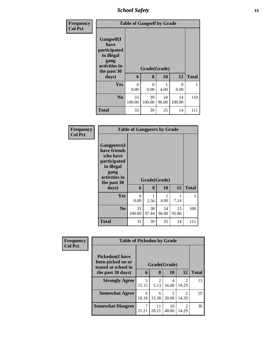*School Safety* **15**

| Frequency<br><b>Col Pct</b> |                                                                                                   | <b>Table of Gangself by Grade</b> |                   |             |                  |              |  |  |  |
|-----------------------------|---------------------------------------------------------------------------------------------------|-----------------------------------|-------------------|-------------|------------------|--------------|--|--|--|
|                             | Gangself(I<br>have<br>participated<br>in illegal<br>gang<br>activities in<br>the past 30<br>days) | 6                                 | Grade(Grade)<br>8 | 10          | 12               | <b>Total</b> |  |  |  |
|                             | <b>Yes</b>                                                                                        | 0<br>0.00                         | $\Omega$<br>0.00  | 4.00        | $\theta$<br>0.00 | 1            |  |  |  |
|                             | N <sub>o</sub>                                                                                    | 33<br>100.00                      | 39<br>100.00      | 24<br>96.00 | 14<br>100.00     | 110          |  |  |  |
|                             | <b>Total</b>                                                                                      | 33                                | 39                | 25          | 14               | 111          |  |  |  |

| Frequency<br><b>Col Pct</b> |                                                                                                                                | <b>Table of Gangpeers by Grade</b> |                   |             |             |              |
|-----------------------------|--------------------------------------------------------------------------------------------------------------------------------|------------------------------------|-------------------|-------------|-------------|--------------|
|                             | <b>Gangpeers</b> (I<br>have friends<br>who have<br>participated<br>in illegal<br>gang<br>activities in<br>the past 30<br>days) | 6                                  | Grade(Grade)<br>8 | 10          | 12          | <b>Total</b> |
|                             | Yes                                                                                                                            | $\Omega$<br>0.00                   | 1<br>2.56         | 1<br>4.00   | 1<br>7.14   | 3            |
|                             | N <sub>0</sub>                                                                                                                 | 33<br>100.00                       | 38<br>97.44       | 24<br>96.00 | 13<br>92.86 | 108          |
|                             | Total                                                                                                                          | 33                                 | 39                | 25          | 14          | 111          |

| Frequency<br><b>Col Pct</b> | <b>Table of Pickedon by Grade</b>                                   |            |              |             |                                      |              |
|-----------------------------|---------------------------------------------------------------------|------------|--------------|-------------|--------------------------------------|--------------|
|                             | <b>Pickedon</b> (I have<br>been picked on or<br>teased at school in |            | Grade(Grade) |             |                                      |              |
|                             | the past 30 days)                                                   | 6          | 8            | 10          | 12                                   | <b>Total</b> |
|                             | <b>Strongly Agree</b>                                               | 5<br>15.15 | 2<br>5.13    | 4<br>16.00  | $\mathcal{D}_{\mathcal{L}}$<br>14.29 | 13           |
|                             | <b>Somewhat Agree</b>                                               | 6<br>18.18 | 6<br>15.38   | 5<br>20.00  | $\mathcal{D}_{\mathcal{L}}$<br>14.29 | 19           |
|                             | <b>Somewhat Disagree</b>                                            | 21.21      | 11<br>28.21  | 10<br>40.00 | $\mathcal{D}$<br>14.29               | 30           |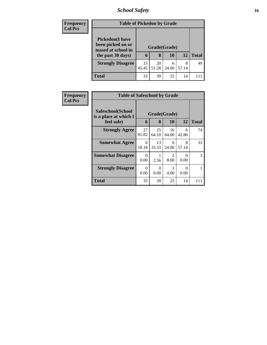# *School Safety* **16**

| <b>Frequency</b> | <b>Table of Pickedon by Grade</b>        |              |             |            |            |              |
|------------------|------------------------------------------|--------------|-------------|------------|------------|--------------|
| <b>Col Pct</b>   | <b>Pickedon(I have</b>                   |              |             |            |            |              |
|                  | been picked on or<br>teased at school in | Grade(Grade) |             |            |            |              |
|                  | the past 30 days)                        | 6            | 8           | 10         | 12         | <b>Total</b> |
|                  | <b>Strongly Disagree</b>                 | 15<br>45.45  | 20<br>51.28 | 6<br>24.00 | 8<br>57.14 | 49           |
|                  | <b>Total</b>                             | 33           | 39          | 25         | 14         |              |

| Frequency      | <b>Table of Safeschool by Grade</b>        |                  |             |                        |            |               |
|----------------|--------------------------------------------|------------------|-------------|------------------------|------------|---------------|
| <b>Col Pct</b> | Safeschool(School<br>is a place at which I | Grade(Grade)     |             |                        |            |               |
|                | feel safe)                                 | 6                | 8           | 10                     | 12         | <b>Total</b>  |
|                | <b>Strongly Agree</b>                      | 27<br>81.82      | 25<br>64.10 | 16<br>64.00            | 6<br>42.86 | 74            |
|                | <b>Somewhat Agree</b>                      | 6<br>18.18       | 13<br>33.33 | 6<br>24.00             | 8<br>57.14 | 33            |
|                | <b>Somewhat Disagree</b>                   | $\Omega$<br>0.00 | 2.56        | $\mathfrak{D}$<br>8.00 | ∩<br>0.00  | $\mathcal{R}$ |
|                | <b>Strongly Disagree</b>                   | $\Omega$<br>0.00 | 0<br>0.00   | 4.00                   | ∩<br>0.00  |               |
|                | <b>Total</b>                               | 33               | 39          | 25                     | 14         | 111           |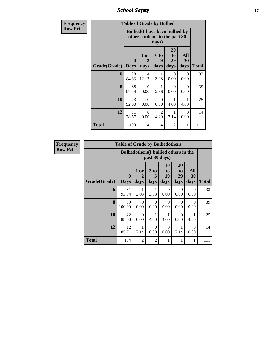*School Safety* **17**

| <b>Frequency</b> |                     | <b>Table of Grade by Bullied</b>                                                 |                                   |                         |                                    |                   |              |
|------------------|---------------------|----------------------------------------------------------------------------------|-----------------------------------|-------------------------|------------------------------------|-------------------|--------------|
| <b>Row Pct</b>   |                     | <b>Bullied</b> (I have been bullied by<br>other students in the past 30<br>days) |                                   |                         |                                    |                   |              |
|                  | Grade(Grade)   Days | $\mathbf{0}$                                                                     | 1 or<br>$\overline{2}$<br>days    | 6 to<br>9<br>days       | 20<br>t <sub>o</sub><br>29<br>days | All<br>30<br>days | <b>Total</b> |
|                  | 6                   | 28<br>84.85                                                                      | $\overline{\mathcal{A}}$<br>12.12 | 3.03                    | $\Omega$<br>0.00                   | $\Omega$<br>0.00  | 33           |
|                  | 8                   | 38<br>97.44                                                                      | $\Omega$<br>0.00                  | 1<br>2.56               | $\Omega$<br>0.00                   | $\Omega$<br>0.00  | 39           |
|                  | 10                  | 23<br>92.00                                                                      | $\Omega$<br>0.00                  | 0<br>0.00               | 1<br>4.00                          | 1<br>4.00         | 25           |
|                  | 12                  | 11<br>78.57                                                                      | $\Omega$<br>0.00                  | $\overline{2}$<br>14.29 | 7.14                               | $\Omega$<br>0.00  | 14           |
|                  | <b>Total</b>        | 100                                                                              | 4                                 | 4                       | 2                                  | 1                 | 111          |

| Frequency      |              | <b>Table of Grade by Bulliedothers</b> |                                                                |                   |                        |                               |                   |              |  |  |
|----------------|--------------|----------------------------------------|----------------------------------------------------------------|-------------------|------------------------|-------------------------------|-------------------|--------------|--|--|
| <b>Row Pct</b> |              |                                        | <b>Bulliedothers</b> (I bullied others in the<br>past 30 days) |                   |                        |                               |                   |              |  |  |
|                | Grade(Grade) | $\mathbf{0}$<br><b>Days</b>            | 1 or<br>2<br>days                                              | 3 to<br>5<br>days | 10<br>to<br>19<br>days | <b>20</b><br>to<br>29<br>days | All<br>30<br>days | <b>Total</b> |  |  |
|                | 6            | 31<br>93.94                            | 3.03                                                           | 1<br>3.03         | $\Omega$<br>0.00       | $\Omega$<br>0.00              | $\Omega$<br>0.00  | 33           |  |  |
|                | 8            | 39<br>100.00                           | 0<br>0.00                                                      | $\Omega$<br>0.00  | $\Omega$<br>0.00       | $\Omega$<br>0.00              | $\Omega$<br>0.00  | 39           |  |  |
|                | 10           | 22<br>88.00                            | 0<br>0.00                                                      | 4.00              | 4.00                   | $\Omega$<br>0.00              | 4.00              | 25           |  |  |
|                | 12           | 12<br>85.71                            | 1<br>7.14                                                      | $\Omega$<br>0.00  | $\Omega$<br>0.00       | 1<br>7.14                     | $\Omega$<br>0.00  | 14           |  |  |
|                | <b>Total</b> | 104                                    | 2                                                              | $\overline{c}$    | 1                      | 1                             | 1                 | 111          |  |  |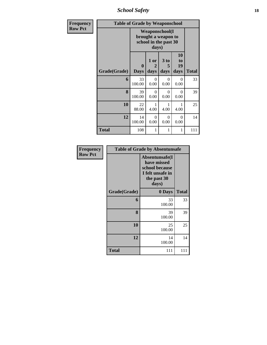*School Safety* **18**

| Frequency      |              | <b>Table of Grade by Weaponschool</b> |                                                                                 |                              |                        |              |  |  |  |
|----------------|--------------|---------------------------------------|---------------------------------------------------------------------------------|------------------------------|------------------------|--------------|--|--|--|
| <b>Row Pct</b> |              |                                       | <b>Weaponschool</b> (I<br>brought a weapon to<br>school in the past 30<br>days) |                              |                        |              |  |  |  |
|                | Grade(Grade) | 0<br><b>Days</b>                      | 1 or<br>2<br>days                                                               | 3 <sub>to</sub><br>5<br>days | 10<br>to<br>19<br>days | <b>Total</b> |  |  |  |
|                | 6            | 33<br>100.00                          | $\Omega$<br>0.00                                                                | $\Omega$<br>0.00             | $\Omega$<br>0.00       | 33           |  |  |  |
|                | 8            | 39<br>100.00                          | 0<br>0.00                                                                       | 0<br>0.00                    | $\Omega$<br>0.00       | 39           |  |  |  |
|                | 10           | 22<br>88.00                           | 4.00                                                                            | 4.00                         | 1<br>4.00              | 25           |  |  |  |
|                | 12           | 14<br>100.00                          | $\Omega$<br>0.00                                                                | $\Omega$<br>0.00             | $\theta$<br>0.00       | 14           |  |  |  |
|                | <b>Total</b> | 108                                   | 1                                                                               | 1                            | 1                      | 111          |  |  |  |

| Frequency      | <b>Table of Grade by Absentunsafe</b> |                                                                                             |              |  |  |
|----------------|---------------------------------------|---------------------------------------------------------------------------------------------|--------------|--|--|
| <b>Row Pct</b> |                                       | Absentunsafe(I<br>have missed<br>school because<br>I felt unsafe in<br>the past 30<br>days) |              |  |  |
|                | Grade(Grade)                          | 0 Days                                                                                      | <b>Total</b> |  |  |
|                | 6                                     | 33<br>100.00                                                                                | 33           |  |  |
|                | 8                                     | 39<br>100.00                                                                                | 39           |  |  |
|                | 10                                    | 25<br>100.00                                                                                | 25           |  |  |
|                | 12                                    | 14<br>100.00                                                                                | 14           |  |  |
|                | <b>Total</b>                          | 111                                                                                         | 111          |  |  |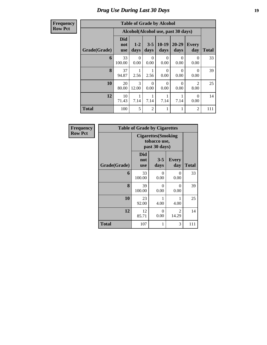### *Drug Use During Last 30 Days* **19**

**Frequency Row Pct**

| <b>Table of Grade by Alcohol</b> |                                                                         |                                                                                                             |                  |                  |                  |                        |     |  |  |  |
|----------------------------------|-------------------------------------------------------------------------|-------------------------------------------------------------------------------------------------------------|------------------|------------------|------------------|------------------------|-----|--|--|--|
|                                  |                                                                         | Alcohol(Alcohol use, past 30 days)                                                                          |                  |                  |                  |                        |     |  |  |  |
| Grade(Grade)                     | <b>Did</b><br>not<br><b>use</b>                                         | $10-19$<br>20-29<br>$1-2$<br>$3 - 5$<br><b>Every</b><br><b>Total</b><br>days<br>days<br>day<br>days<br>days |                  |                  |                  |                        |     |  |  |  |
| 6                                | 33<br>100.00                                                            | 0<br>0.00                                                                                                   | 0<br>0.00        | 0<br>0.00        | $\Omega$<br>0.00 | $\theta$<br>0.00       | 33  |  |  |  |
| 8                                | 37<br>94.87                                                             | 2.56                                                                                                        | 1<br>2.56        | $\theta$<br>0.00 | $\Omega$<br>0.00 | 0<br>0.00              | 39  |  |  |  |
| 10                               | 20<br>80.00                                                             | 3<br>12.00                                                                                                  | $\Omega$<br>0.00 | $\theta$<br>0.00 | $\Omega$<br>0.00 | $\overline{2}$<br>8.00 | 25  |  |  |  |
| 12                               | 10<br>1<br>1<br>1<br>0<br>71.43<br>7.14<br>7.14<br>7.14<br>7.14<br>0.00 |                                                                                                             |                  |                  |                  |                        |     |  |  |  |
| <b>Total</b>                     | 100                                                                     | 5                                                                                                           | $\overline{2}$   | 1                | 1                | 2                      | 111 |  |  |  |

| Frequency      |              | <b>Table of Grade by Cigarettes</b>                         |                 |                     |              |  |  |  |  |
|----------------|--------------|-------------------------------------------------------------|-----------------|---------------------|--------------|--|--|--|--|
| <b>Row Pct</b> |              | <b>Cigarettes</b> (Smoking<br>tobacco use,<br>past 30 days) |                 |                     |              |  |  |  |  |
|                | Grade(Grade) | <b>Did</b><br>not<br><b>use</b>                             | $3 - 5$<br>days | <b>Every</b><br>day | <b>Total</b> |  |  |  |  |
|                | 6            | 33<br>100.00                                                | 0<br>0.00       | $\theta$<br>0.00    | 33           |  |  |  |  |
|                | 8            | 39<br>100.00                                                | 0<br>0.00       | 0<br>0.00           | 39           |  |  |  |  |
|                | 10           | 23<br>92.00                                                 | 4.00            | 4.00                | 25           |  |  |  |  |
|                | 12           | 12<br>85.71                                                 | 0<br>0.00       | 2<br>14.29          | 14           |  |  |  |  |
|                | <b>Total</b> | 107                                                         | 1               | 3                   | 111          |  |  |  |  |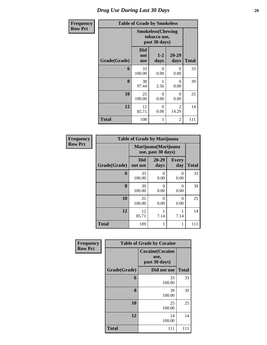### *Drug Use During Last 30 Days* 20

| Frequency      | <b>Table of Grade by Smokeless</b> |                                                           |                  |                         |              |  |  |  |
|----------------|------------------------------------|-----------------------------------------------------------|------------------|-------------------------|--------------|--|--|--|
| <b>Row Pct</b> |                                    | <b>Smokeless(Chewing</b><br>tobacco use,<br>past 30 days) |                  |                         |              |  |  |  |
|                | Grade(Grade)                       | Did<br>not<br><b>use</b>                                  | $1 - 2$<br>days  | 20-29<br>days           | <b>Total</b> |  |  |  |
|                | 6                                  | 33<br>100.00                                              | 0<br>0.00        | 0<br>0.00               | 33           |  |  |  |
|                | 8                                  | 38<br>97.44                                               | 2.56             | 0<br>0.00               | 39           |  |  |  |
|                | 10                                 | 25<br>100.00                                              | $\Omega$<br>0.00 | 0<br>0.00               | 25           |  |  |  |
|                | 12                                 | 12<br>85.71                                               | $\Omega$<br>0.00 | $\mathfrak{D}$<br>14.29 | 14           |  |  |  |
|                | Total                              | 108                                                       | 1                | 2                       | 111          |  |  |  |

| <b>Frequency</b> |              | <b>Table of Grade by Marijuana</b> |                                            |                     |              |  |  |
|------------------|--------------|------------------------------------|--------------------------------------------|---------------------|--------------|--|--|
| <b>Row Pct</b>   |              |                                    | Marijuana (Marijuana<br>use, past 30 days) |                     |              |  |  |
|                  | Grade(Grade) | <b>Did</b><br>not use              | $20 - 29$<br>days                          | <b>Every</b><br>day | <b>Total</b> |  |  |
|                  | 6            | 33<br>100.00                       | $\Omega$<br>0.00                           | 0<br>0.00           | 33           |  |  |
|                  | 8            | 39<br>100.00                       | $\theta$<br>0.00                           | 0<br>0.00           | 39           |  |  |
|                  | 10           | 25<br>100.00                       | $\Omega$<br>0.00                           | 0<br>0.00           | 25           |  |  |
|                  | 12           | 12<br>85.71                        | 1<br>7.14                                  | 7.14                | 14           |  |  |
|                  | <b>Total</b> | 109                                | 1                                          |                     | 111          |  |  |

| Frequency      |              | <b>Table of Grade by Cocaine</b>                |              |
|----------------|--------------|-------------------------------------------------|--------------|
| <b>Row Pct</b> |              | <b>Cocaine(Cocaine</b><br>use,<br>past 30 days) |              |
|                | Grade(Grade) | Did not use                                     | <b>Total</b> |
|                | 6            | 33<br>100.00                                    | 33           |
|                | 8            | 39<br>100.00                                    | 39           |
|                | 10           | 25<br>100.00                                    | 25           |
|                | 12           | 14<br>100.00                                    | 14           |
|                | <b>Total</b> | 111                                             | 111          |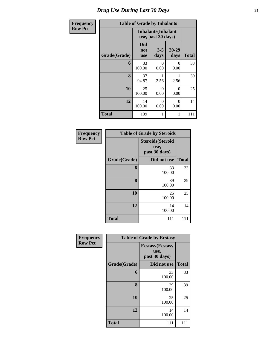### *Drug Use During Last 30 Days* **21**

| Frequency      |              |                                 | <b>Table of Grade by Inhalants</b>               |                  |              |  |
|----------------|--------------|---------------------------------|--------------------------------------------------|------------------|--------------|--|
| <b>Row Pct</b> |              |                                 | <b>Inhalants</b> (Inhalant<br>use, past 30 days) |                  |              |  |
|                | Grade(Grade) | <b>Did</b><br>not<br><b>use</b> | $3 - 5$<br>days                                  | 20-29<br>days    | <b>Total</b> |  |
|                | 6            | 33<br>100.00                    | 0<br>0.00                                        | $\Omega$<br>0.00 | 33           |  |
|                | 8            | 37<br>94.87                     | 2.56                                             | 1<br>2.56        | 39           |  |
|                | 10           | 25<br>100.00                    | $\Omega$<br>0.00                                 | $\Omega$<br>0.00 | 25           |  |
|                | 12           | 14<br>100.00                    | 0<br>0.00                                        | $\Omega$<br>0.00 | 14           |  |
|                | <b>Total</b> | 109                             | 1                                                | 1                | 111          |  |

| Frequency      |              | <b>Table of Grade by Steroids</b>                 |              |
|----------------|--------------|---------------------------------------------------|--------------|
| <b>Row Pct</b> |              | <b>Steroids</b> (Steroid<br>use,<br>past 30 days) |              |
|                | Grade(Grade) | Did not use                                       | <b>Total</b> |
|                | 6            | 33<br>100.00                                      | 33           |
|                | 8            | 39<br>100.00                                      | 39           |
|                | 10           | 25<br>100.00                                      | 25           |
|                | 12           | 14<br>100.00                                      | 14           |
|                | Total        | 111                                               | 111          |

| Frequency      |              | <b>Table of Grade by Ecstasy</b>                 |              |
|----------------|--------------|--------------------------------------------------|--------------|
| <b>Row Pct</b> |              | <b>Ecstasy</b> (Ecstasy<br>use,<br>past 30 days) |              |
|                | Grade(Grade) | Did not use                                      | <b>Total</b> |
|                | 6            | 33<br>100.00                                     | 33           |
|                | 8            | 39<br>100.00                                     | 39           |
|                | 10           | 25<br>100.00                                     | 25           |
|                | 12           | 14<br>100.00                                     | 14           |
|                | <b>Total</b> | 111                                              | 111          |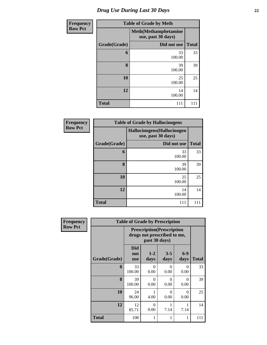| <b>Frequency</b> | <b>Table of Grade by Meth</b> |                                                    |              |  |  |
|------------------|-------------------------------|----------------------------------------------------|--------------|--|--|
| <b>Row Pct</b>   |                               | <b>Meth</b> (Methamphetamine<br>use, past 30 days) |              |  |  |
|                  | Grade(Grade)                  | Did not use                                        | <b>Total</b> |  |  |
|                  | 6                             | 33<br>100.00                                       | 33           |  |  |
|                  | 8                             | 39<br>100.00                                       | 39           |  |  |
|                  | 10                            | 25<br>100.00                                       | 25           |  |  |
|                  | 12                            | 14<br>100.00                                       | 14           |  |  |
|                  | <b>Total</b>                  | 111                                                | 111          |  |  |

| Frequency      |              | <b>Table of Grade by Hallucinogens</b>            |              |  |  |  |  |  |
|----------------|--------------|---------------------------------------------------|--------------|--|--|--|--|--|
| <b>Row Pct</b> |              | Hallucinogens (Hallucinogen<br>use, past 30 days) |              |  |  |  |  |  |
|                | Grade(Grade) | Did not use                                       | <b>Total</b> |  |  |  |  |  |
|                | 6            | 33<br>100.00                                      | 33           |  |  |  |  |  |
|                | 8            | 39<br>100.00                                      | 39           |  |  |  |  |  |
|                | 10           | 25<br>100.00                                      | 25           |  |  |  |  |  |
|                | 12           | 14<br>100.00                                      | 14           |  |  |  |  |  |
|                | <b>Total</b> | 111                                               | 111          |  |  |  |  |  |

| <b>Frequency</b> |              | <b>Table of Grade by Prescription</b>                            |                  |                  |                  |       |
|------------------|--------------|------------------------------------------------------------------|------------------|------------------|------------------|-------|
| <b>Row Pct</b>   |              | <b>Prescription</b> (Prescription<br>drugs not prescribed to me, |                  |                  |                  |       |
|                  | Grade(Grade) | <b>Did</b><br>not<br><b>use</b>                                  | $1 - 2$<br>days  | $3 - 5$<br>days  | $6 - 9$<br>days  | Total |
|                  | 6            | 33<br>100.00                                                     | 0<br>0.00        | $\Omega$<br>0.00 | 0<br>0.00        | 33    |
|                  | 8            | 39<br>100.00                                                     | 0<br>0.00        | $\Omega$<br>0.00 | 0<br>0.00        | 39    |
|                  | 10           | 24<br>96.00                                                      | 4.00             | $\Omega$<br>0.00 | $\Omega$<br>0.00 | 25    |
|                  | 12           | 12<br>85.71                                                      | $\Omega$<br>0.00 | 7.14             | 7.14             | 14    |
|                  | <b>Total</b> | 108                                                              | 1                |                  | 1                | 111   |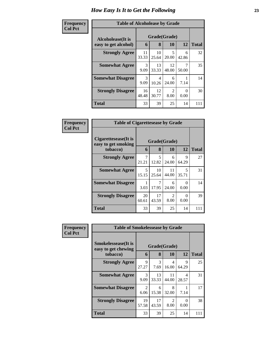#### **Frequen Col Pct**

| <b>cy</b> | <b>Table of Alcoholease by Grade</b> |                       |             |                        |                      |              |  |  |  |  |  |
|-----------|--------------------------------------|-----------------------|-------------|------------------------|----------------------|--------------|--|--|--|--|--|
|           | Alcoholease(It is                    | Grade(Grade)          |             |                        |                      |              |  |  |  |  |  |
|           | easy to get alcohol)                 | 6                     | 8           | 10                     | 12                   | <b>Total</b> |  |  |  |  |  |
|           | <b>Strongly Agree</b>                | 11<br>33.33           | 10<br>25.64 | 5<br>20.00             | 6<br>42.86           | 32           |  |  |  |  |  |
|           | <b>Somewhat Agree</b>                | 3<br>9.09             | 13<br>33.33 | 12<br>48.00            | 7<br>50.00           | 35           |  |  |  |  |  |
|           | <b>Somewhat Disagree</b>             | $\mathcal{F}$<br>9.09 | 4<br>10.26  | 6<br>24.00             | 7.14                 | 14           |  |  |  |  |  |
|           | <b>Strongly Disagree</b>             | 16<br>48.48           | 12<br>30.77 | $\mathfrak{D}$<br>8.00 | $\mathbf{0}$<br>0.00 | 30           |  |  |  |  |  |
|           | <b>Total</b>                         | 33                    | 39          | 25                     | 14                   | 111          |  |  |  |  |  |

| Frequency      | <b>Table of Cigarettesease by Grade</b>                 |             |                   |             |            |              |
|----------------|---------------------------------------------------------|-------------|-------------------|-------------|------------|--------------|
| <b>Col Pct</b> | Cigarettesease(It is<br>easy to get smoking<br>tobacco) | 6           | Grade(Grade)<br>8 | <b>10</b>   | 12         | <b>Total</b> |
|                | <b>Strongly Agree</b>                                   | 7<br>21.21  | 5<br>12.82        | 6<br>24.00  | 9<br>64.29 | 27           |
|                | <b>Somewhat Agree</b>                                   | 5<br>15.15  | 10<br>25.64       | 11<br>44.00 | 5<br>35.71 | 31           |
|                | <b>Somewhat Disagree</b>                                | 3.03        | 17.95             | 6<br>24.00  | 0<br>0.00  | 14           |
|                | <b>Strongly Disagree</b>                                | 20<br>60.61 | 17<br>43.59       | 2<br>8.00   | 0<br>0.00  | 39           |
|                | <b>Total</b>                                            | 33          | 39                | 25          | 14         | 111          |

| <b>Frequency</b> | <b>Table of Smokelessease by Grade</b>                         |                        |                   |             |            |              |
|------------------|----------------------------------------------------------------|------------------------|-------------------|-------------|------------|--------------|
| <b>Col Pct</b>   | <b>Smokelessease</b> (It is<br>easy to get chewing<br>tobacco) | 6                      | Grade(Grade)<br>8 | 10          | 12         | <b>Total</b> |
|                  | <b>Strongly Agree</b>                                          | 9<br>27.27             | 3<br>7.69         | 4<br>16.00  | 9<br>64.29 | 25           |
|                  | <b>Somewhat Agree</b>                                          | 3<br>9.09              | 13<br>33.33       | 11<br>44.00 | 4<br>28.57 | 31           |
|                  | <b>Somewhat Disagree</b>                                       | $\overline{2}$<br>6.06 | 6<br>15.38        | 8<br>32.00  | 7.14       | 17           |
|                  | <b>Strongly Disagree</b>                                       | 19<br>57.58            | 17<br>43.59       | 2<br>8.00   | 0<br>0.00  | 38           |
|                  | <b>Total</b>                                                   | 33                     | 39                | 25          | 14         | 111          |

ı,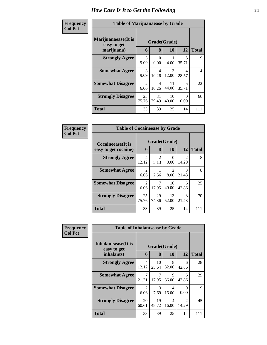| Frequency<br><b>Col Pct</b> | <b>Table of Marijuanaease by Grade</b>           |                                     |             |                           |                                  |              |
|-----------------------------|--------------------------------------------------|-------------------------------------|-------------|---------------------------|----------------------------------|--------------|
|                             | Marijuanaease(It is<br>easy to get<br>marijuana) | 6                                   | 8           | Grade(Grade)<br><b>10</b> | 12                               | <b>Total</b> |
|                             | <b>Strongly Agree</b>                            | 3<br>9.09                           | 0<br>0.00   | 4.00                      | $\overline{5}$<br>35.71          | 9            |
|                             | <b>Somewhat Agree</b>                            | $\mathcal{R}$<br>9.09               | 4<br>10.26  | 3<br>12.00                | 4<br>28.57                       | 14           |
|                             | <b>Somewhat Disagree</b>                         | $\mathcal{D}_{\mathcal{L}}$<br>6.06 | 4<br>10.26  | 11<br>44.00               | $\overline{\mathbf{z}}$<br>35.71 | 22           |
|                             | <b>Strongly Disagree</b>                         | 25<br>75.76                         | 31<br>79.49 | 10<br>40.00               | $\Omega$<br>0.00                 | 66           |
|                             | Total                                            | 33                                  | 39          | 25                        | 14                               | 111          |

| Frequency      | <b>Table of Cocaineease by Grade</b>              |                        |             |                                     |                         |              |
|----------------|---------------------------------------------------|------------------------|-------------|-------------------------------------|-------------------------|--------------|
| <b>Col Pct</b> | <b>Cocaineease</b> (It is<br>easy to get cocaine) | 6                      | 8           | Grade(Grade)<br>10                  | 12                      | <b>Total</b> |
|                | <b>Strongly Agree</b>                             | 4<br>12.12             | 2<br>5.13   | 0<br>0.00                           | $\mathfrak{D}$<br>14.29 | 8            |
|                | <b>Somewhat Agree</b>                             | $\mathfrak{D}$<br>6.06 | 2.56        | $\mathcal{D}_{\mathcal{L}}$<br>8.00 | $\mathcal{R}$<br>21.43  | 8            |
|                | <b>Somewhat Disagree</b>                          | $\mathfrak{D}$<br>6.06 | 7<br>17.95  | 10<br>40.00                         | 6<br>42.86              | 25           |
|                | <b>Strongly Disagree</b>                          | 25<br>75.76            | 29<br>74.36 | 13<br>52.00                         | $\mathcal{R}$<br>21.43  | 70           |
|                | <b>Total</b>                                      | 33                     | 39          | 25                                  | 14                      | 111          |

| <b>Frequency</b> | <b>Table of Inhalantsease by Grade</b> |             |              |            |                                      |              |
|------------------|----------------------------------------|-------------|--------------|------------|--------------------------------------|--------------|
| <b>Col Pct</b>   | Inhalantsease(It is<br>easy to get     |             | Grade(Grade) |            |                                      |              |
|                  | inhalants)                             | 6           | 8            | 10         | 12                                   | <b>Total</b> |
|                  | <b>Strongly Agree</b>                  | 4<br>12.12  | 10<br>25.64  | 8<br>32.00 | 6<br>42.86                           | 28           |
|                  | <b>Somewhat Agree</b>                  | 7<br>21.21  | 7<br>17.95   | 9<br>36.00 | 6<br>42.86                           | 29           |
|                  | <b>Somewhat Disagree</b>               | 2<br>6.06   | 3<br>7.69    | 4<br>16.00 | $\Omega$<br>0.00                     | $\mathbf Q$  |
|                  | <b>Strongly Disagree</b>               | 20<br>60.61 | 19<br>48.72  | 4<br>16.00 | $\mathcal{D}_{\mathcal{L}}$<br>14.29 | 45           |
|                  | <b>Total</b>                           | 33          | 39           | 25         | 14                                   | 111          |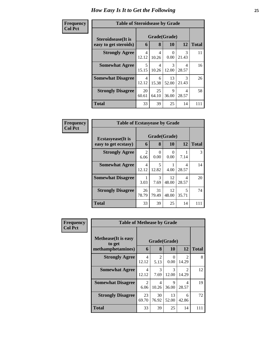| Frequency      | <b>Table of Steroidsease by Grade</b> |              |             |             |            |              |
|----------------|---------------------------------------|--------------|-------------|-------------|------------|--------------|
| <b>Col Pct</b> | <b>Steroidsease</b> (It is            | Grade(Grade) |             |             |            |              |
|                | easy to get steroids)                 | 6            | 8           | 10          | 12         | <b>Total</b> |
|                | <b>Strongly Agree</b>                 | 4<br>12.12   | 4<br>10.26  | 0.00        | 3<br>21.43 | 11           |
|                | <b>Somewhat Agree</b>                 | 5<br>15.15   | 4<br>10.26  | 3<br>12.00  | 4<br>28.57 | 16           |
|                | <b>Somewhat Disagree</b>              | 4<br>12.12   | 6<br>15.38  | 13<br>52.00 | 3<br>21.43 | 26           |
|                | <b>Strongly Disagree</b>              | 20<br>60.61  | 25<br>64.10 | 9<br>36.00  | 4<br>28.57 | 58           |
|                | Total                                 | 33           | 39          | 25          | 14         | 111          |

| Frequency      | <b>Table of Ecstasyease by Grade</b>              |                        |                   |             |            |              |  |
|----------------|---------------------------------------------------|------------------------|-------------------|-------------|------------|--------------|--|
| <b>Col Pct</b> | <b>Ecstasyease</b> (It is<br>easy to get ecstasy) | 6                      | Grade(Grade)<br>8 | 10          | 12         | <b>Total</b> |  |
|                | <b>Strongly Agree</b>                             | $\overline{2}$<br>6.06 | $_{0}$<br>0.00    | 0<br>0.00   | 7.14       | 3            |  |
|                | <b>Somewhat Agree</b>                             | 4<br>12.12             | 5<br>12.82        | 4.00        | 4<br>28.57 | 14           |  |
|                | <b>Somewhat Disagree</b>                          | 3.03                   | 3<br>7.69         | 12<br>48.00 | 4<br>28.57 | 20           |  |
|                | <b>Strongly Disagree</b>                          | 26<br>78.79            | 31<br>79.49       | 12<br>48.00 | 5<br>35.71 | 74           |  |
|                | Total                                             | 33                     | 39                | 25          | 14         | 111          |  |

| Frequency      | <b>Table of Methease by Grade</b>                          |                         |                        |                        |                                      |              |
|----------------|------------------------------------------------------------|-------------------------|------------------------|------------------------|--------------------------------------|--------------|
| <b>Col Pct</b> | <b>Methease</b> (It is easy<br>to get<br>methamphetamines) | 6                       | 8                      | Grade(Grade)<br>10     | 12                                   | <b>Total</b> |
|                | <b>Strongly Agree</b>                                      | $\overline{4}$<br>12.12 | $\mathfrak{D}$<br>5.13 | $\Omega$<br>0.00       | $\mathfrak{D}$<br>14.29              | 8            |
|                | <b>Somewhat Agree</b>                                      | 4<br>12.12              | $\mathcal{R}$<br>7.69  | $\mathcal{R}$<br>12.00 | $\mathcal{D}_{\mathcal{L}}$<br>14.29 | 12           |
|                | <b>Somewhat Disagree</b>                                   | $\overline{2}$<br>6.06  | 4<br>10.26             | 9<br>36.00             | 4<br>28.57                           | 19           |
|                | <b>Strongly Disagree</b>                                   | 23<br>69.70             | 30<br>76.92            | 13<br>52.00            | 6<br>42.86                           | 72           |
|                | <b>Total</b>                                               | 33                      | 39                     | 25                     | 14                                   | 111          |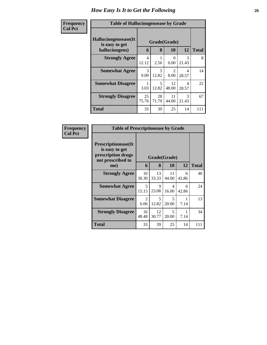| Frequency      | <b>Table of Hallucinogensease by Grade</b>               |                         |                   |                                     |                        |              |
|----------------|----------------------------------------------------------|-------------------------|-------------------|-------------------------------------|------------------------|--------------|
| <b>Col Pct</b> | Hallucinogensease(It<br>is easy to get<br>hallucinogens) | 6                       | Grade(Grade)<br>8 | <b>10</b>                           | 12                     | <b>Total</b> |
|                | <b>Strongly Agree</b>                                    | $\overline{4}$<br>12.12 | 2.56              | 0<br>0.00                           | $\mathcal{R}$<br>21.43 | 8            |
|                | <b>Somewhat Agree</b>                                    | 3<br>9.09               | 5<br>12.82        | $\mathcal{D}_{\mathcal{L}}$<br>8.00 | 4<br>28.57             | 14           |
|                | <b>Somewhat Disagree</b>                                 | 3.03                    | 5<br>12.82        | 12<br>48.00                         | 4<br>28.57             | 22           |
|                | <b>Strongly Disagree</b>                                 | 25<br>75.76             | 28<br>71.79       | 11<br>44.00                         | $\mathcal{R}$<br>21.43 | 67           |
|                | <b>Total</b>                                             | 33                      | 39                | 25                                  | 14                     | 111          |

| Frequency<br><b>Col Pct</b> | <b>Table of Prescriptionease by Grade</b>                                                |                        |              |                                   |            |              |
|-----------------------------|------------------------------------------------------------------------------------------|------------------------|--------------|-----------------------------------|------------|--------------|
|                             | <b>Prescriptionease</b> (It<br>is easy to get<br>prescription drugs<br>not prescribed to |                        | Grade(Grade) |                                   |            |              |
|                             | me)                                                                                      | 6                      | 8            | <b>10</b>                         | 12         | <b>Total</b> |
|                             | <b>Strongly Agree</b>                                                                    | 10<br>30.30            | 13<br>33.33  | 11<br>44.00                       | 6<br>42.86 | 40           |
|                             | <b>Somewhat Agree</b>                                                                    | 5<br>15.15             | 9<br>23.08   | 4<br>16.00                        | 6<br>42.86 | 24           |
|                             | <b>Somewhat Disagree</b>                                                                 | $\mathfrak{D}$<br>6.06 | 5<br>12.82   | 5<br>20.00                        | 7.14       | 13           |
|                             | <b>Strongly Disagree</b>                                                                 | 16<br>48.48            | 12<br>30.77  | $\overline{\mathcal{L}}$<br>20.00 | 7.14       | 34           |
|                             | Total                                                                                    | 33                     | 39           | 25                                | 14         | 111          |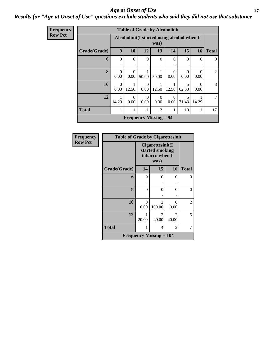#### *Age at Onset of Use* **27** *Results for "Age at Onset of Use" questions exclude students who said they did not use that substance*

| <b>Frequency</b> |
|------------------|
| Row Pct          |

| <b>Table of Grade by Alcoholinit</b> |                                                     |                  |                  |                  |                  |                                   |            |              |
|--------------------------------------|-----------------------------------------------------|------------------|------------------|------------------|------------------|-----------------------------------|------------|--------------|
|                                      | Alcoholinit (I started using alcohol when I<br>was) |                  |                  |                  |                  |                                   |            |              |
| Grade(Grade)                         | 9                                                   | <b>10</b>        | 12               | 13               | 14               | 15                                | 16         | <b>Total</b> |
| 6                                    | $\Omega$                                            | $\Omega$<br>٠    | $\Omega$         | $\Omega$         | $\theta$         | $\Omega$                          | 0          | $\Omega$     |
| 8                                    | $\Omega$<br>0.00                                    | $\Omega$<br>0.00 | 50.00            | 50.00            | 0<br>0.00        | ∩<br>0.00                         | 0<br>0.00  | 2            |
| 10                                   | $\Omega$<br>0.00                                    | 1<br>12.50       | $\Omega$<br>0.00 | 12.50            | 12.50            | $\overline{\phantom{0}}$<br>62.50 | 0<br>0.00  | 8            |
| 12                                   | 14.29                                               | $\Omega$<br>0.00 | $\Omega$<br>0.00 | $\Omega$<br>0.00 | $\Omega$<br>0.00 | $\overline{5}$<br>71.43           | 1<br>14.29 | 7            |
| <b>Total</b>                         | 1                                                   | 1                | 1                | 2                | 1                | 10                                | 1          | 17           |
| <b>Frequency Missing = 94</b>        |                                                     |                  |                  |                  |                  |                                   |            |              |

| <b>Frequency</b> | <b>Table of Grade by Cigarettesinit</b> |                                                        |                         |                  |              |  |  |
|------------------|-----------------------------------------|--------------------------------------------------------|-------------------------|------------------|--------------|--|--|
| <b>Row Pct</b>   |                                         | Cigarettesinit(I)<br>started smoking<br>tobacco when I |                         |                  |              |  |  |
|                  | Grade(Grade)                            | 14                                                     | 15                      | 16               | <b>Total</b> |  |  |
|                  | 6                                       | 0                                                      | 0                       | 0                | 0            |  |  |
|                  | 8                                       | 0                                                      | $\theta$                | 0                | 0            |  |  |
|                  | 10                                      | 0<br>0.00                                              | $\mathcal{L}$<br>100.00 | $\Omega$<br>0.00 | 2            |  |  |
|                  | 12                                      | 20.00                                                  | 2<br>40.00              | 2<br>40.00       | 5            |  |  |
|                  | <b>Total</b>                            | 1                                                      | 2<br>4                  |                  |              |  |  |
|                  | <b>Frequency Missing = 104</b>          |                                                        |                         |                  |              |  |  |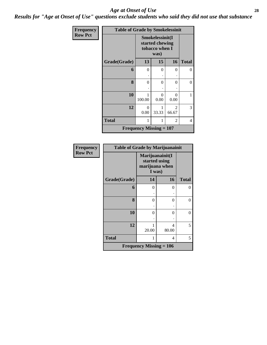#### *Age at Onset of Use* **28**

*Results for "Age at Onset of Use" questions exclude students who said they did not use that substance*

| Frequency      | <b>Table of Grade by Smokelessinit</b> |                                                      |                  |                  |              |  |  |  |
|----------------|----------------------------------------|------------------------------------------------------|------------------|------------------|--------------|--|--|--|
| <b>Row Pct</b> |                                        | Smokelessinit(I<br>started chewing<br>tobacco when I |                  |                  |              |  |  |  |
|                | Grade(Grade)                           | 13                                                   | 15               | 16               | <b>Total</b> |  |  |  |
|                | 6                                      | 0                                                    | $\theta$         | 0                | $\theta$     |  |  |  |
|                |                                        |                                                      |                  |                  |              |  |  |  |
|                | 8                                      | 0                                                    | $\theta$         | 0                | 0            |  |  |  |
|                |                                        |                                                      |                  |                  |              |  |  |  |
|                | 10                                     | 100.00                                               | $\theta$<br>0.00 | $\Omega$<br>0.00 | 1            |  |  |  |
|                | 12                                     | 0<br>0.00                                            | 1<br>33.33       | 2<br>66.67       | 3            |  |  |  |
|                | <b>Total</b>                           | 1                                                    | 2<br>1           |                  |              |  |  |  |
|                |                                        | <b>Frequency Missing = <math>107</math></b>          |                  |                  |              |  |  |  |

| <b>Frequency</b> | <b>Table of Grade by Marijuanainit</b> |                                                              |          |                |  |  |  |
|------------------|----------------------------------------|--------------------------------------------------------------|----------|----------------|--|--|--|
| <b>Row Pct</b>   |                                        | Marijuanainit(I<br>started using<br>marijuana when<br>I was) |          |                |  |  |  |
|                  | Grade(Grade)                           | 14                                                           | 16       | <b>Total</b>   |  |  |  |
|                  | 6                                      | $\Omega$                                                     | 0        | 0              |  |  |  |
|                  |                                        |                                                              |          |                |  |  |  |
|                  | 8                                      | 0                                                            | $\theta$ | $\overline{0}$ |  |  |  |
|                  |                                        |                                                              |          |                |  |  |  |
|                  | 10                                     | 0                                                            | $\theta$ | $\overline{0}$ |  |  |  |
|                  |                                        |                                                              |          |                |  |  |  |
|                  | 12                                     |                                                              | 4        | 5              |  |  |  |
|                  |                                        | 20.00                                                        | 80.00    |                |  |  |  |
|                  | <b>Total</b>                           |                                                              | 4        | 5              |  |  |  |
|                  |                                        | Frequency Missing $= 106$                                    |          |                |  |  |  |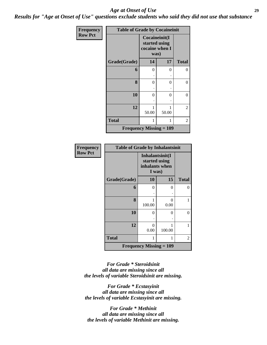#### *Age at Onset of Use* **29**

*Results for "Age at Onset of Use" questions exclude students who said they did not use that substance*

| Frequency      | <b>Table of Grade by Cocaineinit</b> |                                                          |       |              |  |  |  |  |
|----------------|--------------------------------------|----------------------------------------------------------|-------|--------------|--|--|--|--|
| <b>Row Pct</b> |                                      | Cocaineinit(I<br>started using<br>cocaine when I<br>was) |       |              |  |  |  |  |
|                | Grade(Grade)                         | 14                                                       | 17    | <b>Total</b> |  |  |  |  |
|                | 6                                    | 0                                                        | 0     | 0            |  |  |  |  |
|                |                                      |                                                          |       |              |  |  |  |  |
|                | 8                                    | 0                                                        | 0     | 0            |  |  |  |  |
|                |                                      |                                                          |       |              |  |  |  |  |
|                | 10                                   | 0                                                        | 0     | $\theta$     |  |  |  |  |
|                |                                      |                                                          |       |              |  |  |  |  |
|                | 12                                   |                                                          |       | 2            |  |  |  |  |
|                |                                      | 50.00                                                    | 50.00 |              |  |  |  |  |
|                | <b>Total</b>                         | 1                                                        |       | 2            |  |  |  |  |
|                | <b>Frequency Missing = 109</b>       |                                                          |       |              |  |  |  |  |

| Frequency      | <b>Table of Grade by Inhalantsinit</b> |                                                              |             |              |  |  |
|----------------|----------------------------------------|--------------------------------------------------------------|-------------|--------------|--|--|
| <b>Row Pct</b> |                                        | Inhalantsinit(I<br>started using<br>inhalants when<br>I was) |             |              |  |  |
|                | Grade(Grade)                           | 10                                                           | 15          | <b>Total</b> |  |  |
|                | 6                                      | 0                                                            | 0           | 0            |  |  |
|                |                                        |                                                              |             |              |  |  |
|                | 8                                      | 100.00                                                       | 0<br>0.00   | 1            |  |  |
|                | 10                                     | 0                                                            | 0           | $\theta$     |  |  |
|                | 12                                     | 0<br>0.00                                                    | 1<br>100.00 | 1            |  |  |
|                | <b>Total</b>                           | 1                                                            | 1           | 2            |  |  |
|                |                                        | <b>Frequency Missing <math>= 109</math></b>                  |             |              |  |  |

*For Grade \* Steroidsinit all data are missing since all the levels of variable Steroidsinit are missing.*

*For Grade \* Ecstasyinit all data are missing since all the levels of variable Ecstasyinit are missing.*

*For Grade \* Methinit all data are missing since all the levels of variable Methinit are missing.*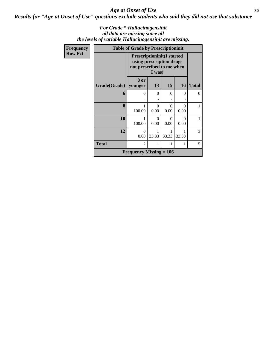Age at Onset of Use 30

*Results for "Age at Onset of Use" questions exclude students who said they did not use that substance*

#### *For Grade \* Hallucinogensinit all data are missing since all the levels of variable Hallucinogensinit are missing.*

| Frequency      |                        | <b>Table of Grade by Prescriptioninit</b>                                                  |                  |           |                           |              |
|----------------|------------------------|--------------------------------------------------------------------------------------------|------------------|-----------|---------------------------|--------------|
| <b>Row Pct</b> |                        | <b>Prescriptioninit(I started</b><br>using prescription drugs<br>not prescribed to me when |                  |           |                           |              |
|                | Grade(Grade)   younger | 8 or                                                                                       | 13               | 15        | <b>16</b>                 | <b>Total</b> |
|                | 6                      | $\Omega$                                                                                   | $\theta$         | $\Omega$  | 0                         | 0            |
|                | 8                      | 100.00                                                                                     | $\Omega$<br>0.00 | 0<br>0.00 | 0<br>0.00                 |              |
|                | 10                     | 100.00                                                                                     | $\Omega$<br>0.00 | 0<br>0.00 | $\mathbf{\Omega}$<br>0.00 | 1            |
|                | 12                     | $\Omega$<br>0.00                                                                           | 1<br>33.33       | 33.33     | 33.33                     | 3            |
|                | <b>Total</b>           | $\overline{2}$                                                                             | 1                | 1         |                           | 5            |
|                |                        | <b>Frequency Missing = 106</b>                                                             |                  |           |                           |              |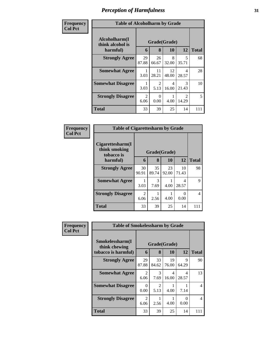| Frequency      | <b>Table of Alcoholharm by Grade</b>          |                                     |                        |             |                                      |              |
|----------------|-----------------------------------------------|-------------------------------------|------------------------|-------------|--------------------------------------|--------------|
| <b>Col Pct</b> | Alcoholharm(I<br>think alcohol is<br>harmful) | 6                                   | Grade(Grade)<br>8      | <b>10</b>   | 12                                   | <b>Total</b> |
|                | <b>Strongly Agree</b>                         | 29<br>87.88                         | 26<br>66.67            | 8<br>32.00  | 5<br>35.71                           | 68           |
|                | <b>Somewhat Agree</b>                         | 3.03                                | 11<br>28.21            | 12<br>48.00 | 4<br>28.57                           | 28           |
|                | <b>Somewhat Disagree</b>                      | 3.03                                | $\mathfrak{D}$<br>5.13 | 4<br>16.00  | $\mathcal{F}$<br>21.43               | 10           |
|                | <b>Strongly Disagree</b>                      | $\mathcal{D}_{\mathcal{L}}$<br>6.06 | $\Omega$<br>0.00       | 4.00        | $\mathcal{D}_{\mathcal{L}}$<br>14.29 | 5            |
|                | <b>Total</b>                                  | 33                                  | 39                     | 25          | 14                                   | 111          |

| Frequency<br>Col Pct |
|----------------------|
|                      |

| <b>Table of Cigarettesharm by Grade</b>         |             |              |             |             |              |  |  |  |
|-------------------------------------------------|-------------|--------------|-------------|-------------|--------------|--|--|--|
| Cigarettesharm(I<br>think smoking<br>tobacco is |             | Grade(Grade) |             |             |              |  |  |  |
| harmful)                                        | 6           | 8            | 10          | 12          | <b>Total</b> |  |  |  |
| <b>Strongly Agree</b>                           | 30<br>90.91 | 35<br>89.74  | 23<br>92.00 | 10<br>71.43 | 98           |  |  |  |
| <b>Somewhat Agree</b>                           | 3.03        | 3<br>7.69    | 4.00        | 4<br>28.57  | q            |  |  |  |
| <b>Strongly Disagree</b>                        | 2<br>6.06   | 2.56         | 4.00        | 0<br>0.00   | 4            |  |  |  |
| <b>Total</b>                                    | 33          | 39           | 25          | 14          |              |  |  |  |

| <b>Frequency</b> | <b>Table of Smokelessharm by Grade</b> |                  |                        |              |                  |              |
|------------------|----------------------------------------|------------------|------------------------|--------------|------------------|--------------|
| <b>Col Pct</b>   | Smokelessharm(I<br>think chewing       |                  |                        | Grade(Grade) |                  |              |
|                  | tobacco is harmful)                    | 6                | 8                      | 10           | 12               | <b>Total</b> |
|                  | <b>Strongly Agree</b>                  | 29<br>87.88      | 33<br>84.62            | 19<br>76.00  | Q<br>64.29       | 90           |
|                  | <b>Somewhat Agree</b>                  | 2<br>6.06        | 3<br>7.69              | 4<br>16.00   | 4<br>28.57       | 13           |
|                  | <b>Somewhat Disagree</b>               | $\Omega$<br>0.00 | $\mathfrak{D}$<br>5.13 | 4.00         | 7.14             | 4            |
|                  | <b>Strongly Disagree</b>               | 2<br>6.06        | 2.56                   | 4.00         | $\Omega$<br>0.00 | 4            |
|                  | Total                                  | 33               | 39                     | 25           | 14               | 111          |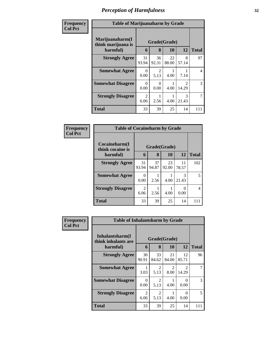| <b>Frequency</b> | <b>Table of Marijuanaharm by Grade</b> |                  |             |             |                         |                |
|------------------|----------------------------------------|------------------|-------------|-------------|-------------------------|----------------|
| <b>Col Pct</b>   | Marijuanaharm(I<br>think marijuana is  | Grade(Grade)     |             |             |                         |                |
|                  | harmful)                               | 6                | 8           | 10          | 12                      | <b>Total</b>   |
|                  | <b>Strongly Agree</b>                  | 31<br>93.94      | 36<br>92.31 | 22<br>88.00 | 8<br>57.14              | 97             |
|                  | <b>Somewhat Agree</b>                  | $\Omega$<br>0.00 | 2<br>5.13   | 4.00        | 7.14                    | 4              |
|                  | <b>Somewhat Disagree</b>               | 0<br>0.00        | 0<br>0.00   | 4.00        | $\mathfrak{D}$<br>14.29 | 3              |
|                  | <b>Strongly Disagree</b>               | 2<br>6.06        | 2.56        | 4.00        | 3<br>21.43              | $\overline{7}$ |
|                  | <b>Total</b>                           | 33               | 39          | 25          | 14                      | 111            |

| Frequency      | <b>Table of Cocaineharm by Grade</b> |                  |             |             |             |                |  |  |
|----------------|--------------------------------------|------------------|-------------|-------------|-------------|----------------|--|--|
| <b>Col Pct</b> | Cocaineharm(I<br>think cocaine is    | Grade(Grade)     |             |             |             |                |  |  |
|                | harmful)                             | 6                | 8           | 10          | 12          | <b>Total</b>   |  |  |
|                | <b>Strongly Agree</b>                | 31<br>93.94      | 37<br>94.87 | 23<br>92.00 | 11<br>78.57 | 102            |  |  |
|                | <b>Somewhat Agree</b>                | $\Omega$<br>0.00 | 2.56        | 4.00        | 3<br>21.43  | 5              |  |  |
|                | <b>Strongly Disagree</b>             | 2<br>6.06        | 2.56        | 4.00        | 0.00        | $\overline{4}$ |  |  |
|                | <b>Total</b>                         | 33               | 39          | 25          | 14          | 111            |  |  |

| <b>Frequency</b> | <b>Table of Inhalantsharm by Grade</b> |                        |                        |                        |                                      |                |  |
|------------------|----------------------------------------|------------------------|------------------------|------------------------|--------------------------------------|----------------|--|
| <b>Col Pct</b>   | Inhalantsharm(I<br>think inhalants are |                        |                        | Grade(Grade)           |                                      |                |  |
|                  | harmful)                               | 6                      | 8                      | 10                     | 12                                   | <b>Total</b>   |  |
|                  | <b>Strongly Agree</b>                  | 30<br>90.91            | 33<br>84.62            | 21<br>84.00            | 12<br>85.71                          | 96             |  |
|                  | <b>Somewhat Agree</b>                  | 3.03                   | $\mathfrak{D}$<br>5.13 | $\mathfrak{D}$<br>8.00 | $\mathcal{D}_{\mathcal{L}}$<br>14.29 | $\overline{7}$ |  |
|                  | <b>Somewhat Disagree</b>               | 0<br>0.00              | $\mathfrak{D}$<br>5.13 | 4.00                   | $\Omega$<br>0.00                     | 3              |  |
|                  | <b>Strongly Disagree</b>               | $\mathfrak{D}$<br>6.06 | 2<br>5.13              | 4.00                   | 0<br>0.00                            | 5              |  |
|                  | <b>Total</b>                           | 33                     | 39                     | 25                     | 14                                   | 111            |  |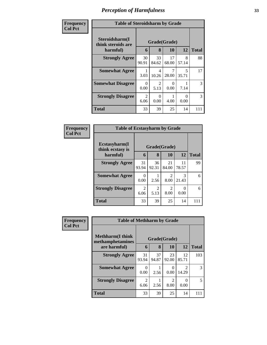| Frequency      | <b>Table of Steroidsharm by Grade</b>            |                                     |                        |                  |                         |              |  |
|----------------|--------------------------------------------------|-------------------------------------|------------------------|------------------|-------------------------|--------------|--|
| <b>Col Pct</b> | Steroidsharm(I<br>think steroids are<br>harmful) | 6                                   | Grade(Grade)<br>8      | 10               | 12                      | <b>Total</b> |  |
|                | <b>Strongly Agree</b>                            | 30<br>90.91                         | 33<br>84.62            | 17<br>68.00      | 8<br>57.14              | 88           |  |
|                | <b>Somewhat Agree</b>                            | 3.03                                | 4<br>10.26             | 28.00            | $\overline{5}$<br>35.71 | 17           |  |
|                | <b>Somewhat Disagree</b>                         | 0<br>0.00                           | $\mathfrak{D}$<br>5.13 | $\Omega$<br>0.00 | 7.14                    | 3            |  |
|                | <b>Strongly Disagree</b>                         | $\mathcal{D}_{\mathcal{L}}$<br>6.06 | 0<br>0.00              | 4.00             | 0<br>0.00               | 3            |  |
|                | Total                                            | 33                                  | 39                     | 25               | 14                      | 111          |  |

| Frequency      | <b>Table of Ecstasyharm by Grade</b> |                        |              |                        |             |              |  |  |
|----------------|--------------------------------------|------------------------|--------------|------------------------|-------------|--------------|--|--|
| <b>Col Pct</b> | Ecstasyharm(I<br>think ecstasy is    |                        | Grade(Grade) |                        |             |              |  |  |
|                | harmful)                             | 6                      | 8            | 10                     | 12          | <b>Total</b> |  |  |
|                | <b>Strongly Agree</b>                | 31<br>93.94            | 36<br>92.31  | 21<br>84.00            | 11<br>78.57 | 99           |  |  |
|                | <b>Somewhat Agree</b>                | 0<br>0.00              | 2.56         | $\mathfrak{D}$<br>8.00 | 3<br>21.43  | 6            |  |  |
|                | <b>Strongly Disagree</b>             | $\overline{2}$<br>6.06 | 2<br>5.13    | $\mathfrak{D}$<br>8.00 | 0<br>0.00   | 6            |  |  |
|                | <b>Total</b>                         | 33                     | 39           | 25                     | 14          | 111          |  |  |

| <b>Frequency</b> | <b>Table of Methharm by Grade</b>            |             |                   |                  |                                      |              |  |
|------------------|----------------------------------------------|-------------|-------------------|------------------|--------------------------------------|--------------|--|
| <b>Col Pct</b>   | <b>Methharm</b> (I think<br>methamphetamines |             | Grade(Grade)<br>8 | 10               | 12                                   | <b>Total</b> |  |
|                  | are harmful)                                 | 6           |                   |                  |                                      |              |  |
|                  | <b>Strongly Agree</b>                        | 31<br>93.94 | 37<br>94.87       | 23<br>92.00      | 12<br>85.71                          | 103          |  |
|                  | <b>Somewhat Agree</b>                        | 0<br>0.00   | 2.56              | $\theta$<br>0.00 | $\mathcal{D}_{\mathcal{L}}$<br>14.29 | 3            |  |
|                  | <b>Strongly Disagree</b>                     | 2<br>6.06   | 2.56              | 2<br>8.00        | 0.00                                 | 5            |  |
|                  | <b>Total</b>                                 | 33          | 39                | 25               | 14                                   | 111          |  |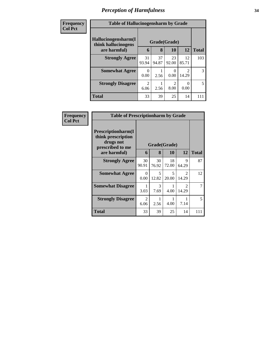| <b>Frequency</b> | <b>Table of Hallucinogensharm by Grade</b> |                        |             |             |             |              |  |
|------------------|--------------------------------------------|------------------------|-------------|-------------|-------------|--------------|--|
| <b>Col Pct</b>   | Hallucinogensharm(I<br>think hallucinogens | Grade(Grade)           |             |             |             |              |  |
|                  | are harmful)                               | 6                      | 8           | 10          | <b>12</b>   | <b>Total</b> |  |
|                  | <b>Strongly Agree</b>                      | 31<br>93.94            | 37<br>94.87 | 23<br>92.00 | 12<br>85.71 | 103          |  |
|                  | <b>Somewhat Agree</b>                      | 0<br>0.00              | 2.56        | 0<br>0.00   | 14.29       | 3            |  |
|                  | <b>Strongly Disagree</b>                   | $\overline{2}$<br>6.06 | 2.56        | 2<br>8.00   | 0.00        | 5            |  |
|                  | <b>Total</b>                               | 33                     | 39          | 25          | 14          | 111          |  |

| <b>Frequency</b> |                                                                                   | <b>Table of Prescriptionharm by Grade</b> |                                   |             |                                      |              |  |  |
|------------------|-----------------------------------------------------------------------------------|-------------------------------------------|-----------------------------------|-------------|--------------------------------------|--------------|--|--|
| <b>Col Pct</b>   | <b>Prescriptionharm(I)</b><br>think prescription<br>drugs not<br>prescribed to me |                                           | Grade(Grade)                      |             |                                      |              |  |  |
|                  | are harmful)                                                                      | 6                                         | 8                                 | <b>10</b>   | 12                                   | <b>Total</b> |  |  |
|                  | <b>Strongly Agree</b>                                                             | 30<br>90.91                               | 30<br>76.92                       | 18<br>72.00 | 9<br>64.29                           | 87           |  |  |
|                  | <b>Somewhat Agree</b>                                                             | $\Omega$<br>0.00                          | $\overline{\mathcal{L}}$<br>12.82 | 5<br>20.00  | $\mathcal{D}_{\mathcal{L}}$<br>14.29 | 12           |  |  |
|                  | <b>Somewhat Disagree</b>                                                          | 3.03                                      | 3<br>7.69                         | 4.00        | $\mathcal{D}_{\mathcal{L}}$<br>14.29 | 7            |  |  |
|                  | <b>Strongly Disagree</b>                                                          | $\mathfrak{D}$<br>6.06                    | 2.56                              | 4.00        | 7.14                                 | 5            |  |  |
|                  | Total                                                                             | 33                                        | 39                                | 25          | 14                                   | 111          |  |  |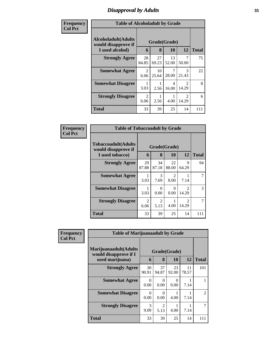### *Disapproval by Adults* **35**

| <b>Frequency</b> | <b>Table of Alcoholadult by Grade</b>              |                        |             |             |                                      |              |  |
|------------------|----------------------------------------------------|------------------------|-------------|-------------|--------------------------------------|--------------|--|
| <b>Col Pct</b>   | <b>Alcoholadult</b> (Adults<br>would disapprove if | Grade(Grade)           |             |             |                                      |              |  |
|                  | I used alcohol)                                    | 6                      | 8           | <b>10</b>   | 12                                   | <b>Total</b> |  |
|                  | <b>Strongly Agree</b>                              | 28<br>84.85            | 27<br>69.23 | 13<br>52.00 | 7<br>50.00                           | 75           |  |
|                  | <b>Somewhat Agree</b>                              | 2<br>6.06              | 10<br>25.64 | 7<br>28.00  | $\mathcal{R}$<br>21.43               | 22           |  |
|                  | <b>Somewhat Disagree</b>                           | 3.03                   | 2.56        | 4<br>16.00  | $\mathcal{D}_{\mathcal{A}}$<br>14.29 | 8            |  |
|                  | <b>Strongly Disagree</b>                           | $\overline{2}$<br>6.06 | 2.56        | 4.00        | $\mathcal{D}_{\mathcal{A}}$<br>14.29 | 6            |  |
|                  | <b>Total</b>                                       | 33                     | 39          | 25          | 14                                   | 111          |  |

| Frequency      | <b>Table of Tobaccoadult by Grade</b>                                |                   |                                     |                        |                        |     |  |  |
|----------------|----------------------------------------------------------------------|-------------------|-------------------------------------|------------------------|------------------------|-----|--|--|
| <b>Col Pct</b> | <b>Tobaccoadult(Adults</b><br>would disapprove if<br>I used tobacco) | Grade(Grade)<br>6 | <b>Total</b>                        |                        |                        |     |  |  |
|                | <b>Strongly Agree</b>                                                | 29<br>87.88       | 34<br>87.18                         | 22<br>88.00            | 9<br>64.29             | 94  |  |  |
|                | <b>Somewhat Agree</b>                                                | 3.03              | 3<br>7.69                           | $\mathfrak{D}$<br>8.00 | 7.14                   | 7   |  |  |
|                | <b>Somewhat Disagree</b>                                             | 3.03              | $\mathbf{\Omega}$<br>0.00           | 0<br>0.00              | $\mathcal{D}$<br>14.29 | 3   |  |  |
|                | <b>Strongly Disagree</b>                                             | 2<br>6.06         | $\mathcal{D}_{\mathcal{L}}$<br>5.13 | 4.00                   | $\mathcal{D}$<br>14.29 | 7   |  |  |
|                | <b>Total</b>                                                         | 33                | 39                                  | 25                     | 14                     | 111 |  |  |

| Frequency      | <b>Table of Marijuanaadult by Grade</b>                        |                  |                        |             |             |                |  |
|----------------|----------------------------------------------------------------|------------------|------------------------|-------------|-------------|----------------|--|
| <b>Col Pct</b> | Marijuanaadult(Adults<br>Grade(Grade)<br>would disapprove if I |                  |                        |             |             |                |  |
|                | used marijuana)                                                | 6                | 8                      | 10          | 12          | <b>Total</b>   |  |
|                | <b>Strongly Agree</b>                                          | 30<br>90.91      | 37<br>94.87            | 23<br>92.00 | 11<br>78.57 | 101            |  |
|                | <b>Somewhat Agree</b>                                          | $\Omega$<br>0.00 | $\theta$<br>0.00       | 0<br>0.00   | 7.14        |                |  |
|                | <b>Somewhat Disagree</b>                                       | ∩<br>0.00        | 0<br>0.00              | 4.00        | 7.14        | $\mathfrak{D}$ |  |
|                | <b>Strongly Disagree</b>                                       | 3<br>9.09        | $\mathfrak{D}$<br>5.13 | 4.00        | 7.14        | $\mathcal{I}$  |  |
|                | <b>Total</b>                                                   | 33               | 39                     | 25          | 14          | 111            |  |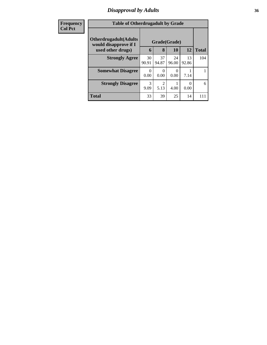### *Disapproval by Adults* **36**

| <b>Frequency</b> | <b>Table of Otherdrugadult by Grade</b>                |              |                  |             |             |              |
|------------------|--------------------------------------------------------|--------------|------------------|-------------|-------------|--------------|
| <b>Col Pct</b>   | <b>Otherdrugadult</b> (Adults<br>would disapprove if I | Grade(Grade) |                  |             |             |              |
|                  | used other drugs)                                      | 6            | 8                | 10          | <b>12</b>   | <b>Total</b> |
|                  | <b>Strongly Agree</b>                                  | 30<br>90.91  | 37<br>94.87      | 24<br>96.00 | 13<br>92.86 | 104          |
|                  | <b>Somewhat Disagree</b>                               | 0<br>0.00    | $\theta$<br>0.00 | 0.00        | 7.14        |              |
|                  | <b>Strongly Disagree</b>                               | 3<br>9.09    | 2<br>5.13        | 4.00        | 0<br>0.00   | 6            |
|                  | <b>Total</b>                                           | 33           | 39               | 25          | 14          | 111          |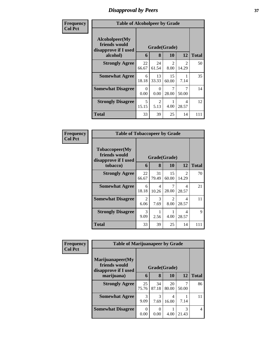## *Disapproval by Peers* **37**

| Frequency      | <b>Table of Alcoholpeer by Grade</b>                    |              |                  |                                     |                                      |              |
|----------------|---------------------------------------------------------|--------------|------------------|-------------------------------------|--------------------------------------|--------------|
| <b>Col Pct</b> | Alcoholpeer(My<br>friends would<br>disapprove if I used | Grade(Grade) |                  |                                     |                                      |              |
|                | alcohol)                                                | 6            | 8                | 10                                  | 12                                   | <b>Total</b> |
|                | <b>Strongly Agree</b>                                   | 22<br>66.67  | 24<br>61.54      | $\mathcal{D}_{\mathcal{L}}$<br>8.00 | $\mathcal{D}_{\mathcal{L}}$<br>14.29 | 50           |
|                | <b>Somewhat Agree</b>                                   | 6<br>18.18   | 13<br>33.33      | 15<br>60.00                         | 7.14                                 | 35           |
|                | <b>Somewhat Disagree</b>                                | 0<br>0.00    | $\Omega$<br>0.00 | 7<br>28.00                          | 7<br>50.00                           | 14           |
|                | <b>Strongly Disagree</b>                                | 5<br>15.15   | 2<br>5.13        | 4.00                                | 4<br>28.57                           | 12           |
|                | Total                                                   | 33           | 39               | 25                                  | 14                                   | 111          |

| Frequency      | <b>Table of Tobaccopeer by Grade</b>                    |              |             |                        |                         |              |
|----------------|---------------------------------------------------------|--------------|-------------|------------------------|-------------------------|--------------|
| <b>Col Pct</b> | Tobaccopeer(My<br>friends would<br>disapprove if I used | Grade(Grade) |             |                        |                         |              |
|                | tobacco)                                                | 6            | 8           | 10                     | 12                      | <b>Total</b> |
|                | <b>Strongly Agree</b>                                   | 22<br>66.67  | 31<br>79.49 | 15<br>60.00            | $\mathfrak{D}$<br>14.29 | 70           |
|                | <b>Somewhat Agree</b>                                   | 6<br>18.18   | 4<br>10.26  | 7<br>28.00             | 4<br>28.57              | 21           |
|                | <b>Somewhat Disagree</b>                                | 2<br>6.06    | 3<br>7.69   | $\mathfrak{D}$<br>8.00 | 4<br>28.57              | 11           |
|                | <b>Strongly Disagree</b>                                | 3<br>9.09    | 2.56        | 4.00                   | 4<br>28.57              | 9            |
|                | <b>Total</b>                                            | 33           | 39          | 25                     | 14                      | 111          |

| Frequency      | <b>Table of Marijuanapeer by Grade</b> |              |             |             |            |              |
|----------------|----------------------------------------|--------------|-------------|-------------|------------|--------------|
| <b>Col Pct</b> | Marijuanapeer(My<br>friends would      | Grade(Grade) |             |             |            |              |
|                | disapprove if I used<br>marijuana)     | 6            | 8           | 10          | 12         | <b>Total</b> |
|                | <b>Strongly Agree</b>                  | 25<br>75.76  | 34<br>87.18 | 20<br>80.00 | 50.00      | 86           |
|                | <b>Somewhat Agree</b>                  | 3<br>9.09    | 3<br>7.69   | 4<br>16.00  | 7.14       | 11           |
|                | <b>Somewhat Disagree</b>               | 0<br>0.00    | 0<br>0.00   | 4.00        | 3<br>21.43 | 4            |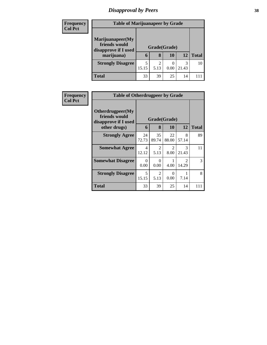# *Disapproval by Peers* **38**

| <b>Frequency</b><br><b>Col Pct</b> | <b>Table of Marijuanapeer by Grade</b> |              |      |      |       |              |
|------------------------------------|----------------------------------------|--------------|------|------|-------|--------------|
|                                    | Marijuanapeer(My<br>friends would      |              |      |      |       |              |
|                                    | disapprove if I used                   | Grade(Grade) |      |      |       |              |
|                                    | marijuana)                             | 6            | 8    | 10   | 12    | <b>Total</b> |
|                                    | <b>Strongly Disagree</b>               |              |      |      | 3     | 10           |
|                                    |                                        | 15.15        | 5.13 | 0.00 | 21.43 |              |
|                                    | <b>Total</b>                           | 33           | 39   | 25   | 14    |              |

| <b>Frequency</b><br><b>Col Pct</b> | <b>Table of Otherdrugpeer by Grade</b>                                            |                   |                        |                        |                                      |     |
|------------------------------------|-----------------------------------------------------------------------------------|-------------------|------------------------|------------------------|--------------------------------------|-----|
|                                    | <b>Otherdrugpeer</b> (My<br>friends would<br>disapprove if I used<br>other drugs) | Grade(Grade)<br>6 | 12                     | <b>Total</b>           |                                      |     |
|                                    | <b>Strongly Agree</b>                                                             | 24<br>72.73       | 35<br>89.74            | 22<br>88.00            | 8<br>57.14                           | 89  |
|                                    | <b>Somewhat Agree</b>                                                             | 4<br>12.12        | $\mathcal{L}$<br>5.13  | $\mathfrak{D}$<br>8.00 | 3<br>21.43                           | 11  |
|                                    | <b>Somewhat Disagree</b>                                                          | $\Omega$<br>0.00  | $\Omega$<br>0.00       | 4.00                   | $\mathcal{D}_{\mathcal{L}}$<br>14.29 | 3   |
|                                    | <b>Strongly Disagree</b>                                                          | 5<br>15.15        | $\mathfrak{D}$<br>5.13 | 0<br>0.00              | 7.14                                 | 8   |
|                                    | Total                                                                             | 33                | 39                     | 25                     | 14                                   | 111 |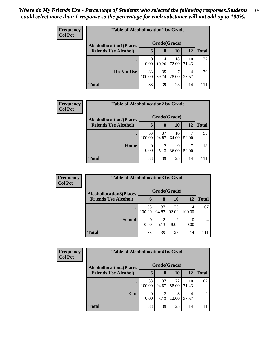| <b>Frequency</b> | <b>Table of Alcohollocation1 by Grade</b> |              |             |             |             |              |  |  |
|------------------|-------------------------------------------|--------------|-------------|-------------|-------------|--------------|--|--|
| <b>Col Pct</b>   | <b>Alcohollocation1(Places</b>            | Grade(Grade) |             |             |             |              |  |  |
|                  | <b>Friends Use Alcohol)</b>               | 6            | 8           | 10          | 12          | <b>Total</b> |  |  |
|                  |                                           | 0<br>0.00    | 4<br>10.26  | 18<br>72.00 | 10<br>71.43 | 32           |  |  |
|                  | Do Not Use                                | 33<br>100.00 | 35<br>89.74 | 28.00       | 4<br>28.57  | 79           |  |  |
|                  | <b>Total</b>                              | 33           | 39          | 25          | 14          | 111          |  |  |

| <b>Frequency</b> | <b>Table of Alcohollocation2 by Grade</b> |              |             |             |       |              |  |  |  |
|------------------|-------------------------------------------|--------------|-------------|-------------|-------|--------------|--|--|--|
| <b>Col Pct</b>   | <b>Alcohollocation2(Places</b>            | Grade(Grade) |             |             |       |              |  |  |  |
|                  | <b>Friends Use Alcohol)</b>               | 6            | 8           | <b>10</b>   | 12    | <b>Total</b> |  |  |  |
|                  |                                           | 33<br>100.00 | 37<br>94.87 | 16<br>64.00 | 50.00 | 93           |  |  |  |
|                  | Home                                      | 0<br>0.00    | റ<br>5.13   | Q<br>36.00  | 50.00 | 18           |  |  |  |
|                  | <b>Total</b>                              | 33           | 39          | 25          | 14    |              |  |  |  |

| <b>Frequency</b> |                                | <b>Table of Alcohollocation 3 by Grade</b> |             |             |              |              |  |  |  |  |
|------------------|--------------------------------|--------------------------------------------|-------------|-------------|--------------|--------------|--|--|--|--|
| <b>Col Pct</b>   | <b>Alcohollocation3(Places</b> | Grade(Grade)                               |             |             |              |              |  |  |  |  |
|                  | <b>Friends Use Alcohol)</b>    | 6                                          | 8           | 10          | 12           | <b>Total</b> |  |  |  |  |
|                  |                                | 33<br>100.00                               | 37<br>94.87 | 23<br>92.00 | 14<br>100.00 | 107          |  |  |  |  |
|                  | <b>School</b>                  | 0.00                                       | 5.13        | 2<br>8.00   | 0.00         |              |  |  |  |  |
|                  | <b>Total</b>                   | 33                                         | 39          | 25          | 14           |              |  |  |  |  |

| Frequency      | <b>Table of Alcohollocation4 by Grade</b> |              |                        |             |             |              |  |  |  |
|----------------|-------------------------------------------|--------------|------------------------|-------------|-------------|--------------|--|--|--|
| <b>Col Pct</b> | <b>Alcohollocation4(Places</b>            | Grade(Grade) |                        |             |             |              |  |  |  |
|                | <b>Friends Use Alcohol)</b>               | $\mathbf b$  | 8                      | 10          | 12          | <b>Total</b> |  |  |  |
|                |                                           | 33<br>100.00 | 37<br>94.87            | 22<br>88.00 | 10<br>71.43 | 102          |  |  |  |
|                | Car                                       | 0.00         | $\overline{c}$<br>5.13 | 12.00       | 4<br>28.57  | 9            |  |  |  |
|                | <b>Total</b>                              | 33           | 39                     | 25          | 14          |              |  |  |  |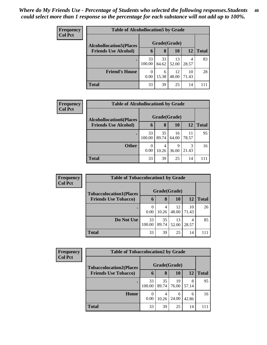| <b>Frequency</b> | <b>Table of Alcohollocation5 by Grade</b> |              |             |             |             |              |  |  |
|------------------|-------------------------------------------|--------------|-------------|-------------|-------------|--------------|--|--|
| <b>Col Pct</b>   | <b>Alcohollocation5</b> (Places           | Grade(Grade) |             |             |             |              |  |  |
|                  | <b>Friends Use Alcohol)</b>               | 6            | 8           | 10          | 12          | <b>Total</b> |  |  |
|                  |                                           | 33<br>100.00 | 33<br>84.62 | 13<br>52.00 | 4<br>28.57  | 83           |  |  |
|                  | <b>Friend's House</b>                     | 0<br>0.00    | 6<br>15.38  | 12<br>48.00 | 10<br>71.43 | 28           |  |  |
|                  | <b>Total</b>                              | 33           | 39          | 25          | 14          | 111          |  |  |

| <b>Frequency</b> | <b>Table of Alcohollocation6 by Grade</b> |                  |              |             |             |              |  |  |
|------------------|-------------------------------------------|------------------|--------------|-------------|-------------|--------------|--|--|
| <b>Col Pct</b>   | <b>Alcohollocation6(Places</b>            |                  | Grade(Grade) |             |             |              |  |  |
|                  | <b>Friends Use Alcohol)</b>               | 6                | 8            | 10          | 12          | <b>Total</b> |  |  |
|                  |                                           | 33<br>100.00     | 35<br>89.74  | 16<br>64.00 | 11<br>78.57 | 95           |  |  |
|                  | <b>Other</b>                              | $\Omega$<br>0.00 | 4<br>10.26   | Q<br>36.00  | 3<br>21.43  | 16           |  |  |
|                  | <b>Total</b>                              | 33               | 39           | 25          | 14          |              |  |  |

| <b>Frequency</b> | <b>Table of Tobaccolocation1 by Grade</b> |                  |             |             |             |              |  |  |  |
|------------------|-------------------------------------------|------------------|-------------|-------------|-------------|--------------|--|--|--|
| <b>Col Pct</b>   | <b>Tobaccolocation1(Places</b>            | Grade(Grade)     |             |             |             |              |  |  |  |
|                  | <b>Friends Use Tobacco)</b>               | $\mathbf b$      | 8           | 10          | 12          | <b>Total</b> |  |  |  |
|                  |                                           | $\Omega$<br>0.00 | 4<br>10.26  | 12<br>48.00 | 10<br>71.43 | 26           |  |  |  |
|                  | Do Not Use                                | 33<br>100.00     | 35<br>89.74 | 13<br>52.00 | 4<br>28.57  | 85           |  |  |  |
|                  | Total                                     | 33               | 39          | 25          | 14          |              |  |  |  |

| <b>Frequency</b> |                                | <b>Table of Tobaccolocation2 by Grade</b> |             |             |            |              |  |  |  |  |
|------------------|--------------------------------|-------------------------------------------|-------------|-------------|------------|--------------|--|--|--|--|
| <b>Col Pct</b>   | <b>Tobaccolocation2(Places</b> | Grade(Grade)                              |             |             |            |              |  |  |  |  |
|                  | <b>Friends Use Tobacco)</b>    | $\mathbf b$                               | 8           | 10          | 12         | <b>Total</b> |  |  |  |  |
|                  |                                | 33<br>100.00                              | 35<br>89.74 | 19<br>76.00 | 8<br>57.14 | 95           |  |  |  |  |
|                  | Home                           | 0<br>0.00                                 | 4<br>10.26  | 6<br>24.00  | 6<br>42.86 | 16           |  |  |  |  |
|                  | <b>Total</b>                   | 33                                        | 39          | 25          | 14         |              |  |  |  |  |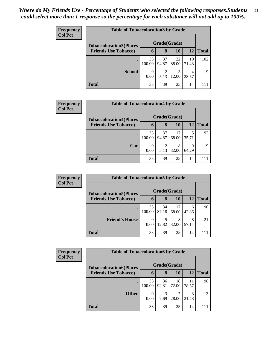| <b>Frequency</b> | <b>Table of Tobaccolocation 3 by Grade</b> |              |                        |             |             |              |  |  |  |
|------------------|--------------------------------------------|--------------|------------------------|-------------|-------------|--------------|--|--|--|
| <b>Col Pct</b>   | <b>Tobaccolocation3(Places</b>             | Grade(Grade) |                        |             |             |              |  |  |  |
|                  | <b>Friends Use Tobacco)</b>                | 6            | 8                      | 10          | 12          | <b>Total</b> |  |  |  |
|                  |                                            | 33<br>100.00 | 37<br>94.87            | 22<br>88.00 | 10<br>71.43 | 102          |  |  |  |
|                  | <b>School</b>                              | 0<br>0.00    | $\overline{2}$<br>5.13 | 3<br>12.00  | 4<br>28.57  | Q            |  |  |  |
|                  | <b>Total</b>                               | 33           | 39                     | 25          | 14          | 111          |  |  |  |

| <b>Frequency</b> |                                | <b>Table of Tobaccolocation4 by Grade</b> |             |             |            |              |  |  |  |  |
|------------------|--------------------------------|-------------------------------------------|-------------|-------------|------------|--------------|--|--|--|--|
| <b>Col Pct</b>   | <b>Tobaccolocation4(Places</b> | Grade(Grade)                              |             |             |            |              |  |  |  |  |
|                  | <b>Friends Use Tobacco)</b>    | 6                                         | 8           | 10          | 12         | <b>Total</b> |  |  |  |  |
|                  |                                | 33<br>100.00                              | 37<br>94.87 | 17<br>68.00 | 5<br>35.71 | 92           |  |  |  |  |
|                  | Car                            | $\theta$<br>0.00                          | 2<br>5.13   | 8<br>32.00  | Q<br>64.29 | 19           |  |  |  |  |
|                  | <b>Total</b>                   | 33                                        | 39          | 25          | 14         |              |  |  |  |  |

| Frequency      | <b>Table of Tobaccolocation5 by Grade</b> |              |             |             |            |              |
|----------------|-------------------------------------------|--------------|-------------|-------------|------------|--------------|
| <b>Col Pct</b> | <b>Tobaccolocation5(Places</b>            | Grade(Grade) |             |             |            |              |
|                | <b>Friends Use Tobacco)</b>               | 6            | 8           | 10          | 12         | <b>Total</b> |
|                |                                           | 33<br>100.00 | 34<br>87.18 | 17<br>68.00 | 6<br>42.86 | 90           |
|                | <b>Friend's House</b>                     | 0<br>0.00    | 5<br>12.82  | 32.00       | 8<br>57.14 | 21           |
|                | <b>Total</b>                              | 33           | 39          | 25          | 14         |              |

| Frequency      |                                | <b>Table of Tobaccolocation6 by Grade</b> |             |             |             |              |  |  |  |  |
|----------------|--------------------------------|-------------------------------------------|-------------|-------------|-------------|--------------|--|--|--|--|
| <b>Col Pct</b> | <b>Tobaccolocation6(Places</b> | Grade(Grade)                              |             |             |             |              |  |  |  |  |
|                | <b>Friends Use Tobacco)</b>    | 6                                         | 8           | 10          | 12          | <b>Total</b> |  |  |  |  |
|                |                                | 33<br>100.00                              | 36<br>92.31 | 18<br>72.00 | 11<br>78.57 | 98           |  |  |  |  |
|                | <b>Other</b>                   | 0<br>0.00                                 | 3<br>7.69   | 28.00       | 3<br>21.43  | 13           |  |  |  |  |
|                | <b>Total</b>                   | 33                                        | 39          | 25          | 14          |              |  |  |  |  |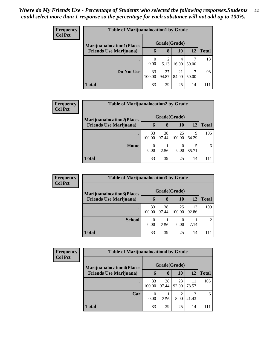| <b>Frequency</b> |                                  | <b>Table of Marijuanalocation1 by Grade</b> |             |             |            |              |  |  |  |  |
|------------------|----------------------------------|---------------------------------------------|-------------|-------------|------------|--------------|--|--|--|--|
| <b>Col Pct</b>   | <b>Marijuanalocation1(Places</b> | Grade(Grade)                                |             |             |            |              |  |  |  |  |
|                  | <b>Friends Use Marijuana</b> )   | 6                                           | 8           | 10          | 12         | <b>Total</b> |  |  |  |  |
|                  |                                  | 0.00                                        | 5.13        | 4<br>16.00  | 50.00      | 13           |  |  |  |  |
|                  | Do Not Use                       | 33<br>100.00                                | 37<br>94.87 | 21<br>84.00 | ⇁<br>50.00 | 98           |  |  |  |  |
|                  | <b>Total</b>                     | 33                                          | 39          | 25          | 14         | 111          |  |  |  |  |

| <b>Frequency</b> | <b>Table of Marijuanalocation2 by Grade</b> |                  |             |              |            |              |
|------------------|---------------------------------------------|------------------|-------------|--------------|------------|--------------|
| <b>Col Pct</b>   | <b>Marijuanalocation2(Places</b>            |                  |             | Grade(Grade) |            |              |
|                  | <b>Friends Use Marijuana</b> )              | $\mathbf b$      | 8           | 10           | <b>12</b>  | <b>Total</b> |
|                  |                                             | 33<br>100.00     | 38<br>97.44 | 25<br>100.00 | Q<br>64.29 | 105          |
|                  | Home                                        | $\theta$<br>0.00 | 2.56        | 0<br>0.00    | 35.71      | 6            |
|                  | <b>Total</b>                                | 33               | 39          | 25           | 14         | 111          |

| <b>Frequency</b> |                                   | <b>Table of Marijuanalocation3 by Grade</b> |             |              |             |                |  |  |  |
|------------------|-----------------------------------|---------------------------------------------|-------------|--------------|-------------|----------------|--|--|--|
| <b>Col Pct</b>   | <b>Marijuanalocation3(Places)</b> | Grade(Grade)                                |             |              |             |                |  |  |  |
|                  | <b>Friends Use Marijuana</b> )    | 6                                           | 8           | 10           | <b>12</b>   | <b>Total</b>   |  |  |  |
|                  |                                   | 33<br>100.00                                | 38<br>97.44 | 25<br>100.00 | 13<br>92.86 | 109            |  |  |  |
|                  | <b>School</b>                     | 0.00                                        | 2.56        | 0.00         | 7.14        | $\overline{2}$ |  |  |  |
|                  | <b>Total</b>                      | 33                                          | 39          | 25           | 14          | 111            |  |  |  |

| Frequency<br><b>Col Pct</b> |                                  | <b>Table of Marijuanalocation4 by Grade</b> |             |             |             |              |  |  |  |
|-----------------------------|----------------------------------|---------------------------------------------|-------------|-------------|-------------|--------------|--|--|--|
|                             | <b>Marijuanalocation4(Places</b> | Grade(Grade)                                |             |             |             |              |  |  |  |
|                             | <b>Friends Use Marijuana</b> )   | $\mathbf b$                                 | 8           | 10          | 12          | <b>Total</b> |  |  |  |
|                             |                                  | 33<br>100.00                                | 38<br>97.44 | 23<br>92.00 | 11<br>78.57 | 105          |  |  |  |
|                             | Car                              | 0<br>0.00                                   | 2.56        | ↑<br>8.00   | 21.43       | 6            |  |  |  |
|                             | <b>Total</b>                     | 33                                          | 39          | 25          | 14          |              |  |  |  |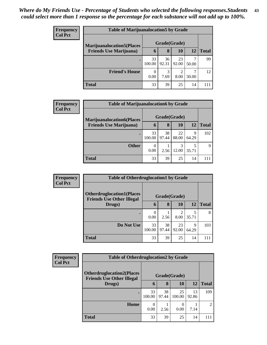| <b>Frequency</b> | <b>Table of Marijuanalocation5 by Grade</b> |              |             |             |            |              |
|------------------|---------------------------------------------|--------------|-------------|-------------|------------|--------------|
| <b>Col Pct</b>   | <b>Marijuanalocation5</b> (Places           | Grade(Grade) |             |             |            |              |
|                  | <b>Friends Use Marijuana</b> )              | 6            | 8           | 10          | 12         | <b>Total</b> |
|                  |                                             | 33<br>100.00 | 36<br>92.31 | 23<br>92.00 | 50.00      | 99           |
|                  | <b>Friend's House</b>                       | 0.00         | 3<br>7.69   | 2<br>8.00   | ┑<br>50.00 | 12           |
|                  | <b>Total</b>                                | 33           | 39          | 25          | 14         | 111          |

| Frequency      |                                   | <b>Table of Marijuanalocation6 by Grade</b> |              |           |       |              |  |  |  |  |
|----------------|-----------------------------------|---------------------------------------------|--------------|-----------|-------|--------------|--|--|--|--|
| <b>Col Pct</b> | <b>Marijuanalocation6(Places)</b> |                                             | Grade(Grade) |           |       |              |  |  |  |  |
|                | <b>Friends Use Marijuana</b> )    | 6                                           | 8            | <b>10</b> | 12    | <b>Total</b> |  |  |  |  |
|                |                                   | 33                                          | 38           | 22        | 9     | 102          |  |  |  |  |
|                |                                   | 100.00                                      | 97.44        | 88.00     | 64.29 |              |  |  |  |  |
|                | <b>Other</b>                      | $\Omega$                                    |              |           |       | $\mathbf Q$  |  |  |  |  |
|                |                                   | 0.00                                        | 2.56         | 12.00     | 35.71 |              |  |  |  |  |
|                | <b>Total</b>                      | 33                                          | 39           | 25        | 14    | 111          |  |  |  |  |

| <b>Frequency</b> |                                                                      | <b>Table of Otherdruglocation1 by Grade</b> |             |                                     |            |              |  |  |
|------------------|----------------------------------------------------------------------|---------------------------------------------|-------------|-------------------------------------|------------|--------------|--|--|
| <b>Col Pct</b>   | <b>Otherdruglocation1(Places</b><br><b>Friends Use Other Illegal</b> | Grade(Grade)                                |             |                                     |            |              |  |  |
|                  | Drugs)                                                               | $\mathbf b$                                 | 8           | 10                                  | 12         | <b>Total</b> |  |  |
|                  |                                                                      | 0.00                                        | 2.56        | $\mathcal{D}_{\mathcal{L}}$<br>8.00 | 5<br>35.71 | 8            |  |  |
|                  | Do Not Use                                                           | 33<br>100.00                                | 38<br>97.44 | 23<br>92.00                         | 9<br>64.29 | 103          |  |  |
|                  | <b>Total</b>                                                         | 33                                          | 39          | 25                                  | 14         | 111          |  |  |

| <b>Frequency</b> | <b>Table of Otherdruglocation2 by Grade</b>                           |              |             |              |             |                |  |
|------------------|-----------------------------------------------------------------------|--------------|-------------|--------------|-------------|----------------|--|
| <b>Col Pct</b>   | <b>Otherdruglocation2(Places)</b><br><b>Friends Use Other Illegal</b> | Grade(Grade) |             |              |             |                |  |
|                  | Drugs)                                                                | 6            | 8           | 10           | 12          | <b>Total</b>   |  |
|                  |                                                                       | 33<br>100.00 | 38<br>97.44 | 25<br>100.00 | 13<br>92.86 | 109            |  |
|                  | Home                                                                  | 0<br>0.00    | 2.56        | 0.00         | 7.14        | $\overline{c}$ |  |
|                  | <b>Total</b>                                                          | 33           | 39          | 25           | 14          | 111            |  |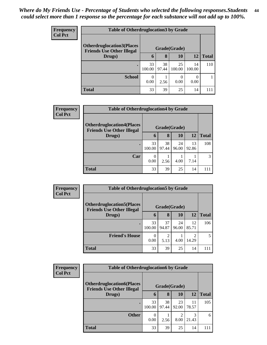| Frequency<br>Col Pct |
|----------------------|

| iency |                                                                      | <b>Table of Otherdruglocation3 by Grade</b> |             |              |              |              |  |  |  |  |
|-------|----------------------------------------------------------------------|---------------------------------------------|-------------|--------------|--------------|--------------|--|--|--|--|
| 'ct   | <b>Otherdruglocation3(Places</b><br><b>Friends Use Other Illegal</b> | Grade(Grade)                                |             |              |              |              |  |  |  |  |
|       | Drugs)                                                               | 6                                           | 8           | 10           | 12           | <b>Total</b> |  |  |  |  |
|       | ٠                                                                    | 33<br>100.00                                | 38<br>97.44 | 25<br>100.00 | 14<br>100.00 | 110          |  |  |  |  |
|       | <b>School</b>                                                        | 0<br>0.00                                   | 2.56        | 0.00         | 0.00         |              |  |  |  |  |
|       | Total                                                                | 33                                          | 39          | 25           | 14           | 111          |  |  |  |  |

| <b>Frequency</b> | <b>Table of Otherdruglocation4 by Grade</b>                           |              |             |             |             |              |  |
|------------------|-----------------------------------------------------------------------|--------------|-------------|-------------|-------------|--------------|--|
| <b>Col Pct</b>   | <b>Otherdruglocation4(Places)</b><br><b>Friends Use Other Illegal</b> | Grade(Grade) |             |             |             |              |  |
|                  | Drugs)                                                                | 6            | 8           | 10          | 12          | <b>Total</b> |  |
|                  | $\bullet$                                                             | 33<br>100.00 | 38<br>97.44 | 24<br>96.00 | 13<br>92.86 | 108          |  |
|                  | Car                                                                   | 0<br>0.00    | 2.56        | 4.00        | 7.14        | 3            |  |
|                  | <b>Total</b>                                                          | 33           | 39          | 25          | 14          | 111          |  |

| Frequency      |                                                                       | <b>Table of Otherdruglocation5 by Grade</b> |             |             |             |              |  |  |
|----------------|-----------------------------------------------------------------------|---------------------------------------------|-------------|-------------|-------------|--------------|--|--|
| <b>Col Pct</b> | <b>Otherdruglocation5</b> (Places<br><b>Friends Use Other Illegal</b> | Grade(Grade)                                |             |             |             |              |  |  |
|                | Drugs)                                                                | $\mathbf b$                                 | 8           | 10          | <b>12</b>   | <b>Total</b> |  |  |
|                |                                                                       | 33<br>100.00                                | 37<br>94.87 | 24<br>96.00 | 12<br>85.71 | 106          |  |  |
|                | <b>Friend's House</b>                                                 | $\Omega$<br>0.00                            | ာ<br>5.13   | 4.00        | 2<br>14.29  | 5            |  |  |
|                | <b>Total</b>                                                          | 33                                          | 39          | 25          | 14          | 111          |  |  |

| <b>Frequency</b> | <b>Table of Otherdruglocation6 by Grade</b>                           |              |             |             |             |              |
|------------------|-----------------------------------------------------------------------|--------------|-------------|-------------|-------------|--------------|
| <b>Col Pct</b>   | <b>Otherdruglocation6(Places)</b><br><b>Friends Use Other Illegal</b> | Grade(Grade) |             |             |             |              |
|                  | Drugs)                                                                | $\mathbf b$  | 8           | 10          | 12          | <b>Total</b> |
|                  |                                                                       | 33<br>100.00 | 38<br>97.44 | 23<br>92.00 | 11<br>78.57 | 105          |
|                  | <b>Other</b>                                                          | 0<br>0.00    | 2.56        | 8.00        | 3<br>21.43  | 6            |
|                  | <b>Total</b>                                                          | 33           | 39          | 25          | 14          | 111          |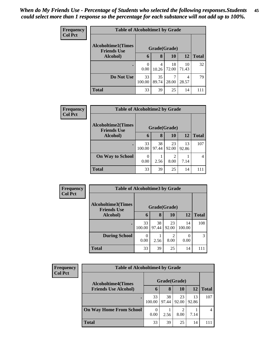| Frequency<br><b>Col Pct</b> | <b>Table of Alcoholtime1 by Grade</b>           |              |             |             |             |              |  |  |
|-----------------------------|-------------------------------------------------|--------------|-------------|-------------|-------------|--------------|--|--|
|                             | <b>Alcoholtime1(Times</b><br><b>Friends Use</b> | Grade(Grade) |             |             |             |              |  |  |
|                             | Alcohol)                                        | 6            | 8           | 10          | 12          | <b>Total</b> |  |  |
|                             | $\bullet$                                       | 0.00         | 4<br>10.26  | 18<br>72.00 | 10<br>71.43 | 32           |  |  |
|                             | Do Not Use                                      | 33<br>100.00 | 35<br>89.74 | 7<br>28.00  | 4<br>28.57  | 79           |  |  |
|                             | <b>Total</b>                                    | 33           | 39          | 25          | 14          | 111          |  |  |

| Frequency<br><b>Col Pct</b> | <b>Table of Alcoholtime2 by Grade</b>           |                  |              |             |             |              |  |  |  |
|-----------------------------|-------------------------------------------------|------------------|--------------|-------------|-------------|--------------|--|--|--|
|                             | <b>Alcoholtime2(Times</b><br><b>Friends Use</b> |                  | Grade(Grade) |             |             |              |  |  |  |
|                             | <b>Alcohol</b> )                                | 6                | 8            | 10          | <b>12</b>   | <b>Total</b> |  |  |  |
|                             | $\bullet$                                       | 33<br>100.00     | 38<br>97.44  | 23<br>92.00 | 13<br>92.86 | 107          |  |  |  |
|                             | <b>On Way to School</b>                         | $\Omega$<br>0.00 | 2.56         | 2<br>8.00   | 7.14        | 4            |  |  |  |
|                             | <b>Total</b>                                    | 33               | 39           | 25          | 14          | 111          |  |  |  |

| Frequency<br><b>Col Pct</b> | <b>Table of Alcoholtime3 by Grade</b>           |              |             |              |              |              |  |  |
|-----------------------------|-------------------------------------------------|--------------|-------------|--------------|--------------|--------------|--|--|
|                             | <b>Alcoholtime3(Times</b><br><b>Friends Use</b> |              |             | Grade(Grade) |              |              |  |  |
|                             | Alcohol)                                        | 6            | 8           | 10           | 12           | <b>Total</b> |  |  |
|                             |                                                 | 33<br>100.00 | 38<br>97.44 | 23<br>92.00  | 14<br>100.00 | 108          |  |  |
|                             | <b>During School</b>                            | 0.00         | 2.56        | 8.00         | 0.00         | 3            |  |  |
|                             | <b>Total</b>                                    | 33           | 39          | 25           | 14           |              |  |  |

| <b>Frequency</b><br><b>Col Pct</b> | <b>Table of Alcoholtime4 by Grade</b> |              |             |             |             |                |  |  |
|------------------------------------|---------------------------------------|--------------|-------------|-------------|-------------|----------------|--|--|
|                                    | <b>Alcoholtime4(Times</b>             | Grade(Grade) |             |             |             |                |  |  |
|                                    | <b>Friends Use Alcohol)</b>           | 6            | 8           | 10          | 12          | <b>Total</b>   |  |  |
|                                    |                                       | 33<br>100.00 | 38<br>97.44 | 23<br>92.00 | 13<br>92.86 | 107            |  |  |
|                                    | <b>On Way Home From School</b>        | 0.00         | 2.56        | 8.00        | 7.14        | $\overline{4}$ |  |  |
|                                    | <b>Total</b>                          | 33           | 39          | 25          | 14          | 111            |  |  |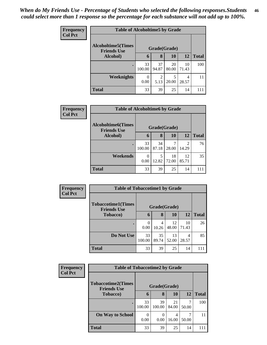| <b>Frequency</b><br><b>Col Pct</b> | <b>Table of Alcoholtime5 by Grade</b>            |              |                        |              |             |              |  |  |
|------------------------------------|--------------------------------------------------|--------------|------------------------|--------------|-------------|--------------|--|--|
|                                    | <b>Alcoholtime5</b> (Times<br><b>Friends Use</b> |              |                        | Grade(Grade) |             |              |  |  |
|                                    | Alcohol)                                         | 6            | 8                      | 10           | 12          | <b>Total</b> |  |  |
|                                    | ٠                                                | 33<br>100.00 | 37<br>94.87            | 20<br>80.00  | 10<br>71.43 | 100          |  |  |
|                                    | Weeknights                                       | 0<br>0.00    | $\mathfrak{D}$<br>5.13 | 5<br>20.00   | 4<br>28.57  | 11           |  |  |
|                                    | <b>Total</b>                                     | 33           | 39                     | 25           | 14          | 111          |  |  |

| Frequency      | <b>Table of Alcoholtime6 by Grade</b>           |                  |             |             |                         |              |  |  |
|----------------|-------------------------------------------------|------------------|-------------|-------------|-------------------------|--------------|--|--|
| <b>Col Pct</b> | <b>Alcoholtime6(Times</b><br><b>Friends Use</b> | Grade(Grade)     |             |             |                         |              |  |  |
|                | Alcohol)                                        | 6                | 8           | 10          | 12                      | <b>Total</b> |  |  |
|                |                                                 | 33<br>100.00     | 34<br>87.18 | 7<br>28.00  | $\mathfrak{D}$<br>14.29 | 76           |  |  |
|                | Weekends                                        | $\theta$<br>0.00 | 5<br>12.82  | 18<br>72.00 | 12<br>85.71             | 35           |  |  |
|                | <b>Total</b>                                    | 33               | 39          | 25          | 14                      | 111          |  |  |

| Frequency<br><b>Col Pct</b> | <b>Table of Tobaccotime1 by Grade</b>           |              |             |             |             |              |  |  |
|-----------------------------|-------------------------------------------------|--------------|-------------|-------------|-------------|--------------|--|--|
|                             | <b>Tobaccotime1(Times</b><br><b>Friends Use</b> | Grade(Grade) |             |             |             |              |  |  |
|                             | <b>Tobacco</b> )                                | 6            | 8           | 10          | 12          | <b>Total</b> |  |  |
|                             |                                                 | 0<br>0.00    | 4<br>10.26  | 12<br>48.00 | 10<br>71.43 | 26           |  |  |
|                             | Do Not Use                                      | 33<br>100.00 | 35<br>89.74 | 13<br>52.00 | 4<br>28.57  | 85           |  |  |
|                             | <b>Total</b>                                    | 33           | 39          | 25          | 14          |              |  |  |

| <b>Frequency</b> | <b>Table of Tobaccotime2 by Grade</b>           |              |              |             |       |              |  |  |
|------------------|-------------------------------------------------|--------------|--------------|-------------|-------|--------------|--|--|
| <b>Col Pct</b>   | <b>Tobaccotime2(Times</b><br><b>Friends Use</b> | Grade(Grade) |              |             |       |              |  |  |
|                  | <b>Tobacco</b> )                                | 6            | 8            | 10          | 12    | <b>Total</b> |  |  |
|                  |                                                 | 33<br>100.00 | 39<br>100.00 | 21<br>84.00 | 50.00 | 100          |  |  |
|                  | <b>On Way to School</b>                         | 0<br>0.00    | 0.00         | 4<br>16.00  | 50.00 | 11           |  |  |
|                  | <b>Total</b>                                    | 33           | 39           | 25          | 14    | 111          |  |  |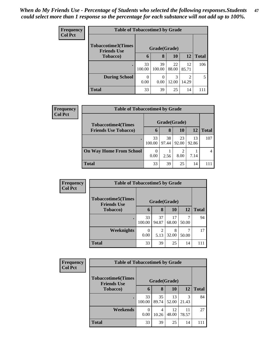| <b>Frequency</b> | <b>Table of Tobaccotime3 by Grade</b>           |              |                  |             |             |              |  |  |
|------------------|-------------------------------------------------|--------------|------------------|-------------|-------------|--------------|--|--|
| <b>Col Pct</b>   | <b>Tobaccotime3(Times</b><br><b>Friends Use</b> |              | Grade(Grade)     |             |             |              |  |  |
|                  | <b>Tobacco</b> )                                | 6            | 8                | 10          | 12          | <b>Total</b> |  |  |
|                  | $\bullet$                                       | 33<br>100.00 | 39<br>100.00     | 22<br>88.00 | 12<br>85.71 | 106          |  |  |
|                  | <b>During School</b>                            | 0<br>0.00    | $\Omega$<br>0.00 | 3<br>12.00  | 14.29       | 5            |  |  |
|                  | <b>Total</b>                                    | 33           | 39               | 25          | 14          | 111          |  |  |

| Frequency<br><b>Col Pct</b> | <b>Table of Tobaccotime4 by Grade</b> |              |             |             |             |              |  |
|-----------------------------|---------------------------------------|--------------|-------------|-------------|-------------|--------------|--|
|                             | <b>Tobaccotime4(Times</b>             | Grade(Grade) |             |             |             |              |  |
|                             | <b>Friends Use Tobacco)</b>           | 6            | 8           | 10          | 12          | <b>Total</b> |  |
|                             |                                       | 33<br>100.00 | 38<br>97.44 | 23<br>92.00 | 13<br>92.86 | 107          |  |
|                             | <b>On Way Home From School</b>        | 0.00         | 2.56        | 2<br>8.00   | 7.14        |              |  |
|                             | <b>Total</b>                          | 33           | 39          | 25          | 14          | 111          |  |

| Frequency      |                                                  | <b>Table of Tobaccotime5 by Grade</b> |             |             |       |              |  |  |  |
|----------------|--------------------------------------------------|---------------------------------------|-------------|-------------|-------|--------------|--|--|--|
| <b>Col Pct</b> | <b>Tobaccotime5</b> (Times<br><b>Friends Use</b> | Grade(Grade)                          |             |             |       |              |  |  |  |
|                | <b>Tobacco</b> )                                 | 6                                     | 8           | 10          | 12    | <b>Total</b> |  |  |  |
|                |                                                  | 33<br>100.00                          | 37<br>94.87 | 17<br>68.00 | 50.00 | 94           |  |  |  |
|                | <b>Weeknights</b>                                | 0<br>0.00                             | 5.13        | 8<br>32.00  | 50.00 | 17           |  |  |  |
|                | <b>Total</b>                                     | 33                                    | 39          | 25          | 14    | 111          |  |  |  |

| Frequency      | <b>Table of Tobaccotime6 by Grade</b>           |                  |             |             |             |              |  |
|----------------|-------------------------------------------------|------------------|-------------|-------------|-------------|--------------|--|
| <b>Col Pct</b> | <b>Tobaccotime6(Times</b><br><b>Friends Use</b> | Grade(Grade)     |             |             |             |              |  |
|                | <b>Tobacco</b> )                                | 6                | 8           | 10          | 12          | <b>Total</b> |  |
|                |                                                 | 33<br>100.00     | 35<br>89.74 | 13<br>52.00 | 3<br>21.43  | 84           |  |
|                | Weekends                                        | $\Omega$<br>0.00 | 4<br>10.26  | 12<br>48.00 | 11<br>78.57 | 27           |  |
|                | <b>Total</b>                                    | 33               | 39          | 25          | 14          | 111          |  |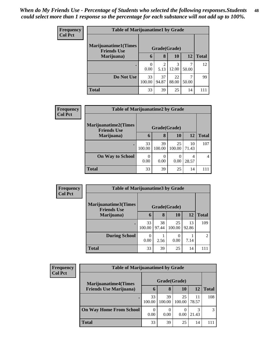| Frequency | <b>Table of Marijuanatime1 by Grade</b> |                  |                       |             |           |              |  |
|-----------|-----------------------------------------|------------------|-----------------------|-------------|-----------|--------------|--|
| Col Pct   | <b>Marijuanatime1(Times</b>             |                  |                       |             |           |              |  |
|           | <b>Friends Use</b><br>Marijuana)        | 6                | Grade(Grade)<br>8     | <b>10</b>   | <b>12</b> | <b>Total</b> |  |
|           | ٠                                       | $\theta$<br>0.00 | $\mathcal{D}$<br>5.13 | 3<br>12.00  | 50.00     | 12           |  |
|           | Do Not Use                              | 33<br>100.00     | 37<br>94.87           | 22<br>88.00 | 50.00     | 99           |  |
|           | <b>Total</b>                            | 33               | 39                    | 25          | 14        | 111          |  |

| <b>Frequency</b> |                                                    | <b>Table of Marijuanatime2 by Grade</b> |                  |              |             |              |  |  |  |
|------------------|----------------------------------------------------|-----------------------------------------|------------------|--------------|-------------|--------------|--|--|--|
| <b>Col Pct</b>   | <b>Marijuanatime2</b> (Times<br><b>Friends Use</b> | Grade(Grade)                            |                  |              |             |              |  |  |  |
|                  | Marijuana)                                         | $\mathbf b$                             | 8                | 10           | 12          | <b>Total</b> |  |  |  |
|                  |                                                    | 33<br>100.00                            | 39<br>100.00     | 25<br>100.00 | 10<br>71.43 | 107          |  |  |  |
|                  | <b>On Way to School</b>                            | 0<br>0.00                               | $\Omega$<br>0.00 | 0<br>0.00    | 4<br>28.57  | 4            |  |  |  |
|                  | <b>Total</b>                                       | 33                                      | 39               | 25           | 14          | 111          |  |  |  |

| Frequency      | <b>Table of Marijuanatime3 by Grade</b>    |              |             |              |             |                |  |  |
|----------------|--------------------------------------------|--------------|-------------|--------------|-------------|----------------|--|--|
| <b>Col Pct</b> | Marijuanatime3(Times<br><b>Friends Use</b> | Grade(Grade) |             |              |             |                |  |  |
|                | Marijuana)                                 | 6            | 8           | <b>10</b>    | 12          | <b>Total</b>   |  |  |
|                |                                            | 33<br>100.00 | 38<br>97.44 | 25<br>100.00 | 13<br>92.86 | 109            |  |  |
|                | <b>During School</b>                       | 0<br>0.00    | 2.56        | 0.00         | 7.14        | $\overline{2}$ |  |  |
|                | <b>Total</b>                               | 33           | 39          | 25           | 14          | 111            |  |  |

| <b>Frequency</b><br><b>Col Pct</b> | <b>Table of Marijuanatime4 by Grade</b> |                  |              |              |             |               |
|------------------------------------|-----------------------------------------|------------------|--------------|--------------|-------------|---------------|
|                                    | <b>Marijuanatime4</b> (Times            | Grade(Grade)     |              |              |             |               |
|                                    | <b>Friends Use Marijuana</b> )          | 6                | 8            | 10           | 12          | <b>Total</b>  |
|                                    |                                         | 33<br>100.00     | 39<br>100.00 | 25<br>100.00 | 11<br>78.57 | 108           |
|                                    | <b>On Way Home From School</b>          | $\theta$<br>0.00 | 0.00         | 0.00         | 3<br>21.43  | $\mathcal{R}$ |
|                                    | Total                                   | 33               | 39           | 25           | 14          |               |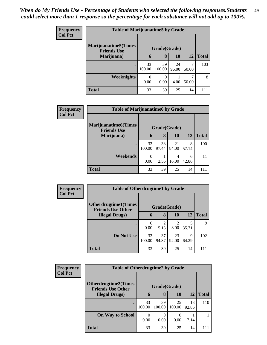| <b>Frequency</b> | <b>Table of Marijuanatime5 by Grade</b>            |                     |                  |             |           |              |  |
|------------------|----------------------------------------------------|---------------------|------------------|-------------|-----------|--------------|--|
| <b>Col Pct</b>   | <b>Marijuanatime5</b> (Times<br><b>Friends Use</b> | Grade(Grade)        |                  |             |           |              |  |
|                  | Marijuana)                                         | $\ddot{\mathbf{b}}$ | 8                | <b>10</b>   | <b>12</b> | <b>Total</b> |  |
|                  |                                                    | 33<br>100.00        | 39<br>100.00     | 24<br>96.00 | 50.00     | 103          |  |
|                  | Weeknights                                         | 0<br>0.00           | $\Omega$<br>0.00 | 4.00        | 50.00     | 8            |  |
|                  | <b>Total</b>                                       | 33                  | 39               | 25          | 14        | 111          |  |

| Frequency      | <b>Table of Marijuanatime6 by Grade</b>           |              |             |             |            |              |  |
|----------------|---------------------------------------------------|--------------|-------------|-------------|------------|--------------|--|
| <b>Col Pct</b> | <b>Marijuanatime6(Times</b><br><b>Friends Use</b> | Grade(Grade) |             |             |            |              |  |
|                | Marijuana)                                        | 6            | 8           | <b>10</b>   | 12         | <b>Total</b> |  |
|                | ٠                                                 | 33<br>100.00 | 38<br>97.44 | 21<br>84.00 | 8<br>57.14 | 100          |  |
|                | Weekends                                          | 0.00         | 2.56        | 4<br>16.00  | 6<br>42.86 | 11           |  |
|                | <b>Total</b>                                      | 33           | 39          | 25          | 14         | 111          |  |

| <b>Frequency</b><br><b>Col Pct</b> | <b>Table of Otherdrugtime1 by Grade</b>                 |              |             |                        |            |              |  |  |
|------------------------------------|---------------------------------------------------------|--------------|-------------|------------------------|------------|--------------|--|--|
|                                    | <b>Otherdrugtime1(Times</b><br><b>Friends Use Other</b> | Grade(Grade) |             |                        |            |              |  |  |
|                                    | <b>Illegal Drugs</b> )                                  | 6            | 8           | 10                     | <b>12</b>  | <b>Total</b> |  |  |
|                                    |                                                         | 0.00         | 2<br>5.13   | $\mathfrak{D}$<br>8.00 | 35.71      | 9            |  |  |
|                                    | Do Not Use                                              | 33<br>100.00 | 37<br>94.87 | 23<br>92.00            | 9<br>64.29 | 102          |  |  |
|                                    | <b>Total</b>                                            | 33           | 39          | 25                     | 14         | 111          |  |  |

| Frequency      |                                                         | <b>Table of Otherdrugtime2 by Grade</b> |              |              |             |              |  |  |
|----------------|---------------------------------------------------------|-----------------------------------------|--------------|--------------|-------------|--------------|--|--|
| <b>Col Pct</b> | <b>Otherdrugtime2(Times</b><br><b>Friends Use Other</b> | Grade(Grade)                            |              |              |             |              |  |  |
|                | <b>Illegal Drugs</b> )                                  | 6                                       | 8            | 10           | 12          | <b>Total</b> |  |  |
|                |                                                         | 33<br>100.00                            | 39<br>100.00 | 25<br>100.00 | 13<br>92.86 | 110          |  |  |
|                | <b>On Way to School</b>                                 | $\left( \right)$<br>0.00                | 0.00         | 0.00         | 7.14        |              |  |  |
|                | <b>Total</b>                                            | 33                                      | 39           | 25           | 14          | 111          |  |  |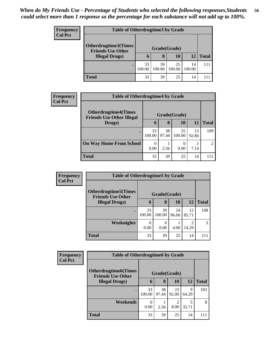| <b>Frequency</b> |                                                                            | <b>Table of Otherdrugtime3 by Grade</b> |        |        |        |              |  |  |
|------------------|----------------------------------------------------------------------------|-----------------------------------------|--------|--------|--------|--------------|--|--|
| <b>Col Pct</b>   |                                                                            |                                         |        |        |        |              |  |  |
|                  | Otherdrugtime3(Times<br><b>Friends Use Other</b><br><b>Illegal Drugs</b> ) | Grade(Grade)                            |        |        |        |              |  |  |
|                  |                                                                            | 6                                       | 8      | 10     | 12     | <b>Total</b> |  |  |
|                  |                                                                            | 33                                      | 39     | 25     | 14     | 111          |  |  |
|                  |                                                                            | 100.00                                  | 100.00 | 100.00 | 100.00 |              |  |  |
|                  | <b>Total</b>                                                               | 33                                      | 39     | 25     | 14     |              |  |  |

| Frequency      | <b>Table of Otherdrugtime4 by Grade</b>                         |                  |             |              |             |              |
|----------------|-----------------------------------------------------------------|------------------|-------------|--------------|-------------|--------------|
| <b>Col Pct</b> | <b>Otherdrugtime4(Times</b><br><b>Friends Use Other Illegal</b> | Grade(Grade)     |             |              |             |              |
|                | Drugs)                                                          | $\mathbf b$      | 8           | <b>10</b>    | 12          | <b>Total</b> |
|                |                                                                 | 33<br>100.00     | 38<br>97.44 | 25<br>100.00 | 13<br>92.86 | 109          |
|                | <b>On Way Home From School</b>                                  | $\theta$<br>0.00 | 2.56        | 0<br>0.00    | 7.14        | 2            |
|                | <b>Total</b>                                                    | 33               | 39          | 25           | 14          | 111          |

| <b>Frequency</b> | <b>Table of Otherdrugtime5 by Grade</b>                  |              |                  |             |             |              |  |
|------------------|----------------------------------------------------------|--------------|------------------|-------------|-------------|--------------|--|
| <b>Col Pct</b>   | <b>Otherdrugtime5</b> (Times<br><b>Friends Use Other</b> | Grade(Grade) |                  |             |             |              |  |
|                  | <b>Illegal Drugs</b> )                                   | 6            | 8                | <b>10</b>   | <b>12</b>   | <b>Total</b> |  |
|                  |                                                          | 33<br>100.00 | 39<br>100.00     | 24<br>96.00 | 12<br>85.71 | 108          |  |
|                  | <b>Weeknights</b>                                        | 0<br>0.00    | $\Omega$<br>0.00 | 4.00        | 14.29       | 3            |  |
|                  | <b>Total</b>                                             | 33           | 39               | 25          | 14          | 111          |  |

| <b>Frequency</b> | <b>Table of Otherdrugtime6 by Grade</b>                 |              |             |             |            |              |
|------------------|---------------------------------------------------------|--------------|-------------|-------------|------------|--------------|
| <b>Col Pct</b>   | <b>Otherdrugtime6(Times</b><br><b>Friends Use Other</b> | Grade(Grade) |             |             |            |              |
|                  | <b>Illegal Drugs)</b>                                   | 6            | 8           | <b>10</b>   | 12         | <b>Total</b> |
|                  |                                                         | 33<br>100.00 | 38<br>97.44 | 23<br>92.00 | 9<br>64.29 | 103          |
|                  | Weekends                                                | 0<br>0.00    | 2.56        | 2<br>8.00   | 35.71      | 8            |
|                  | <b>Total</b>                                            | 33           | 39          | 25          | 14         | 111          |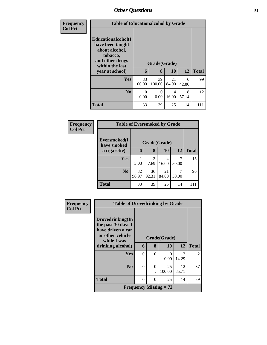| <b>Frequency</b> | <b>Table of Educationalcohol by Grade</b>                                                                                     |              |                   |             |            |              |  |  |
|------------------|-------------------------------------------------------------------------------------------------------------------------------|--------------|-------------------|-------------|------------|--------------|--|--|
| <b>Col Pct</b>   | Educationalcohol(I<br>have been taught<br>about alcohol,<br>tobacco,<br>and other drugs<br>within the last<br>year at school) | 6            | Grade(Grade)<br>8 | 10          | 12         | <b>Total</b> |  |  |
|                  | <b>Yes</b>                                                                                                                    | 33<br>100.00 | 39<br>100.00      | 21<br>84.00 | 6<br>42.86 | 99           |  |  |
|                  | N <sub>0</sub>                                                                                                                | 0<br>0.00    | 0<br>0.00         | 4<br>16.00  | 8<br>57.14 | 12           |  |  |
|                  | <b>Total</b>                                                                                                                  | 33           | 39                | 25          | 14         | 111          |  |  |

| <b>Frequency</b> |                             | <b>Table of Eversmoked by Grade</b> |              |             |            |              |  |  |  |
|------------------|-----------------------------|-------------------------------------|--------------|-------------|------------|--------------|--|--|--|
| <b>Col Pct</b>   | Eversmoked(I<br>have smoked |                                     | Grade(Grade) |             |            |              |  |  |  |
|                  | a cigarette)                | 6                                   | 8            | 10          | 12         | <b>Total</b> |  |  |  |
|                  | Yes                         | 3.03                                | 3<br>7.69    | 4<br>16.00  | 7<br>50.00 | 15           |  |  |  |
|                  | N <sub>0</sub>              | 32<br>96.97                         | 36<br>92.31  | 21<br>84.00 | 7<br>50.00 | 96           |  |  |  |
|                  | <b>Total</b>                | 33                                  | 39           | 25          | 14         | 111          |  |  |  |

| <b>Frequency</b> | <b>Table of Drovedrinking by Grade</b>                                          |          |          |                               |                             |                |
|------------------|---------------------------------------------------------------------------------|----------|----------|-------------------------------|-----------------------------|----------------|
| <b>Col Pct</b>   | Drovedrinking(In<br>the past 30 days I<br>have driven a car<br>or other vehicle |          |          | Grade(Grade)                  |                             |                |
|                  | while I was<br>drinking alcohol)                                                | 6        | 8        | <b>10</b>                     | 12                          | <b>Total</b>   |
|                  | <b>Yes</b>                                                                      | 0        | $\Omega$ | 0                             | $\mathcal{D}_{\mathcal{L}}$ | $\overline{2}$ |
|                  |                                                                                 | ٠        |          | 0.00                          | 14.29                       |                |
|                  | N <sub>0</sub>                                                                  | $\Omega$ | $\Omega$ | 25                            | 12                          | 37             |
|                  |                                                                                 |          |          | 100.00                        | 85.71                       |                |
|                  | <b>Total</b>                                                                    | 0        | $\Omega$ | 25                            | 14                          | 39             |
|                  |                                                                                 |          |          | <b>Frequency Missing = 72</b> |                             |                |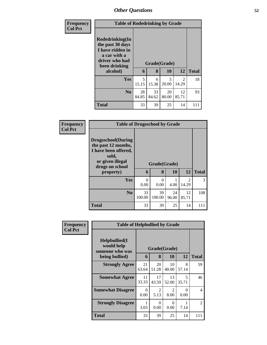| <b>Frequency</b> | <b>Table of Rodedrinking by Grade</b>                                                                                  |             |             |                    |                         |              |  |  |
|------------------|------------------------------------------------------------------------------------------------------------------------|-------------|-------------|--------------------|-------------------------|--------------|--|--|
| <b>Col Pct</b>   | Rodedrinking(In<br>the past 30 days<br>I have ridden in<br>a car with a<br>driver who had<br>been drinking<br>alcohol) | 6           | 8           | Grade(Grade)<br>10 | 12                      | <b>Total</b> |  |  |
|                  | <b>Yes</b>                                                                                                             | 5<br>15.15  | 6<br>15.38  | 5<br>20.00         | $\overline{2}$<br>14.29 | 18           |  |  |
|                  | N <sub>0</sub>                                                                                                         | 28<br>84.85 | 33<br>84.62 | 20<br>80.00        | 12<br>85.71             | 93           |  |  |
|                  | <b>Total</b>                                                                                                           | 33          | 39          | 25                 | 14                      | 111          |  |  |

| <b>Frequency</b> | <b>Table of Drugsschool by Grade</b>                                                                                                   |                  |                   |             |                         |              |
|------------------|----------------------------------------------------------------------------------------------------------------------------------------|------------------|-------------------|-------------|-------------------------|--------------|
| <b>Col Pct</b>   | <b>Drugsschool</b> (During<br>the past 12 months,<br>I have been offered,<br>sold,<br>or given illegal<br>drugs on school<br>property) | 6                | Grade(Grade)<br>8 | 10          | 12                      | <b>Total</b> |
|                  | <b>Yes</b>                                                                                                                             | $\Omega$<br>0.00 | $\Omega$<br>0.00  | 4.00        | $\mathfrak{D}$<br>14.29 | 3            |
|                  | No.                                                                                                                                    | 33<br>100.00     | 39<br>100.00      | 24<br>96.00 | 12<br>85.71             | 108          |
|                  | <b>Total</b>                                                                                                                           | 33               | 39                | 25          | 14                      | 111          |

| <b>Frequency</b> | <b>Table of Helpbullied by Grade</b>                                   |             |                        |                        |                  |              |
|------------------|------------------------------------------------------------------------|-------------|------------------------|------------------------|------------------|--------------|
| <b>Col Pct</b>   | $Helpb$ ullied $(I$<br>would help<br>someone who was<br>being bullied) | 6           | Grade(Grade)<br>8      | 10                     | 12               | <b>Total</b> |
|                  | <b>Strongly Agree</b>                                                  | 21<br>63.64 | 20<br>51.28            | 10<br>40.00            | 8<br>57.14       | 59           |
|                  | <b>Somewhat Agree</b>                                                  | 11<br>33.33 | 17<br>43.59            | 13<br>52.00            | 5<br>35.71       | 46           |
|                  | <b>Somewhat Disagree</b>                                               | 0<br>0.00   | $\mathfrak{D}$<br>5.13 | $\overline{2}$<br>8.00 | $\Omega$<br>0.00 | 4            |
|                  | <b>Strongly Disagree</b>                                               | 1<br>3.03   | 0<br>0.00              | $\Omega$<br>0.00       | 7.14             | 2            |
|                  | Total                                                                  | 33          | 39                     | 25                     | 14               | 111          |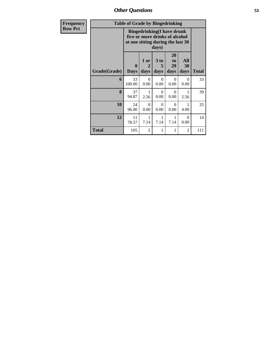| Frequency      | <b>Table of Grade by Bingedrinking</b> |                                                                                                                   |                                |                   |                        |                   |       |  |
|----------------|----------------------------------------|-------------------------------------------------------------------------------------------------------------------|--------------------------------|-------------------|------------------------|-------------------|-------|--|
| <b>Row Pct</b> |                                        | <b>Bingedrinking(I have drunk</b><br>five or more drinks of alcohol<br>at one sitting during the last 30<br>days) |                                |                   |                        |                   |       |  |
|                | Grade(Grade)                           | $\bf{0}$<br><b>Days</b>                                                                                           | 1 or<br>$\overline{2}$<br>days | 3 to<br>5<br>days | 20<br>to<br>29<br>days | All<br>30<br>days | Total |  |
|                | 6                                      | 33<br>100.00                                                                                                      | $\Omega$<br>0.00               | $\Omega$<br>0.00  | $\Omega$<br>0.00       | $\Omega$<br>0.00  | 33    |  |
|                | 8                                      | 37<br>94.87                                                                                                       | 1<br>2.56                      | $\Omega$<br>0.00  | $\Omega$<br>0.00       | 1<br>2.56         | 39    |  |
|                | 10                                     | 24<br>96.00                                                                                                       | $\Omega$<br>0.00               | $\Omega$<br>0.00  | $\Omega$<br>0.00       | 4.00              | 25    |  |
|                | 12                                     | 11<br>78.57                                                                                                       | 1<br>7.14                      | 1<br>7.14         | 1<br>7.14              | $\Omega$<br>0.00  | 14    |  |
|                | <b>Total</b>                           | 105                                                                                                               | $\overline{2}$                 | 1                 | 1                      | 2                 | 111   |  |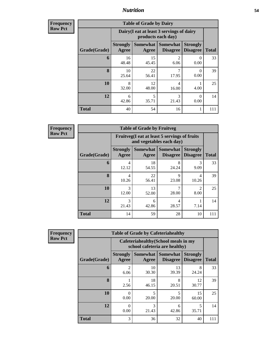**Frequency Row Pct**

| <b>Table of Grade by Dairy</b> |                          |                                                                 |                             |                                    |              |  |  |
|--------------------------------|--------------------------|-----------------------------------------------------------------|-----------------------------|------------------------------------|--------------|--|--|
|                                |                          | Dairy (I eat at least 3 servings of dairy<br>products each day) |                             |                                    |              |  |  |
| Grade(Grade)                   | <b>Strongly</b><br>Agree | <b>Somewhat</b><br>Agree                                        | Somewhat<br><b>Disagree</b> | <b>Strongly</b><br><b>Disagree</b> | <b>Total</b> |  |  |
| 6                              | 16<br>48.48              | 15<br>45.45                                                     | $\overline{2}$<br>6.06      | 0<br>0.00                          | 33           |  |  |
| 8                              | 10<br>25.64              | 22<br>56.41                                                     | 7<br>17.95                  | 0<br>0.00                          | 39           |  |  |
| 10                             | 8<br>32.00               | 12<br>48.00                                                     | 4<br>16.00                  | 4.00                               | 25           |  |  |
| 12                             | 6<br>42.86               | 5<br>35.71                                                      | 3<br>21.43                  | 0<br>0.00                          | 14           |  |  |
| <b>Total</b>                   | 40                       | 54                                                              | 16                          | 1                                  | 111          |  |  |

**Frequency Row Pct**

| <b>Table of Grade by Fruitveg</b> |                          |                                                                          |                             |                                    |              |  |  |
|-----------------------------------|--------------------------|--------------------------------------------------------------------------|-----------------------------|------------------------------------|--------------|--|--|
|                                   |                          | Fruitveg(I eat at least 5 servings of fruits<br>and vegetables each day) |                             |                                    |              |  |  |
| Grade(Grade)                      | <b>Strongly</b><br>Agree | Somewhat  <br>Agree                                                      | Somewhat<br><b>Disagree</b> | <b>Strongly</b><br><b>Disagree</b> | <b>Total</b> |  |  |
| 6                                 | 4<br>12.12               | 18<br>54.55                                                              | 8<br>24.24                  | 3<br>9.09                          | 33           |  |  |
| 8                                 | 4<br>10.26               | 22<br>56.41                                                              | 9<br>23.08                  | 4<br>10.26                         | 39           |  |  |
| 10                                | $\mathcal{R}$<br>12.00   | 13<br>52.00                                                              | 7<br>28.00                  | っ<br>8.00                          | 25           |  |  |
| 12                                | 3<br>21.43               | 6<br>42.86                                                               | 4<br>28.57                  | 7.14                               | 14           |  |  |
| <b>Total</b>                      | 14                       | 59                                                                       | 28                          | 10                                 | 111          |  |  |

**Frequency Row Pct**

| <b>Table of Grade by Cafeteriahealthy</b> |                          |                                                                       |                                 |                                    |              |  |  |  |
|-------------------------------------------|--------------------------|-----------------------------------------------------------------------|---------------------------------|------------------------------------|--------------|--|--|--|
|                                           |                          | Cafeteriahealthy (School meals in my<br>school cafeteria are healthy) |                                 |                                    |              |  |  |  |
| Grade(Grade)                              | <b>Strongly</b><br>Agree | Agree                                                                 | Somewhat   Somewhat<br>Disagree | <b>Strongly</b><br><b>Disagree</b> | <b>Total</b> |  |  |  |
| 6                                         | 2<br>6.06                | 10<br>30.30                                                           | 13<br>39.39                     | 8<br>24.24                         | 33           |  |  |  |
| 8                                         | 2.56                     | 18<br>46.15                                                           | 8<br>20.51                      | 12<br>30.77                        | 39           |  |  |  |
| 10                                        | 0<br>0.00                | $\overline{\mathcal{L}}$<br>20.00                                     | 5<br>20.00                      | 15<br>60.00                        | 25           |  |  |  |
| 12                                        | 0<br>0.00                | 3<br>21.43                                                            | 6<br>42.86                      | 5<br>35.71                         | 14           |  |  |  |
| <b>Total</b>                              | 3                        | 36                                                                    | 32                              | 40                                 |              |  |  |  |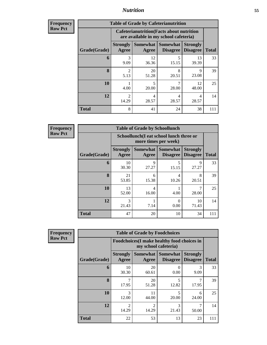| <b>Frequency</b><br>Row Pct |
|-----------------------------|
|                             |

| <b>Table of Grade by Cafeterianutrition</b> |                          |                                                                                           |                                    |                                    |              |  |  |
|---------------------------------------------|--------------------------|-------------------------------------------------------------------------------------------|------------------------------------|------------------------------------|--------------|--|--|
|                                             |                          | <b>Cafeterianutrition</b> (Facts about nutrition<br>are available in my school cafeteria) |                                    |                                    |              |  |  |
| Grade(Grade)                                | <b>Strongly</b><br>Agree | Somewhat  <br>Agree                                                                       | <b>Somewhat</b><br><b>Disagree</b> | <b>Strongly</b><br><b>Disagree</b> | <b>Total</b> |  |  |
| 6                                           | 3<br>9.09                | 12<br>36.36                                                                               | 5<br>15.15                         | 13<br>39.39                        | 33           |  |  |
| 8                                           | $\mathfrak{D}$<br>5.13   | 20<br>51.28                                                                               | 8<br>20.51                         | Q<br>23.08                         | 39           |  |  |
| 10                                          | 4.00                     | $\overline{\phantom{0}}$<br>20.00                                                         | 7<br>28.00                         | 12<br>48.00                        | 25           |  |  |
| 12                                          | $\mathfrak{D}$<br>14.29  | 4<br>28.57                                                                                | 4<br>28.57                         | 4<br>28.57                         | 14           |  |  |
| <b>Total</b>                                | 8                        | 41                                                                                        | 24                                 | 38                                 | 111          |  |  |

**Frequency Row Pct**

| <b>Table of Grade by Schoollunch</b> |                                 |                                                                 |                                   |                                    |              |  |  |
|--------------------------------------|---------------------------------|-----------------------------------------------------------------|-----------------------------------|------------------------------------|--------------|--|--|
|                                      |                                 | Schoollunch(I eat school lunch three or<br>more times per week) |                                   |                                    |              |  |  |
| Grade(Grade)                         | <b>Strongly</b><br><b>Agree</b> | Agree                                                           | Somewhat   Somewhat  <br>Disagree | <b>Strongly</b><br><b>Disagree</b> | <b>Total</b> |  |  |
| 6                                    | 10<br>30.30                     | q<br>27.27                                                      | 5<br>15.15                        | 9<br>27.27                         | 33           |  |  |
| 8                                    | 21<br>53.85                     | 6<br>15.38                                                      | 4<br>10.26                        | 8<br>20.51                         | 39           |  |  |
| 10                                   | 13<br>52.00                     | 4<br>16.00                                                      | 4.00                              | 28.00                              | 25           |  |  |
| 12                                   | 3<br>21.43                      | 7.14                                                            | 0<br>0.00                         | 10<br>71.43                        | 14           |  |  |
| <b>Total</b>                         | 47                              | 20                                                              | 10                                | 34                                 | 111          |  |  |

**Frequency Row Pct**

| <b>Table of Grade by Foodchoices</b> |                          |                                                                    |                                    |                                    |              |  |  |
|--------------------------------------|--------------------------|--------------------------------------------------------------------|------------------------------------|------------------------------------|--------------|--|--|
|                                      |                          | Foodchoices(I make healthy food choices in<br>my school cafeteria) |                                    |                                    |              |  |  |
| Grade(Grade)                         | <b>Strongly</b><br>Agree | Somewhat<br>Agree                                                  | <b>Somewhat</b><br><b>Disagree</b> | <b>Strongly</b><br><b>Disagree</b> | <b>Total</b> |  |  |
| 6                                    | 10<br>30.30              | 20<br>60.61                                                        | 0<br>0.00                          | 3<br>9.09                          | 33           |  |  |
| 8                                    | 17.95                    | 20<br>51.28                                                        | 5<br>12.82                         | 17.95                              | 39           |  |  |
| 10                                   | 3<br>12.00               | 11<br>44.00                                                        | 5<br>20.00                         | 6<br>24.00                         | 25           |  |  |
| 12                                   | $\mathfrak{D}$<br>14.29  | $\mathfrak{D}$<br>14.29                                            | 3<br>21.43                         | 50.00                              | 14           |  |  |
| Total                                | 22                       | 53                                                                 | 13                                 | 23                                 | 111          |  |  |

٦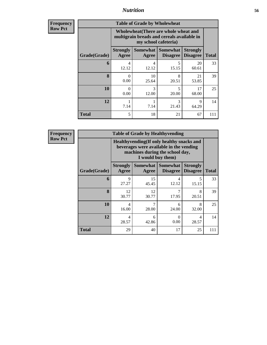| <b>Frequency</b><br>Row Pct |
|-----------------------------|

| <b>Table of Grade by Wholewheat</b> |                                                                                                             |             |                                        |                                    |              |  |  |  |
|-------------------------------------|-------------------------------------------------------------------------------------------------------------|-------------|----------------------------------------|------------------------------------|--------------|--|--|--|
|                                     | Wholewheat (There are whole wheat and<br>multigrain breads and cereals available in<br>my school cafeteria) |             |                                        |                                    |              |  |  |  |
| Grade(Grade)                        | <b>Strongly</b><br>Agree                                                                                    | Agree       | Somewhat   Somewhat<br><b>Disagree</b> | <b>Strongly</b><br><b>Disagree</b> | <b>Total</b> |  |  |  |
| 6                                   | 4<br>12.12                                                                                                  | 4<br>12.12  | 5<br>15.15                             | 20<br>60.61                        | 33           |  |  |  |
| 8                                   | 0<br>0.00                                                                                                   | 10<br>25.64 | 8<br>20.51                             | 21<br>53.85                        | 39           |  |  |  |
| 10                                  | $\Omega$<br>0.00                                                                                            | 3<br>12.00  | 5<br>20.00                             | 17<br>68.00                        | 25           |  |  |  |
| 12                                  | 7.14                                                                                                        | 7.14        | 3<br>21.43                             | 9<br>64.29                         | 14           |  |  |  |
| <b>Total</b>                        | 5                                                                                                           | 18          | 21                                     | 67                                 | 111          |  |  |  |

**Frequency Row Pct**

| <b>Table of Grade by Healthyvending</b> |                                                                                                                                               |                     |                                    |                                    |              |  |  |
|-----------------------------------------|-----------------------------------------------------------------------------------------------------------------------------------------------|---------------------|------------------------------------|------------------------------------|--------------|--|--|
|                                         | Healthyvending (If only healthy snacks and<br>beverages were available in the vending<br>machines during the school day,<br>I would buy them) |                     |                                    |                                    |              |  |  |
| Grade(Grade)                            | <b>Strongly</b><br>Agree                                                                                                                      | Somewhat  <br>Agree | <b>Somewhat</b><br><b>Disagree</b> | <b>Strongly</b><br><b>Disagree</b> | <b>Total</b> |  |  |
| 6                                       | 9<br>27.27                                                                                                                                    | 15<br>45.45         | 4<br>12.12                         | 5<br>15.15                         | 33           |  |  |
| $\mathbf{8}$                            | 12<br>30.77                                                                                                                                   | 12<br>30.77         | 7<br>17.95                         | 8<br>20.51                         | 39           |  |  |
| 10                                      | 4<br>16.00                                                                                                                                    | 28.00               | 6<br>24.00                         | 8<br>32.00                         | 25           |  |  |
| 12                                      | 4<br>28.57                                                                                                                                    | 6<br>42.86          | 0<br>0.00                          | 4<br>28.57                         | 14           |  |  |
| <b>Total</b>                            | 29                                                                                                                                            | 40                  | 17                                 | 25                                 | 111          |  |  |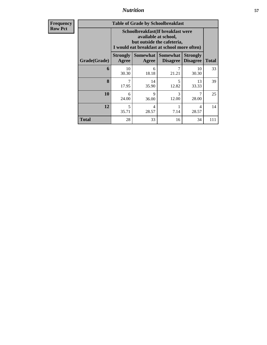**Frequency Row Pct**

| <b>Table of Grade by Schoolbreakfast</b> |                                                                                                                                        |             |                                             |                                    |              |  |  |
|------------------------------------------|----------------------------------------------------------------------------------------------------------------------------------------|-------------|---------------------------------------------|------------------------------------|--------------|--|--|
|                                          | Schoolbreakfast(If breakfast were<br>available at school,<br>but outside the cafeteria,<br>I would eat breakfast at school more often) |             |                                             |                                    |              |  |  |
| Grade(Grade)                             | <b>Strongly</b><br>Agree                                                                                                               | Agree       | <b>Somewhat Somewhat</b><br><b>Disagree</b> | <b>Strongly</b><br><b>Disagree</b> | <b>Total</b> |  |  |
| 6                                        | 10<br>30.30                                                                                                                            | 6<br>18.18  | 21.21                                       | 10<br>30.30                        | 33           |  |  |
| 8                                        | 17.95                                                                                                                                  | 14<br>35.90 | 5<br>12.82                                  | 13<br>33.33                        | 39           |  |  |
| 10                                       | 6<br>24.00                                                                                                                             | 9<br>36.00  | 3<br>12.00                                  | 28.00                              | 25           |  |  |
| 12                                       | $\overline{\phantom{1}}$<br>35.71                                                                                                      | 4<br>28.57  | 7.14                                        | 4<br>28.57                         | 14           |  |  |
| Total                                    | 28                                                                                                                                     | 33          | 16                                          | 34                                 | 111          |  |  |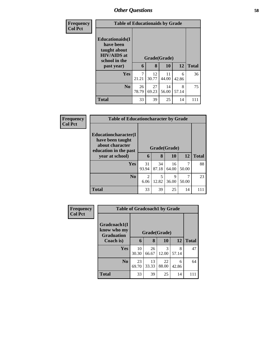| <b>Frequency</b> | <b>Table of Educationaids by Grade</b>                                                                    |             |                   |             |            |              |
|------------------|-----------------------------------------------------------------------------------------------------------|-------------|-------------------|-------------|------------|--------------|
| <b>Col Pct</b>   | <b>Educationaids</b> (I<br>have been<br>taught about<br><b>HIV/AIDS</b> at<br>school in the<br>past year) | 6           | Grade(Grade)<br>8 | 10          | 12         | <b>Total</b> |
|                  |                                                                                                           | 7           |                   |             |            |              |
|                  | <b>Yes</b>                                                                                                | 21.21       | 12<br>30.77       | 11<br>44.00 | 6<br>42.86 | 36           |
|                  | N <sub>0</sub>                                                                                            | 26<br>78.79 | 27<br>69.23       | 14<br>56.00 | 8<br>57.14 | 75           |
|                  | <b>Total</b>                                                                                              | 33          | 39                | 25          | 14         | 111          |

| Frequency      |                                                                                                                 |                        |            |              | <b>Table of Educationcharacter by Grade</b> |     |  |  |  |  |  |  |
|----------------|-----------------------------------------------------------------------------------------------------------------|------------------------|------------|--------------|---------------------------------------------|-----|--|--|--|--|--|--|
| <b>Col Pct</b> | <b>Educationcharacter</b> (I<br>have been taught<br>about character<br>education in the past<br>year at school) | Grade(Grade)<br>6      | <b>12</b>  | <b>Total</b> |                                             |     |  |  |  |  |  |  |
|                | <b>Yes</b>                                                                                                      | 31                     | 8<br>34    | 10<br>16     | 7                                           | 88  |  |  |  |  |  |  |
|                |                                                                                                                 | 93.94                  | 87.18      | 64.00        | 50.00                                       |     |  |  |  |  |  |  |
|                | No.                                                                                                             | $\mathfrak{D}$<br>6.06 | 5<br>12.82 | 9<br>36.00   | 7<br>50.00                                  | 23  |  |  |  |  |  |  |
|                | <b>Total</b>                                                                                                    | 33                     | 39         | 25           | 14                                          | 111 |  |  |  |  |  |  |

| Frequency      | <b>Table of Gradcoach1 by Grade</b>              |             |              |             |            |              |
|----------------|--------------------------------------------------|-------------|--------------|-------------|------------|--------------|
| <b>Col Pct</b> | Gradcoach1(I<br>know who my<br><b>Graduation</b> |             | Grade(Grade) |             |            |              |
|                | Coach is)                                        | 6           | 8            | 10          | 12         | <b>Total</b> |
|                | Yes                                              | 10<br>30.30 | 26<br>66.67  | 3<br>12.00  | 8<br>57.14 | 47           |
|                | N <sub>0</sub>                                   | 23<br>69.70 | 13<br>33.33  | 22<br>88.00 | 6<br>42.86 | 64           |
|                | <b>Total</b>                                     | 33          | 39           | 25          | 14         | 111          |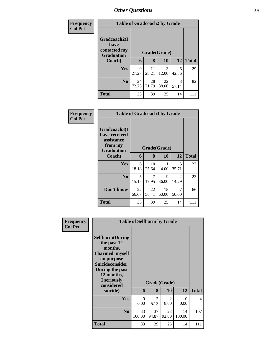| Frequency<br><b>Col Pct</b> |                                                           | <b>Table of Gradcoach2 by Grade</b> |              |             |            |              |  |  |  |
|-----------------------------|-----------------------------------------------------------|-------------------------------------|--------------|-------------|------------|--------------|--|--|--|
|                             | Gradcoach2(I<br>have<br>contacted my<br><b>Graduation</b> |                                     | Grade(Grade) |             |            |              |  |  |  |
|                             | Coach)                                                    | 6                                   | 8            | 10          | <b>12</b>  | <b>Total</b> |  |  |  |
|                             | <b>Yes</b>                                                | 9<br>27.27                          | 11<br>28.21  | 3<br>12.00  | 6<br>42.86 | 29           |  |  |  |
|                             | N <sub>0</sub>                                            | 24<br>72.73                         | 28<br>71.79  | 22<br>88.00 | 8<br>57.14 | 82           |  |  |  |
|                             | <b>Total</b>                                              | 33                                  | 39           | 25          | 14         | 111          |  |  |  |

| Frequency      | <b>Table of Gradcoach3 by Grade</b>                                         |             |              |             |            |              |
|----------------|-----------------------------------------------------------------------------|-------------|--------------|-------------|------------|--------------|
| <b>Col Pct</b> | Gradcoach3(I<br>have received<br>assistance<br>from my<br><b>Graduation</b> |             | Grade(Grade) |             |            |              |
|                | Coach)                                                                      | 6           | 8            | 10          | 12         | <b>Total</b> |
|                | Yes                                                                         | 6<br>18.18  | 10<br>25.64  | 1<br>4.00   | 5<br>35.71 | 22           |
|                | N <sub>0</sub>                                                              | 5<br>15.15  | 7<br>17.95   | 9<br>36.00  | 2<br>14.29 | 23           |
|                | Don't know                                                                  | 22<br>66.67 | 22<br>56.41  | 15<br>60.00 | 7<br>50.00 | 66           |
|                | <b>Total</b>                                                                | 33          | 39           | 25          | 14         | 111          |

| Frequency<br><b>Col Pct</b> |                                                                                                                                                                            |                  | <b>Table of Selfharm by Grade</b> |                        |                  |                          |  |  |  |
|-----------------------------|----------------------------------------------------------------------------------------------------------------------------------------------------------------------------|------------------|-----------------------------------|------------------------|------------------|--------------------------|--|--|--|
|                             | <b>Selfharm</b> (During<br>the past 12<br>months,<br>I harmed myself<br>on purpose<br><b>Suicideconsider</b><br>During the past<br>12 months,<br>I seriously<br>considered |                  | Grade(Grade)                      |                        |                  |                          |  |  |  |
|                             | suicide)                                                                                                                                                                   | 6                | 8                                 | <b>10</b>              | 12               | <b>Total</b>             |  |  |  |
|                             | <b>Yes</b>                                                                                                                                                                 | $\theta$<br>0.00 | $\mathfrak{D}$<br>5.13            | $\mathfrak{D}$<br>8.00 | $\Omega$<br>0.00 | $\overline{\mathcal{L}}$ |  |  |  |
|                             | N <sub>0</sub>                                                                                                                                                             | 33<br>100.00     | 37<br>94.87                       | 23<br>92.00            | 14<br>100.00     | 107                      |  |  |  |
|                             | <b>Total</b>                                                                                                                                                               | 33               | 39                                | 25                     | 14               | 111                      |  |  |  |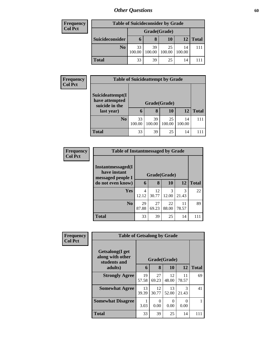| <b>Frequency</b> |                 | <b>Table of Suicideconsider by Grade</b> |              |              |              |              |  |  |  |
|------------------|-----------------|------------------------------------------|--------------|--------------|--------------|--------------|--|--|--|
| <b>Col Pct</b>   |                 |                                          | Grade(Grade) |              |              |              |  |  |  |
|                  | Suicideconsider | $\mathbf{D}$                             | 8            | 10           | 12           | <b>Total</b> |  |  |  |
|                  | N <sub>0</sub>  | 33<br>100.00                             | 39<br>100.00 | 25<br>100.00 | 14<br>100.00 | 11           |  |  |  |
|                  | Total           | 33                                       | 39           | 25           | 14           |              |  |  |  |

| <b>Frequency</b> | <b>Table of Suicideattempt by Grade</b>              |              |              |              |              |              |
|------------------|------------------------------------------------------|--------------|--------------|--------------|--------------|--------------|
| <b>Col Pct</b>   | Suicideattempt(I<br>have attempted<br>suicide in the |              | Grade(Grade) |              |              |              |
|                  | last year)                                           | 6            | 8            | 10           | 12           | <b>Total</b> |
|                  | N <sub>0</sub>                                       | 33<br>100.00 | 39<br>100.00 | 25<br>100.00 | 14<br>100.00 |              |
|                  | <b>Total</b>                                         | 33           | 39           | 25           | 14           |              |

| Frequency      | <b>Table of Instantmessaged by Grade</b>               |             |              |             |             |              |
|----------------|--------------------------------------------------------|-------------|--------------|-------------|-------------|--------------|
| <b>Col Pct</b> | Instantmessaged(I<br>have instant<br>messaged people I |             | Grade(Grade) |             |             |              |
|                | do not even know)                                      | 6           | 8            | 10          | 12          | <b>Total</b> |
|                | <b>Yes</b>                                             | 4<br>12.12  | 12<br>30.77  | 3<br>12.00  | 3<br>21.43  | 22           |
|                | N <sub>o</sub>                                         | 29<br>87.88 | 27<br>69.23  | 22<br>88.00 | 11<br>78.57 | 89           |
|                | <b>Total</b>                                           | 33          | 39           | 25          | 14          | 111          |

| Frequency      | <b>Table of Getsalong by Grade</b>                  |             |              |             |                  |              |
|----------------|-----------------------------------------------------|-------------|--------------|-------------|------------------|--------------|
| <b>Col Pct</b> | Getsalong(I get<br>along with other<br>students and |             | Grade(Grade) |             |                  |              |
|                | adults)                                             | 6           | 8            | 10          | 12               | <b>Total</b> |
|                | <b>Strongly Agree</b>                               | 19<br>57.58 | 27<br>69.23  | 12<br>48.00 | 11<br>78.57      | 69           |
|                | <b>Somewhat Agree</b>                               | 13<br>39.39 | 12<br>30.77  | 13<br>52.00 | 3<br>21.43       | 41           |
|                | <b>Somewhat Disagree</b>                            | 3.03        | 0<br>0.00    | 0<br>0.00   | $\Omega$<br>0.00 |              |
|                | <b>Total</b>                                        | 33          | 39           | 25          | 14               | 111          |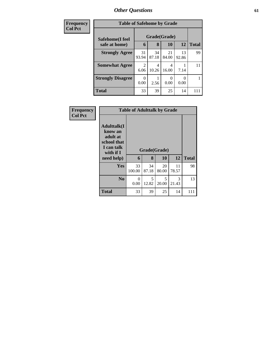| Frequency      | <b>Table of Safehome by Grade</b> |                        |             |             |                  |              |  |  |
|----------------|-----------------------------------|------------------------|-------------|-------------|------------------|--------------|--|--|
| <b>Col Pct</b> | Safehome(I feel                   | Grade(Grade)           |             |             |                  |              |  |  |
|                | safe at home)                     | 6                      | 8           | 10          | 12               | <b>Total</b> |  |  |
|                | <b>Strongly Agree</b>             | 31<br>93.94            | 34<br>87.18 | 21<br>84.00 | 13<br>92.86      | 99           |  |  |
|                | <b>Somewhat Agree</b>             | $\mathfrak{D}$<br>6.06 | 4<br>10.26  | 4<br>16.00  | 7.14             | 11           |  |  |
|                | <b>Strongly Disagree</b>          | $\Omega$<br>0.00       | 2.56        | 0.00        | $\Omega$<br>0.00 | 1            |  |  |
|                | <b>Total</b>                      | 33                     | 39          | 25          | 14               | 111          |  |  |

**Frequency Col Pct**

|                                                                                                   | <b>Table of Adulttalk by Grade</b> |             |                    |             |              |
|---------------------------------------------------------------------------------------------------|------------------------------------|-------------|--------------------|-------------|--------------|
| <b>Adulttalk(I</b><br>know an<br>adult at<br>school that<br>I can talk<br>with if I<br>need help) | 6                                  | 8           | Grade(Grade)<br>10 | 12          | <b>Total</b> |
| Yes                                                                                               | 33<br>100.00                       | 34<br>87.18 | 20<br>80.00        | 11<br>78.57 | 98           |
| N <sub>0</sub>                                                                                    | 0<br>0.00                          | 5<br>12.82  | 5<br>20.00         | 3<br>21.43  | 13           |
| <b>Total</b>                                                                                      | 33                                 | 39          | 25                 | 14          | 111          |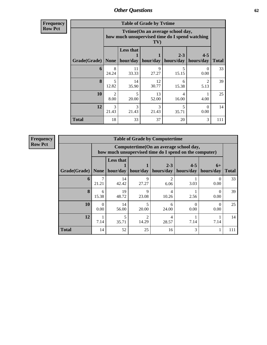**Frequency Row Pct**

| <b>Table of Grade by Tytime</b> |                                   |                                                                                          |             |                      |                        |              |  |  |  |
|---------------------------------|-----------------------------------|------------------------------------------------------------------------------------------|-------------|----------------------|------------------------|--------------|--|--|--|
|                                 |                                   | Tvtime(On an average school day,<br>how much unsupervised time do I spend watching<br>TV |             |                      |                        |              |  |  |  |
| Grade(Grade)                    | <b>None</b>                       | <b>Less that</b><br>hour/day                                                             | hour/day    | $2 - 3$<br>hours/day | $4 - 5$<br>hours/day   | <b>Total</b> |  |  |  |
| 6                               | 8<br>24.24                        | 11<br>33.33                                                                              | 9<br>27.27  | 5<br>15.15           | $\Omega$<br>0.00       | 33           |  |  |  |
| 8                               | $\overline{\phantom{0}}$<br>12.82 | 14<br>35.90                                                                              | 12<br>30.77 | 6<br>15.38           | $\overline{2}$<br>5.13 | 39           |  |  |  |
| 10                              | $\mathfrak{D}$<br>8.00            | 5<br>20.00                                                                               | 13<br>52.00 | 4<br>16.00           | 4.00                   | 25           |  |  |  |
| 12                              | 3<br>21.43                        | 3<br>3<br>5<br>$\Omega$<br>21.43<br>21.43<br>0.00<br>35.71                               |             |                      |                        |              |  |  |  |
| Total                           | 18                                | 33                                                                                       | 37          | 20                   | 3                      | 111          |  |  |  |

**Frequency Row Pct**

| <b>Table of Grade by Computertime</b> |                  |                                                                                                                               |            |                         |                  |                  |     |  |  |
|---------------------------------------|------------------|-------------------------------------------------------------------------------------------------------------------------------|------------|-------------------------|------------------|------------------|-----|--|--|
|                                       |                  | Computertime(On an average school day,<br>how much unsupervised time do I spend on the computer)                              |            |                         |                  |                  |     |  |  |
| Grade(Grade)                          | <b>None</b>      | <b>Less that</b><br>$2 - 3$<br>$4 - 5$<br>$6+$<br>hour/day<br>hour/day<br>hours/day<br>hours/day<br>hours/day<br><b>Total</b> |            |                         |                  |                  |     |  |  |
| 6                                     | 7<br>21.21       | 14<br>42.42                                                                                                                   | 9<br>27.27 | $\mathfrak{D}$<br>6.06  | 3.03             | 0.00             | 33  |  |  |
| 8                                     | 6<br>15.38       | 19<br>48.72                                                                                                                   | 9<br>23.08 | $\overline{4}$<br>10.26 | 2.56             | $\Omega$<br>0.00 | 39  |  |  |
| 10                                    | $\Omega$<br>0.00 | 14<br>56.00                                                                                                                   | 5<br>20.00 | 6<br>24.00              | $\Omega$<br>0.00 | 0<br>0.00        | 25  |  |  |
| 12                                    | 7.14             | $\mathfrak{D}$<br>4<br>14.29<br>7.14<br>7.14<br>35.71<br>28.57                                                                |            |                         |                  |                  |     |  |  |
| <b>Total</b>                          | 14               | 52                                                                                                                            | 25         | 16                      | 3                |                  | 111 |  |  |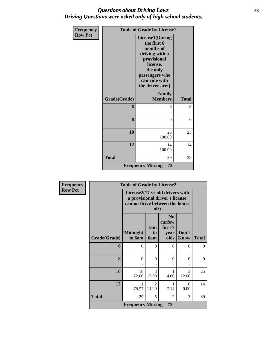## *Questions about Driving Laws* **63** *Driving Questions were asked only of high school students.*

| <b>Frequency</b> |              | <b>Table of Grade by License1</b>                                                                                                                                  |              |
|------------------|--------------|--------------------------------------------------------------------------------------------------------------------------------------------------------------------|--------------|
| <b>Row Pct</b>   |              | <b>License1(During</b><br>the first 6<br>months of<br>driving with a<br>provisional<br>license,<br>the only<br>passengers who<br>can ride with<br>the driver are:) |              |
|                  | Grade(Grade) | Family<br><b>Members</b>                                                                                                                                           | <b>Total</b> |
|                  | 6            | 0                                                                                                                                                                  | $\theta$     |
|                  | 8            | $\theta$                                                                                                                                                           | $\theta$     |
|                  | 10           | 25<br>100.00                                                                                                                                                       | 25           |
|                  | 12           | 14<br>100.00                                                                                                                                                       | 14           |
|                  | <b>Total</b> | 39                                                                                                                                                                 | 39           |
|                  |              | <b>Frequency Missing = 72</b>                                                                                                                                      |              |

| Frequency      |              | <b>Table of Grade by License2</b> |                                                                                                             |                                                    |                        |              |  |
|----------------|--------------|-----------------------------------|-------------------------------------------------------------------------------------------------------------|----------------------------------------------------|------------------------|--------------|--|
| <b>Row Pct</b> |              |                                   | License2(17 yr old drivers with<br>a provisional driver's license<br>cannot drive between the hours<br>of:) |                                                    |                        |              |  |
|                | Grade(Grade) | <b>Midnight</b><br>to 6am         | 1am<br>to<br><b>6am</b>                                                                                     | N <sub>0</sub><br>curfew<br>for 17<br>year<br>olds | Don't<br><b>Know</b>   | <b>Total</b> |  |
|                | 6            | $\theta$                          | $\theta$                                                                                                    | $\Omega$                                           | 0                      | $\theta$     |  |
|                | 8            | $\theta$                          | $\Omega$                                                                                                    | $\Omega$                                           | $\theta$               | $\theta$     |  |
|                | 10           | 18<br>72.00                       | 3<br>12.00                                                                                                  | 4.00                                               | $\mathcal{R}$<br>12.00 | 25           |  |
|                | 12           | 11<br>78.57                       | 2<br>14.29                                                                                                  | 7.14                                               | 0<br>0.00              | 14           |  |
|                | <b>Total</b> | 29                                | 5                                                                                                           | $\overline{2}$                                     | 3                      | 39           |  |
|                |              | <b>Frequency Missing = 72</b>     |                                                                                                             |                                                    |                        |              |  |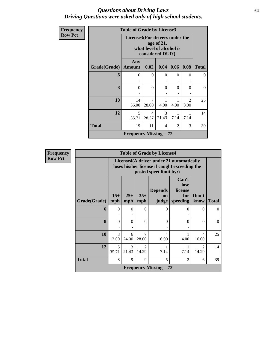### *Questions about Driving Laws* **64** *Driving Questions were asked only of high school students.*

| Frequency      | <b>Table of Grade by License3</b> |                               |                                                                                              |            |                |                                     |              |  |
|----------------|-----------------------------------|-------------------------------|----------------------------------------------------------------------------------------------|------------|----------------|-------------------------------------|--------------|--|
| <b>Row Pct</b> |                                   |                               | License3(For drivers under the<br>age of 21,<br>what level of alcohol is<br>considered DUI?) |            |                |                                     |              |  |
|                | <b>Grade</b> (Grade)              | Any<br><b>Amount</b>          | 0.02                                                                                         | 0.04       | 0.06           | 0.08                                | <b>Total</b> |  |
|                | 6                                 | $\Omega$                      | $\Omega$                                                                                     | $\Omega$   | $\Omega$       | $\Omega$                            | $\Omega$     |  |
|                | 8                                 | $\theta$                      | $\theta$                                                                                     | $\Omega$   | $\Omega$       | $\Omega$                            | $\theta$     |  |
|                | 10                                | 14<br>56.00                   | 7<br>28.00                                                                                   | 4.00       | 4.00           | $\mathcal{D}_{\mathcal{A}}$<br>8.00 | 25           |  |
|                | 12                                | 5<br>35.71                    | $\overline{4}$<br>28.57                                                                      | 3<br>21.43 | 1<br>7.14      | 7.14                                | 14           |  |
|                | <b>Total</b>                      | 19                            | 11                                                                                           | 4          | $\mathfrak{D}$ | 3                                   | 39           |  |
|                |                                   | <b>Frequency Missing = 72</b> |                                                                                              |            |                |                                     |              |  |

| <b>Frequency</b> |              |              |              |                                      | <b>Table of Grade by License4</b> |                                                                                           |                                      |              |
|------------------|--------------|--------------|--------------|--------------------------------------|-----------------------------------|-------------------------------------------------------------------------------------------|--------------------------------------|--------------|
| <b>Row Pct</b>   |              |              |              |                                      | posted speet limit by:)           | License4(A driver under 21 automatically<br>loses his/her license if caught exceeding the |                                      |              |
|                  | Grade(Grade) | $15+$<br>mph | $25+$<br>mph | $35+$<br>mph                         | <b>Depends</b><br>on<br>judge     | Can't<br>lose<br>license<br>for<br>speeding                                               | Don't<br>know                        | <b>Total</b> |
|                  | 6            | $\mathbf{0}$ | $\Omega$     | $\theta$                             | $\Omega$                          | $\Omega$                                                                                  | $\Omega$                             | $\Omega$     |
|                  | 8            | $\theta$     | $\Omega$     | $\Omega$                             | $\Omega$                          | $\Omega$                                                                                  | $\Omega$                             | $\Omega$     |
|                  | 10           | 3<br>12.00   | 6<br>24.00   | 7<br>28.00                           | $\overline{\mathcal{A}}$<br>16.00 | 4.00                                                                                      | $\overline{4}$<br>16.00              | 25           |
|                  | 12           | 5<br>35.71   | 3<br>21.43   | $\mathcal{D}_{\mathcal{L}}$<br>14.29 | 7.14                              | 7.14                                                                                      | $\mathcal{D}_{\mathcal{L}}$<br>14.29 | 14           |
|                  | <b>Total</b> | 8            | 9            | 9                                    | 5                                 | 2                                                                                         | 6                                    | 39           |
|                  |              |              |              |                                      | <b>Frequency Missing = 72</b>     |                                                                                           |                                      |              |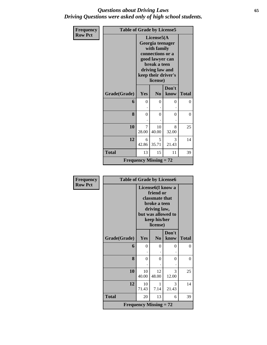### *Questions about Driving Laws* **65** *Driving Questions were asked only of high school students.*

| Frequency      | <b>Table of Grade by License5</b> |                               |                                                                                                                                                            |                |              |  |
|----------------|-----------------------------------|-------------------------------|------------------------------------------------------------------------------------------------------------------------------------------------------------|----------------|--------------|--|
| <b>Row Pct</b> |                                   |                               | License5(A<br>Georgia teenager<br>with family<br>connections or a<br>good lawyer can<br>break a teen<br>driving law and<br>keep their driver's<br>license) |                |              |  |
|                | Grade(Grade)                      | Yes                           | N <sub>0</sub>                                                                                                                                             | Don't<br>know  | <b>Total</b> |  |
|                | 6                                 | $\theta$                      | $\Omega$                                                                                                                                                   | 0              | $\theta$     |  |
|                | 8                                 | $\overline{0}$                | $\theta$                                                                                                                                                   | $\overline{0}$ | $\theta$     |  |
|                | 10                                | 7<br>28.00                    | 10<br>40.00                                                                                                                                                | 8<br>32.00     | 25           |  |
|                | 12                                | 6<br>42.86                    | 5<br>35.71                                                                                                                                                 | 3<br>21.43     | 14           |  |
|                | <b>Total</b>                      | 13                            | 15                                                                                                                                                         | 11             | 39           |  |
|                |                                   | <b>Frequency Missing = 72</b> |                                                                                                                                                            |                |              |  |

| <b>Frequency</b> | <b>Table of Grade by License6</b> |             |                                                                                                                                                 |               |                |
|------------------|-----------------------------------|-------------|-------------------------------------------------------------------------------------------------------------------------------------------------|---------------|----------------|
| <b>Row Pct</b>   |                                   |             | License <sub>6</sub> (I know a<br>friend or<br>classmate that<br>broke a teen<br>driving law,<br>but was allowed to<br>keep his/her<br>license) |               |                |
|                  | Grade(Grade)                      | Yes         | N <sub>0</sub>                                                                                                                                  | Don't<br>know | <b>Total</b>   |
|                  | 6                                 | $\theta$    | 0                                                                                                                                               | 0             | $\overline{0}$ |
|                  | 8                                 | $\theta$    | $\Omega$                                                                                                                                        | 0             | 0              |
|                  | 10                                | 10<br>40.00 | 12<br>48.00                                                                                                                                     | 3<br>12.00    | 25             |
|                  | 12                                | 10<br>71.43 | 1<br>7.14                                                                                                                                       | 3<br>21.43    | 14             |
|                  | <b>Total</b>                      | 20          | 13                                                                                                                                              | 6             | 39             |
|                  |                                   |             | <b>Frequency Missing = 72</b>                                                                                                                   |               |                |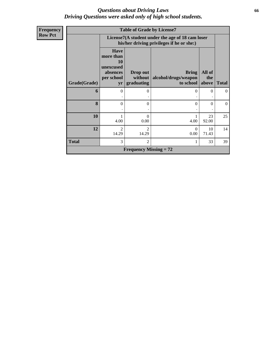## *Questions about Driving Laws* **66** *Driving Questions were asked only of high school students.*

| Frequency      | <b>Table of Grade by License7</b> |                                                                              |                               |                                                                                               |               |              |  |  |  |
|----------------|-----------------------------------|------------------------------------------------------------------------------|-------------------------------|-----------------------------------------------------------------------------------------------|---------------|--------------|--|--|--|
| <b>Row Pct</b> |                                   |                                                                              |                               | License7(A student under the age of 18 cam loser<br>his/her driving privileges if he or she:) |               |              |  |  |  |
|                |                                   | <b>Have</b><br>more than<br><b>10</b><br>unexcused<br>absences<br>per school | Drop out<br>without           | <b>Bring</b><br>alcohol/drugs/weapon                                                          | All of<br>the |              |  |  |  |
|                | Grade(Grade)                      | yr                                                                           | graduating                    | to school above                                                                               |               | <b>Total</b> |  |  |  |
|                | 6                                 | 0                                                                            | $\Omega$                      | $\Omega$                                                                                      | 0             | $\theta$     |  |  |  |
|                | 8                                 | $\theta$                                                                     | $\theta$                      | $\Omega$                                                                                      | 0             | $\theta$     |  |  |  |
|                | 10                                | 4.00                                                                         | $\Omega$<br>0.00              | 4.00                                                                                          | 23<br>92.00   | 25           |  |  |  |
|                | 12                                | $\overline{2}$<br>14.29                                                      | $\mathfrak{D}$<br>14.29       | $\Omega$<br>0.00                                                                              | 10<br>71.43   | 14           |  |  |  |
|                | <b>Total</b>                      | 3                                                                            | $\mathcal{D}_{\mathcal{L}}$   | 1                                                                                             | 33            | 39           |  |  |  |
|                |                                   |                                                                              | <b>Frequency Missing = 72</b> |                                                                                               |               |              |  |  |  |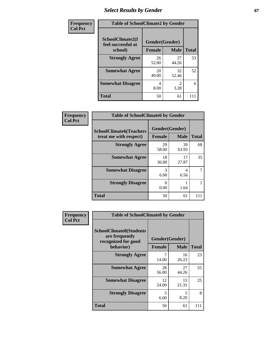## **Select Results by Gender 67**

| Frequency<br><b>Col Pct</b> | <b>Table of SchoolClimate2 by Gender</b> |                |                        |              |  |  |
|-----------------------------|------------------------------------------|----------------|------------------------|--------------|--|--|
|                             | SchoolClimate2(I<br>feel successful at   | Gender(Gender) |                        |              |  |  |
|                             | school)                                  | <b>Female</b>  | <b>Male</b>            | <b>Total</b> |  |  |
|                             | <b>Strongly Agree</b>                    | 26<br>52.00    | 27<br>44.26            | 53           |  |  |
|                             | <b>Somewhat Agree</b>                    | 20<br>40.00    | 32<br>52.46            | 52           |  |  |
|                             | <b>Somewhat Disagree</b>                 | 4<br>8.00      | $\mathfrak{D}$<br>3.28 | 6            |  |  |
|                             | <b>Total</b>                             | 50             | 61                     | 111          |  |  |

| <b>Frequency</b> | <b>Table of SchoolClimate6 by Gender</b>                 |                                 |             |              |  |  |  |
|------------------|----------------------------------------------------------|---------------------------------|-------------|--------------|--|--|--|
| <b>Col Pct</b>   | <b>SchoolClimate6(Teachers</b><br>treat me with respect) | Gender(Gender)<br><b>Female</b> | <b>Male</b> | <b>Total</b> |  |  |  |
|                  | <b>Strongly Agree</b>                                    | 29<br>58.00                     | 39<br>63.93 | 68           |  |  |  |
|                  | <b>Somewhat Agree</b>                                    | 18<br>36.00                     | 17<br>27.87 | 35           |  |  |  |
|                  | <b>Somewhat Disagree</b>                                 | 3<br>6.00                       | 4<br>6.56   | 7            |  |  |  |
|                  | <b>Strongly Disagree</b>                                 | 0<br>0.00                       | 1.64        |              |  |  |  |
|                  | <b>Total</b>                                             | 50                              | 61          | 111          |  |  |  |

| <b>Frequency</b> | <b>Table of SchoolClimate8 by Gender</b>                                |                                 |             |              |  |  |
|------------------|-------------------------------------------------------------------------|---------------------------------|-------------|--------------|--|--|
| <b>Col Pct</b>   | <b>SchoolClimate8(Students</b><br>are frequently<br>recognized for good | Gender(Gender)<br><b>Female</b> |             |              |  |  |
|                  | behavior)                                                               |                                 | <b>Male</b> | <b>Total</b> |  |  |
|                  | <b>Strongly Agree</b>                                                   | 7<br>14.00                      | 16<br>26.23 | 23           |  |  |
|                  | <b>Somewhat Agree</b>                                                   | 28<br>56.00                     | 27<br>44.26 | 55           |  |  |
|                  | <b>Somewhat Disagree</b>                                                | 12<br>24.00                     | 13<br>21.31 | 25           |  |  |
|                  | <b>Strongly Disagree</b>                                                | 3<br>6.00                       | 5<br>8.20   | 8            |  |  |
|                  | <b>Total</b>                                                            | 50                              | 61          | 111          |  |  |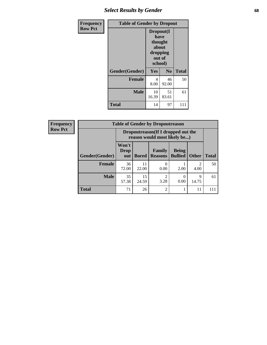## *Select Results by Gender* **68**

| <b>Frequency</b> |                | <b>Table of Gender by Dropout</b>                                      |             |              |
|------------------|----------------|------------------------------------------------------------------------|-------------|--------------|
| <b>Row Pct</b>   |                | Dropout(I<br>have<br>thought<br>about<br>dropping<br>out of<br>school) |             |              |
|                  | Gender(Gender) | Yes                                                                    | No          | <b>Total</b> |
|                  | <b>Female</b>  | 4<br>8.00                                                              | 46<br>92.00 | 50           |
|                  | <b>Male</b>    | 10<br>16.39                                                            | 51<br>83.61 | 61           |
|                  | <b>Total</b>   | 14                                                                     | 97          | 111          |

| <b>Frequency</b> |                | <b>Table of Gender by Dropoutreason</b>                             |              |                          |                                |                        |              |
|------------------|----------------|---------------------------------------------------------------------|--------------|--------------------------|--------------------------------|------------------------|--------------|
| <b>Row Pct</b>   |                | Dropoutreason (If I dropped out the<br>reason would most likely be) |              |                          |                                |                        |              |
|                  | Gender(Gender) | Won't<br><b>Drop</b><br>out                                         | <b>Bored</b> | Family<br><b>Reasons</b> | <b>Being</b><br><b>Bullied</b> | <b>Other</b>           | <b>Total</b> |
|                  | <b>Female</b>  | 36<br>72.00                                                         | 11<br>22.00  | 0.00                     | 2.00                           | $\overline{2}$<br>4.00 | 50           |
|                  | <b>Male</b>    | 35<br>57.38                                                         | 15<br>24.59  | ി<br>3.28                | 0.00                           | 9<br>14.75             | 61           |
|                  | <b>Total</b>   | 71                                                                  | 26           | $\overline{c}$           |                                | 11                     | 111          |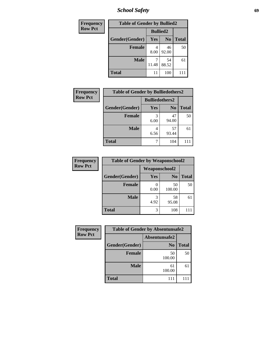*School Safety* **69**

| Frequency      | <b>Table of Gender by Bullied2</b> |                 |                |              |  |
|----------------|------------------------------------|-----------------|----------------|--------------|--|
| <b>Row Pct</b> |                                    | <b>Bullied2</b> |                |              |  |
|                | Gender(Gender)                     | Yes             | N <sub>0</sub> | <b>Total</b> |  |
|                | <b>Female</b>                      | 4<br>8.00       | 46<br>92.00    | 50           |  |
|                | <b>Male</b>                        | 11.48           | 54<br>88.52    | 61           |  |
|                | <b>Total</b>                       | 11              | 100            |              |  |

| <b>Frequency</b> | <b>Table of Gender by Bulliedothers2</b> |                       |                |              |
|------------------|------------------------------------------|-----------------------|----------------|--------------|
| <b>Row Pct</b>   |                                          | <b>Bulliedothers2</b> |                |              |
|                  | Gender(Gender)                           | <b>Yes</b>            | N <sub>0</sub> | <b>Total</b> |
|                  | <b>Female</b>                            | 3<br>6.00             | 47<br>94.00    | 50           |
|                  | <b>Male</b>                              | 4<br>6.56             | 57<br>93.44    | 61           |
|                  | Total                                    | 7                     | 104            |              |

| <b>Frequency</b> | <b>Table of Gender by Weaponschool2</b> |                      |                |              |
|------------------|-----------------------------------------|----------------------|----------------|--------------|
| <b>Row Pct</b>   |                                         | <b>Weaponschool2</b> |                |              |
|                  | Gender(Gender)                          | Yes                  | N <sub>0</sub> | <b>Total</b> |
|                  | <b>Female</b>                           | 0.00                 | 50<br>100.00   | 50           |
|                  | <b>Male</b>                             | 4.92                 | 58<br>95.08    | 61           |
|                  | <b>Total</b>                            | 3                    | 108            |              |

| Frequency      | <b>Table of Gender by Absentunsafe2</b> |                |              |  |
|----------------|-----------------------------------------|----------------|--------------|--|
| <b>Row Pct</b> |                                         | Absentunsafe2  |              |  |
|                | Gender(Gender)                          | N <sub>0</sub> | <b>Total</b> |  |
|                | <b>Female</b>                           | 50<br>100.00   | 50           |  |
|                | <b>Male</b>                             | 61<br>100.00   | 61           |  |
|                | <b>Total</b>                            | 111            | 111          |  |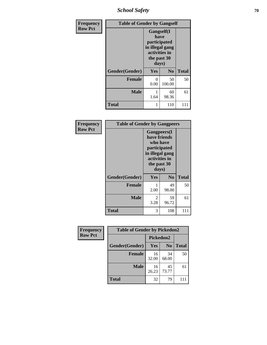*School Safety* **70**

| Frequency      | <b>Table of Gender by Gangself</b> |                                                                                                |                |              |
|----------------|------------------------------------|------------------------------------------------------------------------------------------------|----------------|--------------|
| <b>Row Pct</b> |                                    | Gangself(I<br>have<br>participated<br>in illegal gang<br>activities in<br>the past 30<br>days) |                |              |
|                | Gender(Gender)                     | Yes                                                                                            | N <sub>0</sub> | <b>Total</b> |
|                | <b>Female</b>                      | 0<br>0.00                                                                                      | 50<br>100.00   | 50           |
|                | <b>Male</b>                        | 1<br>1.64                                                                                      | 60<br>98.36    | 61           |
|                | <b>Total</b>                       | 1                                                                                              | 110            | 111          |

| Frequency      | <b>Table of Gender by Gangpeers</b> |                                                                                                                             |                |              |  |
|----------------|-------------------------------------|-----------------------------------------------------------------------------------------------------------------------------|----------------|--------------|--|
| <b>Row Pct</b> |                                     | <b>Gangpeers</b> (I<br>have friends<br>who have<br>participated<br>in illegal gang<br>activities in<br>the past 30<br>days) |                |              |  |
|                | Gender(Gender)                      | Yes                                                                                                                         | N <sub>0</sub> | <b>Total</b> |  |
|                | <b>Female</b>                       | 2.00                                                                                                                        | 49<br>98.00    | 50           |  |
|                | <b>Male</b>                         | $\mathfrak{D}$<br>3.28                                                                                                      | 59<br>96.72    | 61           |  |
|                | Total                               | 3                                                                                                                           | 108            | 111          |  |

| Frequency      | <b>Table of Gender by Pickedon2</b> |             |                |              |  |
|----------------|-------------------------------------|-------------|----------------|--------------|--|
| <b>Row Pct</b> |                                     | Pickedon2   |                |              |  |
|                | Gender(Gender)                      | <b>Yes</b>  | N <sub>0</sub> | <b>Total</b> |  |
|                | Female                              | 16<br>32.00 | 34<br>68.00    | 50           |  |
|                | <b>Male</b>                         | 16<br>26.23 | 45<br>73.77    | 61           |  |
|                | <b>Total</b>                        | 32          | 79             | 111          |  |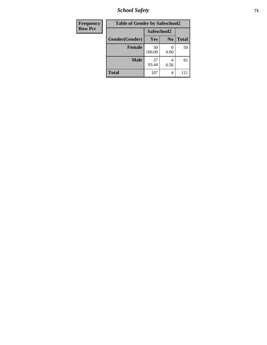*School Safety* **71**

| <b>Frequency</b> | <b>Table of Gender by Safeschool2</b> |              |                |              |  |
|------------------|---------------------------------------|--------------|----------------|--------------|--|
| <b>Row Pct</b>   |                                       | Safeschool2  |                |              |  |
|                  | Gender(Gender)                        | <b>Yes</b>   | N <sub>0</sub> | <b>Total</b> |  |
|                  | <b>Female</b>                         | 50<br>100.00 | 0.00           | 50           |  |
|                  | <b>Male</b>                           | 57<br>93.44  | 4<br>6.56      | 61           |  |
|                  | <b>Total</b>                          | 107          | 4              | 111          |  |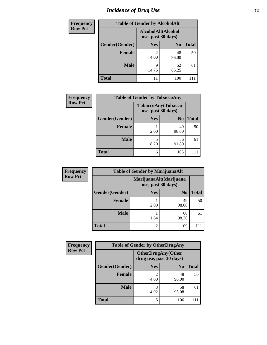# *Incidence of Drug Use 72*

| <b>Frequency</b> | <b>Table of Gender by AlcoholAlt</b> |                                          |                |              |  |
|------------------|--------------------------------------|------------------------------------------|----------------|--------------|--|
| <b>Row Pct</b>   |                                      | AlcoholAlt(Alcohol<br>use, past 30 days) |                |              |  |
|                  | Gender(Gender)                       | <b>Yes</b>                               | N <sub>0</sub> | <b>Total</b> |  |
|                  | <b>Female</b>                        | $\mathfrak{D}$<br>4.00                   | 48<br>96.00    | 50           |  |
|                  | <b>Male</b>                          | Q<br>14.75                               | 52<br>85.25    | 61           |  |
|                  | <b>Total</b>                         | 11                                       | 100            | 111          |  |

| <b>Frequency</b> | <b>Table of Gender by TobaccoAny</b> |                                          |                |              |  |
|------------------|--------------------------------------|------------------------------------------|----------------|--------------|--|
| <b>Row Pct</b>   |                                      | TobaccoAny(Tobacco<br>use, past 30 days) |                |              |  |
|                  | Gender(Gender)                       | Yes                                      | N <sub>0</sub> | <b>Total</b> |  |
|                  | Female                               | 2.00                                     | 49<br>98.00    | 50           |  |
|                  | <b>Male</b>                          | 5<br>8.20                                | 56<br>91.80    | 61           |  |
|                  | <b>Total</b>                         | 6                                        | 105            |              |  |

| <b>Frequency</b> | <b>Table of Gender by MarijuanaAlt</b> |                                              |                |              |
|------------------|----------------------------------------|----------------------------------------------|----------------|--------------|
| <b>Row Pct</b>   |                                        | MarijuanaAlt(Marijuana<br>use, past 30 days) |                |              |
|                  | Gender(Gender)                         | <b>Yes</b>                                   | N <sub>0</sub> | <b>Total</b> |
|                  | <b>Female</b>                          | 2.00                                         | 49<br>98.00    | 50           |
|                  | <b>Male</b>                            | 1.64                                         | 60<br>98.36    | 61           |
|                  | <b>Total</b>                           | 2                                            | 109            |              |

| <b>Frequency</b> | <b>Table of Gender by OtherDrugAny</b> |                                                      |                |              |
|------------------|----------------------------------------|------------------------------------------------------|----------------|--------------|
| <b>Row Pct</b>   |                                        | <b>OtherDrugAny(Other</b><br>drug use, past 30 days) |                |              |
|                  | Gender(Gender)                         | <b>Yes</b>                                           | N <sub>0</sub> | <b>Total</b> |
|                  | <b>Female</b>                          | 2<br>4.00                                            | 48<br>96.00    | 50           |
|                  | <b>Male</b>                            | 3<br>4.92                                            | 58<br>95.08    | 61           |
|                  | <b>Total</b>                           | 5                                                    | 106            |              |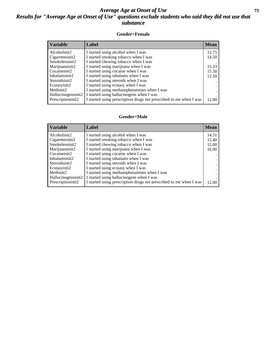# *Average Age at Onset of Use* **73** *Results for "Average Age at Onset of Use" questions exclude students who said they did not use that substance*

## **Gender=Female**

| <b>Variable</b>    | Label                                                              | <b>Mean</b> |
|--------------------|--------------------------------------------------------------------|-------------|
| Alcoholinit2       | I started using alcohol when I was                                 | 12.75       |
| Cigarettesinit2    | I started smoking tobacco when I was                               | 14.50       |
| Smokelessinit2     | I started chewing tobacco when I was                               |             |
| Marijuanainit2     | I started using marijuana when I was                               | 15.33       |
| Cocaineinit2       | I started using cocaine when I was                                 | 15.50       |
| Inhalantsinit2     | I started using inhalants when I was                               | 12.50       |
| Steroidsinit2      | I started using steroids when I was                                |             |
| Ecstasyinit2       | I started using ecstasy when I was                                 |             |
| Methinit2          | I started using methamphetamines when I was                        |             |
| Hallucinogensinit2 | I started using hallucinogens when I was                           |             |
| Prescription in t2 | I started using prescription drugs not prescribed to me when I was | 12.00       |

## **Gender=Male**

| <b>Variable</b>                 | Label                                                              | <b>Mean</b> |
|---------------------------------|--------------------------------------------------------------------|-------------|
| Alcoholinit2                    | I started using alcohol when I was                                 | 14.31       |
| Cigarettesinit2                 | I started smoking tobacco when I was                               | 15.40       |
| Smokelessinit2                  | I started chewing tobacco when I was                               | 15.00       |
| Marijuanainit2                  | I started using marijuana when I was                               | 16.00       |
| Cocaineinit2                    | I started using cocaine when I was                                 |             |
| Inhalantsinit2                  | I started using inhalants when I was                               |             |
| Steroidsinit2                   | I started using steroids when I was                                |             |
| Ecstasyinit2                    | I started using ecstasy when I was                                 |             |
| Methinit2                       | I started using methamphetamines when I was                        |             |
| Hallucinogensinit2              | I started using hallucinogens when I was                           |             |
| Prescription in it <sub>2</sub> | I started using prescription drugs not prescribed to me when I was | 12.00       |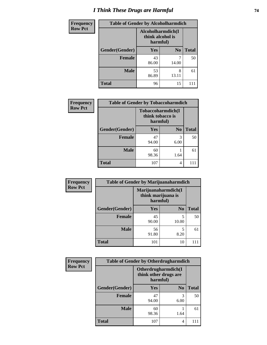# *I Think These Drugs are Harmful* **74**

| Frequency      | <b>Table of Gender by Alcoholharmdich</b> |                                                   |                |              |
|----------------|-------------------------------------------|---------------------------------------------------|----------------|--------------|
| <b>Row Pct</b> |                                           | Alcoholharmdich(I<br>think alcohol is<br>harmful) |                |              |
|                | Gender(Gender)                            | <b>Yes</b>                                        | N <sub>0</sub> | <b>Total</b> |
|                | Female                                    | 43<br>86.00                                       | 14.00          | 50           |
|                | <b>Male</b>                               | 53<br>86.89                                       | 8<br>13.11     | 61           |
|                | <b>Total</b>                              | 96                                                | 15             |              |

| Frequency      | <b>Table of Gender by Tobaccoharmdich</b> |                              |                   |              |
|----------------|-------------------------------------------|------------------------------|-------------------|--------------|
| <b>Row Pct</b> |                                           | think tobacco is<br>harmful) | Tobaccoharmdich(I |              |
|                | Gender(Gender)                            | Yes                          | N <sub>0</sub>    | <b>Total</b> |
|                | <b>Female</b>                             | 47<br>94.00                  | 3<br>6.00         | 50           |
|                | <b>Male</b>                               | 60<br>98.36                  | 1.64              | 61           |
|                | <b>Total</b>                              | 107                          | 4                 |              |

| Frequency      | <b>Table of Gender by Marijuanaharmdich</b> |                                |                     |              |
|----------------|---------------------------------------------|--------------------------------|---------------------|--------------|
| <b>Row Pct</b> |                                             | think marijuana is<br>harmful) | Marijuanaharmdich(I |              |
|                | Gender(Gender)                              | <b>Yes</b>                     | N <sub>0</sub>      | <b>Total</b> |
|                | <b>Female</b>                               | 45<br>90.00                    | 5<br>10.00          | 50           |
|                | <b>Male</b>                                 | 56<br>91.80                    | 5<br>8.20           | 61           |
|                | <b>Total</b>                                | 101                            | 10                  |              |

| Frequency      | <b>Table of Gender by Otherdrugharmdich</b> |                                                          |                |              |
|----------------|---------------------------------------------|----------------------------------------------------------|----------------|--------------|
| <b>Row Pct</b> |                                             | Otherdrugharmdich(I<br>think other drugs are<br>harmful) |                |              |
|                | Gender(Gender)                              | <b>Yes</b>                                               | N <sub>0</sub> | <b>Total</b> |
|                | <b>Female</b>                               | 47<br>94.00                                              | 3<br>6.00      | 50           |
|                | <b>Male</b>                                 | 60<br>98.36                                              | 1.64           | 61           |
|                | <b>Total</b>                                | 107                                                      | 4              | 111          |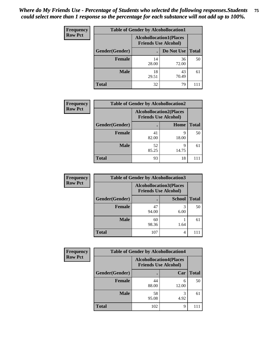| <b>Frequency</b> | <b>Table of Gender by Alcohollocation1</b> |                                                               |             |              |
|------------------|--------------------------------------------|---------------------------------------------------------------|-------------|--------------|
| <b>Row Pct</b>   |                                            | <b>Alcohollocation1(Places</b><br><b>Friends Use Alcohol)</b> |             |              |
|                  | Gender(Gender)                             |                                                               | Do Not Use  | <b>Total</b> |
|                  | <b>Female</b>                              | 14<br>28.00                                                   | 36<br>72.00 | 50           |
|                  | <b>Male</b>                                | 18<br>29.51                                                   | 43<br>70.49 | 61           |
|                  | <b>Total</b>                               | 32                                                            | 79          |              |

| <b>Frequency</b> | <b>Table of Gender by Alcohollocation2</b> |                                                               |            |              |
|------------------|--------------------------------------------|---------------------------------------------------------------|------------|--------------|
| <b>Row Pct</b>   |                                            | <b>Alcohollocation2(Places</b><br><b>Friends Use Alcohol)</b> |            |              |
|                  | Gender(Gender)                             |                                                               | Home       | <b>Total</b> |
|                  | <b>Female</b>                              | 41<br>82.00                                                   | q<br>18.00 | 50           |
|                  | <b>Male</b>                                | 52<br>85.25                                                   | 9<br>14.75 | 61           |
|                  | <b>Total</b>                               | 93                                                            | 18         |              |

| Frequency      | <b>Table of Gender by Alcohollocation3</b> |                                                               |               |              |
|----------------|--------------------------------------------|---------------------------------------------------------------|---------------|--------------|
| <b>Row Pct</b> |                                            | <b>Alcohollocation3(Places</b><br><b>Friends Use Alcohol)</b> |               |              |
|                | Gender(Gender)                             |                                                               | <b>School</b> | <b>Total</b> |
|                | <b>Female</b>                              | 47<br>94.00                                                   | 3<br>6.00     | 50           |
|                | <b>Male</b>                                | 60<br>98.36                                                   | 1.64          | 61           |
|                | <b>Total</b>                               | 107                                                           | 4             |              |

| Frequency      | <b>Table of Gender by Alcohollocation4</b> |                                                               |            |              |
|----------------|--------------------------------------------|---------------------------------------------------------------|------------|--------------|
| <b>Row Pct</b> |                                            | <b>Alcohollocation4(Places</b><br><b>Friends Use Alcohol)</b> |            |              |
|                | Gender(Gender)                             |                                                               | Car        | <b>Total</b> |
|                | Female                                     | 44<br>88.00                                                   | 6<br>12.00 | 50           |
|                | <b>Male</b>                                | 58<br>95.08                                                   | 3<br>4.92  | 61           |
|                | <b>Total</b>                               | 102                                                           | 9          |              |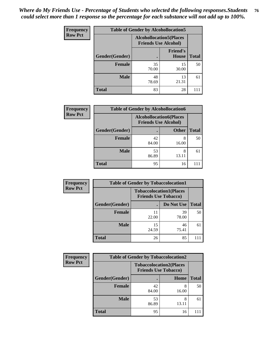| <b>Frequency</b> | <b>Table of Gender by Alcohollocation5</b>                    |             |                                 |              |
|------------------|---------------------------------------------------------------|-------------|---------------------------------|--------------|
| <b>Row Pct</b>   | <b>Alcohollocation5(Places</b><br><b>Friends Use Alcohol)</b> |             |                                 |              |
|                  | Gender(Gender)                                                |             | <b>Friend's</b><br><b>House</b> | <b>Total</b> |
|                  | <b>Female</b>                                                 | 35<br>70.00 | 15<br>30.00                     | 50           |
|                  | <b>Male</b>                                                   | 48<br>78.69 | 13<br>21.31                     | 61           |
|                  | <b>Total</b>                                                  | 83          | 28                              | 111          |

| <b>Frequency</b> | <b>Table of Gender by Alcohollocation6</b> |                                                               |              |              |
|------------------|--------------------------------------------|---------------------------------------------------------------|--------------|--------------|
| <b>Row Pct</b>   |                                            | <b>Alcohollocation6(Places</b><br><b>Friends Use Alcohol)</b> |              |              |
|                  | Gender(Gender)                             |                                                               | <b>Other</b> | <b>Total</b> |
|                  | <b>Female</b>                              | 42<br>84.00                                                   | 16.00        | 50           |
|                  | <b>Male</b>                                | 53<br>86.89                                                   | 8<br>13.11   | 61           |
|                  | <b>Total</b>                               | 95                                                            | 16           | 111          |

| Frequency      |                | <b>Table of Gender by Tobaccolocation1</b>                    |             |              |  |  |
|----------------|----------------|---------------------------------------------------------------|-------------|--------------|--|--|
| <b>Row Pct</b> |                | <b>Tobaccolocation1(Places</b><br><b>Friends Use Tobacco)</b> |             |              |  |  |
|                | Gender(Gender) |                                                               | Do Not Use  | <b>Total</b> |  |  |
|                | Female         | 11<br>22.00                                                   | 39<br>78.00 | 50           |  |  |
|                | <b>Male</b>    | 15<br>24.59                                                   | 46<br>75.41 | 61           |  |  |
|                | <b>Total</b>   | 26                                                            | 85          |              |  |  |

| Frequency      | <b>Table of Gender by Tobaccolocation2</b> |                             |                                |              |
|----------------|--------------------------------------------|-----------------------------|--------------------------------|--------------|
| <b>Row Pct</b> |                                            | <b>Friends Use Tobacco)</b> | <b>Tobaccolocation2(Places</b> |              |
|                | Gender(Gender)                             |                             | Home                           | <b>Total</b> |
|                | Female                                     | 42<br>84.00                 | 8<br>16.00                     | 50           |
|                | <b>Male</b>                                | 53<br>86.89                 | 8<br>13.11                     | 61           |
|                | <b>Total</b>                               | 95                          | 16                             |              |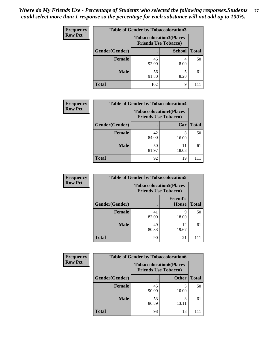| <b>Frequency</b> | <b>Table of Gender by Tobaccolocation3</b> |             |                                                               |              |
|------------------|--------------------------------------------|-------------|---------------------------------------------------------------|--------------|
| <b>Row Pct</b>   |                                            |             | <b>Tobaccolocation3(Places</b><br><b>Friends Use Tobacco)</b> |              |
|                  | Gender(Gender)                             |             | <b>School</b>                                                 | <b>Total</b> |
|                  | <b>Female</b>                              | 46<br>92.00 | 8.00                                                          | 50           |
|                  | <b>Male</b>                                | 56<br>91.80 | 8.20                                                          | 61           |
|                  | <b>Total</b>                               | 102         | 9                                                             |              |

| <b>Frequency</b> | <b>Table of Gender by Tobaccolocation4</b> |                             |                                |              |
|------------------|--------------------------------------------|-----------------------------|--------------------------------|--------------|
| <b>Row Pct</b>   |                                            | <b>Friends Use Tobacco)</b> | <b>Tobaccolocation4(Places</b> |              |
|                  | <b>Gender</b> (Gender)                     |                             | Car                            | <b>Total</b> |
|                  | <b>Female</b>                              | 42<br>84.00                 | 8<br>16.00                     | 50           |
|                  | <b>Male</b>                                | 50<br>81.97                 | 11<br>18.03                    | 61           |
|                  | <b>Total</b>                               | 92                          | 19                             |              |

| <b>Frequency</b> | <b>Table of Gender by Tobaccolocation5</b> |                                                               |                                 |              |
|------------------|--------------------------------------------|---------------------------------------------------------------|---------------------------------|--------------|
| <b>Row Pct</b>   |                                            | <b>Tobaccolocation5(Places</b><br><b>Friends Use Tobacco)</b> |                                 |              |
|                  | Gender(Gender)                             |                                                               | <b>Friend's</b><br><b>House</b> | <b>Total</b> |
|                  | <b>Female</b>                              | 41<br>82.00                                                   | 9<br>18.00                      | 50           |
|                  | <b>Male</b>                                | 49<br>80.33                                                   | 12<br>19.67                     | 61           |
|                  | <b>Total</b>                               | 90                                                            | 21                              | 111          |

| <b>Frequency</b> | <b>Table of Gender by Tobaccolocation6</b> |             |                                                               |              |
|------------------|--------------------------------------------|-------------|---------------------------------------------------------------|--------------|
| <b>Row Pct</b>   |                                            |             | <b>Tobaccolocation6(Places</b><br><b>Friends Use Tobacco)</b> |              |
|                  | Gender(Gender)                             |             | <b>Other</b>                                                  | <b>Total</b> |
|                  | Female                                     | 45<br>90.00 | 10.00                                                         | 50           |
|                  | <b>Male</b>                                | 53<br>86.89 | 8<br>13.11                                                    | 61           |
|                  | <b>Total</b>                               | 98          | 13                                                            |              |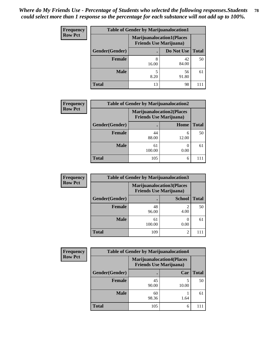| <b>Frequency</b> | <b>Table of Gender by Marijuanalocation1</b> |                                                                    |             |              |
|------------------|----------------------------------------------|--------------------------------------------------------------------|-------------|--------------|
| <b>Row Pct</b>   |                                              | <b>Marijuanalocation1(Places</b><br><b>Friends Use Marijuana</b> ) |             |              |
|                  | Gender(Gender)                               |                                                                    | Do Not Use  | <b>Total</b> |
|                  | <b>Female</b>                                | 8<br>16.00                                                         | 42<br>84.00 | 50           |
|                  | <b>Male</b>                                  | 8.20                                                               | 56<br>91.80 | 61           |
|                  | Total                                        | 13                                                                 | 98          |              |

| <b>Frequency</b> |                | <b>Table of Gender by Marijuanalocation2</b> |                                                                     |              |
|------------------|----------------|----------------------------------------------|---------------------------------------------------------------------|--------------|
| <b>Row Pct</b>   |                |                                              | <b>Marijuanalocation2(Places)</b><br><b>Friends Use Marijuana</b> ) |              |
|                  | Gender(Gender) |                                              | Home                                                                | <b>Total</b> |
|                  | <b>Female</b>  | 44<br>88.00                                  | 6<br>12.00                                                          | 50           |
|                  | <b>Male</b>    | 61<br>100.00                                 | 0.00                                                                | 61           |
|                  | <b>Total</b>   | 105                                          | 6                                                                   |              |

| <b>Frequency</b> | <b>Table of Gender by Marijuanalocation3</b> |                                                                    |                        |              |
|------------------|----------------------------------------------|--------------------------------------------------------------------|------------------------|--------------|
| <b>Row Pct</b>   |                                              | <b>Marijuanalocation3(Places</b><br><b>Friends Use Marijuana</b> ) |                        |              |
|                  | Gender(Gender)                               |                                                                    | <b>School</b>          | <b>Total</b> |
|                  | <b>Female</b>                                | 48<br>96.00                                                        | $\mathfrak{D}$<br>4.00 | 50           |
|                  | <b>Male</b>                                  | 61<br>100.00                                                       | 0.00                   | 61           |
|                  | <b>Total</b>                                 | 109                                                                | 2                      | 111          |

| <b>Frequency</b> |                | <b>Table of Gender by Marijuanalocation4</b>                       |       |              |  |
|------------------|----------------|--------------------------------------------------------------------|-------|--------------|--|
| <b>Row Pct</b>   |                | <b>Marijuanalocation4(Places</b><br><b>Friends Use Marijuana</b> ) |       |              |  |
|                  | Gender(Gender) |                                                                    | Car   | <b>Total</b> |  |
|                  | <b>Female</b>  | 45<br>90.00                                                        | 10.00 | 50           |  |
|                  | <b>Male</b>    | 60<br>98.36                                                        | 1.64  | 61           |  |
|                  | <b>Total</b>   | 105                                                                | 6     |              |  |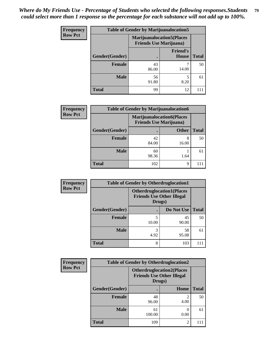| <b>Frequency</b> | <b>Table of Gender by Marijuanalocation5</b> |                                                                     |                          |              |
|------------------|----------------------------------------------|---------------------------------------------------------------------|--------------------------|--------------|
| <b>Row Pct</b>   |                                              | <b>Marijuanalocation5</b> (Places<br><b>Friends Use Marijuana</b> ) |                          |              |
|                  | Gender(Gender)                               |                                                                     | <b>Friend's</b><br>House | <b>Total</b> |
|                  | <b>Female</b>                                | 43<br>86.00                                                         | 14.00                    | 50           |
|                  | <b>Male</b>                                  | 56<br>91.80                                                         | 8.20                     | 61           |
|                  | <b>Total</b>                                 | 99                                                                  | 12                       |              |

| <b>Frequency</b> | <b>Table of Gender by Marijuanalocation6</b> |                                |                                  |              |
|------------------|----------------------------------------------|--------------------------------|----------------------------------|--------------|
| <b>Row Pct</b>   |                                              | <b>Friends Use Marijuana</b> ) | <b>Marijuanalocation6(Places</b> |              |
|                  | <b>Gender</b> (Gender)                       |                                | <b>Other</b>                     | <b>Total</b> |
|                  | <b>Female</b>                                | 42<br>84.00                    | 8<br>16.00                       | 50           |
|                  | <b>Male</b>                                  | 60<br>98.36                    | 1.64                             | 61           |
|                  | <b>Total</b>                                 | 102                            | 9                                | 111          |

| Frequency      | <b>Table of Gender by Otherdruglocation1</b> |                                                                                |             |              |
|----------------|----------------------------------------------|--------------------------------------------------------------------------------|-------------|--------------|
| <b>Row Pct</b> |                                              | <b>Otherdruglocation1(Places</b><br><b>Friends Use Other Illegal</b><br>Drugs) |             |              |
|                | Gender(Gender)                               |                                                                                | Do Not Use  | <b>Total</b> |
|                | Female                                       | 10.00                                                                          | 45<br>90.00 | 50           |
|                | <b>Male</b>                                  | 3<br>4.92                                                                      | 58<br>95.08 | 61           |
|                | <b>Total</b>                                 | 8                                                                              | 103         |              |

| Frequency      | <b>Table of Gender by Otherdruglocation2</b> |                                                                                |                |              |
|----------------|----------------------------------------------|--------------------------------------------------------------------------------|----------------|--------------|
| <b>Row Pct</b> |                                              | <b>Otherdruglocation2(Places</b><br><b>Friends Use Other Illegal</b><br>Drugs) |                |              |
|                | Gender(Gender)                               |                                                                                | Home           | <b>Total</b> |
|                | Female                                       | 48<br>96.00                                                                    | 4.00           | 50           |
|                | <b>Male</b>                                  | 61<br>100.00                                                                   | 0.00           | 61           |
|                | <b>Total</b>                                 | 109                                                                            | $\mathfrak{D}$ | 111          |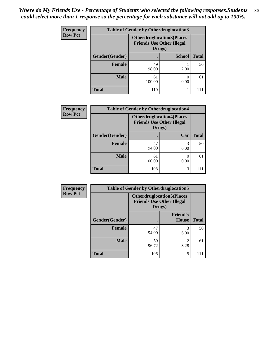| <b>Frequency</b> | <b>Table of Gender by Otherdruglocation3</b> |                                                                                |               |              |  |
|------------------|----------------------------------------------|--------------------------------------------------------------------------------|---------------|--------------|--|
| <b>Row Pct</b>   |                                              | <b>Otherdruglocation3(Places</b><br><b>Friends Use Other Illegal</b><br>Drugs) |               |              |  |
|                  | Gender(Gender)                               |                                                                                | <b>School</b> | <b>Total</b> |  |
|                  | <b>Female</b>                                | 49<br>98.00                                                                    | 2.00          | 50           |  |
|                  | <b>Male</b>                                  | 61<br>100.00                                                                   | 0.00          | 61           |  |
|                  | <b>Total</b>                                 | 110                                                                            |               |              |  |

| <b>Frequency</b> | <b>Table of Gender by Otherdruglocation4</b> |                                                                                |           |              |
|------------------|----------------------------------------------|--------------------------------------------------------------------------------|-----------|--------------|
| <b>Row Pct</b>   |                                              | <b>Otherdruglocation4(Places</b><br><b>Friends Use Other Illegal</b><br>Drugs) |           |              |
|                  | Gender(Gender)                               |                                                                                | Car       | <b>Total</b> |
|                  | Female                                       | 47<br>94.00                                                                    | 3<br>6.00 | 50           |
|                  | <b>Male</b>                                  | 61<br>100.00                                                                   | 0.00      | 61           |
|                  | <b>Total</b>                                 | 108                                                                            | 3         | 111          |

| Frequency      | <b>Table of Gender by Otherdruglocation5</b> |                                                                                |                                 |              |
|----------------|----------------------------------------------|--------------------------------------------------------------------------------|---------------------------------|--------------|
| <b>Row Pct</b> |                                              | <b>Otherdruglocation5(Places</b><br><b>Friends Use Other Illegal</b><br>Drugs) |                                 |              |
|                | Gender(Gender)                               |                                                                                | <b>Friend's</b><br><b>House</b> | <b>Total</b> |
|                | <b>Female</b>                                | 47<br>94.00                                                                    | 3<br>6.00                       | 50           |
|                | <b>Male</b>                                  | 59<br>96.72                                                                    | 2<br>3.28                       | 61           |
|                | <b>Total</b>                                 | 106                                                                            | 5                               |              |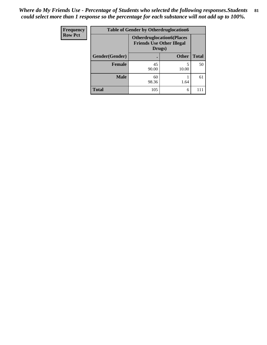| <b>Frequency</b> | <b>Table of Gender by Otherdruglocation6</b> |                                                                                |              |              |
|------------------|----------------------------------------------|--------------------------------------------------------------------------------|--------------|--------------|
| <b>Row Pct</b>   |                                              | <b>Otherdruglocation6(Places</b><br><b>Friends Use Other Illegal</b><br>Drugs) |              |              |
|                  | Gender(Gender)                               |                                                                                | <b>Other</b> | <b>Total</b> |
|                  | Female                                       | 45<br>90.00                                                                    | 10.00        | 50           |
|                  | <b>Male</b>                                  | 60<br>98.36                                                                    | 1.64         | 61           |
|                  | <b>Total</b>                                 | 105                                                                            | 6            | 111          |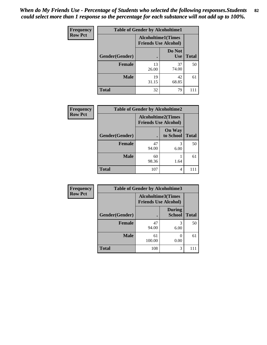| <b>Frequency</b> | <b>Table of Gender by Alcoholtime1</b> |                                                          |                      |              |
|------------------|----------------------------------------|----------------------------------------------------------|----------------------|--------------|
| <b>Row Pct</b>   |                                        | <b>Alcoholtime1(Times</b><br><b>Friends Use Alcohol)</b> |                      |              |
|                  | Gender(Gender)                         | $\bullet$                                                | Do Not<br><b>Use</b> | <b>Total</b> |
|                  | <b>Female</b>                          | 13<br>26.00                                              | 37<br>74.00          | 50           |
|                  | <b>Male</b>                            | 19<br>31.15                                              | 42<br>68.85          | 61           |
|                  | <b>Total</b>                           | 32                                                       | 79                   | 111          |

| <b>Frequency</b> | <b>Table of Gender by Alcoholtime2</b> |                                                          |                            |              |
|------------------|----------------------------------------|----------------------------------------------------------|----------------------------|--------------|
| <b>Row Pct</b>   |                                        | <b>Alcoholtime2(Times</b><br><b>Friends Use Alcohol)</b> |                            |              |
|                  | Gender(Gender)                         |                                                          | <b>On Way</b><br>to School | <b>Total</b> |
|                  | <b>Female</b>                          | 47<br>94.00                                              | 3<br>6.00                  | 50           |
|                  | <b>Male</b>                            | 60<br>98.36                                              | 1.64                       | 61           |
|                  | <b>Total</b>                           | 107                                                      | 4                          |              |

| Frequency      | <b>Table of Gender by Alcoholtime3</b> |                                                          |                                |              |
|----------------|----------------------------------------|----------------------------------------------------------|--------------------------------|--------------|
| <b>Row Pct</b> |                                        | <b>Alcoholtime3(Times</b><br><b>Friends Use Alcohol)</b> |                                |              |
|                | Gender(Gender)                         |                                                          | <b>During</b><br><b>School</b> | <b>Total</b> |
|                | Female                                 | 47<br>94.00                                              | 3<br>6.00                      | 50           |
|                | <b>Male</b>                            | 61<br>100.00                                             | 0<br>0.00                      | 61           |
|                | <b>Total</b>                           | 108                                                      | 3                              | 111          |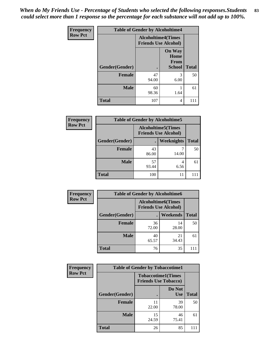*When do My Friends Use - Percentage of Students who selected the following responses.Students could select more than 1 response so the percentage for each substance will not add up to 100%.* **83**

| <b>Frequency</b> | <b>Table of Gender by Alcoholtime4</b> |                                                          |                                                |              |
|------------------|----------------------------------------|----------------------------------------------------------|------------------------------------------------|--------------|
| <b>Row Pct</b>   |                                        | <b>Alcoholtime4(Times</b><br><b>Friends Use Alcohol)</b> |                                                |              |
|                  | Gender(Gender)                         |                                                          | <b>On Way</b><br>Home<br>From<br><b>School</b> | <b>Total</b> |
|                  | <b>Female</b>                          | 47<br>94.00                                              | 3<br>6.00                                      | 50           |
|                  | <b>Male</b>                            | 60<br>98.36                                              | 1.64                                           | 61           |
|                  | <b>Total</b>                           | 107                                                      | 4                                              | 111          |

| <b>Frequency</b> | <b>Table of Gender by Alcoholtime5</b> |                                                           |            |              |
|------------------|----------------------------------------|-----------------------------------------------------------|------------|--------------|
| <b>Row Pct</b>   |                                        | <b>Alcoholtime5</b> (Times<br><b>Friends Use Alcohol)</b> |            |              |
|                  | Gender(Gender)                         |                                                           | Weeknights | <b>Total</b> |
|                  | <b>Female</b>                          | 43<br>86.00                                               | 7<br>14.00 | 50           |
|                  | <b>Male</b>                            | 57<br>93.44                                               | 4<br>6.56  | 61           |
|                  | <b>Total</b>                           | 100                                                       | 11         |              |

| <b>Frequency</b> | <b>Table of Gender by Alcoholtime6</b> |                                                          |             |              |  |
|------------------|----------------------------------------|----------------------------------------------------------|-------------|--------------|--|
| <b>Row Pct</b>   |                                        | <b>Alcoholtime6(Times</b><br><b>Friends Use Alcohol)</b> |             |              |  |
|                  | Gender(Gender)                         |                                                          | Weekends    | <b>Total</b> |  |
|                  | Female                                 | 36<br>72.00                                              | 14<br>28.00 | 50           |  |
|                  | <b>Male</b>                            | 40<br>65.57                                              | 21<br>34.43 | 61           |  |
|                  | <b>Total</b>                           | 76                                                       | 35          | 111          |  |

| Frequency      | <b>Table of Gender by Tobaccotime1</b> |                                                          |                      |              |
|----------------|----------------------------------------|----------------------------------------------------------|----------------------|--------------|
| <b>Row Pct</b> |                                        | <b>Tobaccotime1(Times</b><br><b>Friends Use Tobacco)</b> |                      |              |
|                | Gender(Gender)                         |                                                          | Do Not<br><b>Use</b> | <b>Total</b> |
|                | <b>Female</b>                          | 11<br>22.00                                              | 39<br>78.00          | 50           |
|                | <b>Male</b>                            | 15<br>24.59                                              | 46<br>75.41          | 61           |
|                | <b>Total</b>                           | 26                                                       | 85                   | 111          |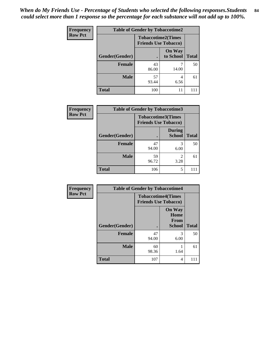| <b>Frequency</b> | <b>Table of Gender by Tobaccotime2</b> |                             |                            |              |
|------------------|----------------------------------------|-----------------------------|----------------------------|--------------|
| <b>Row Pct</b>   |                                        | <b>Friends Use Tobacco)</b> | <b>Tobaccotime2(Times</b>  |              |
|                  | Gender(Gender)                         |                             | <b>On Way</b><br>to School | <b>Total</b> |
|                  | <b>Female</b>                          | 43<br>86.00                 | 14.00                      | 50           |
|                  | <b>Male</b>                            | 57<br>93.44                 | 4<br>6.56                  | 61           |
|                  | <b>Total</b>                           | 100                         | 11                         |              |

| <b>Frequency</b> | <b>Table of Gender by Tobaccotime3</b> |                                                          |                                |              |
|------------------|----------------------------------------|----------------------------------------------------------|--------------------------------|--------------|
| <b>Row Pct</b>   |                                        | <b>Tobaccotime3(Times</b><br><b>Friends Use Tobacco)</b> |                                |              |
|                  | Gender(Gender)                         |                                                          | <b>During</b><br><b>School</b> | <b>Total</b> |
|                  | Female                                 | 47<br>94.00                                              | 3<br>6.00                      | 50           |
|                  | <b>Male</b>                            | 59<br>96.72                                              | 2<br>3.28                      | 61           |
|                  | <b>Total</b>                           | 106                                                      | 5                              |              |

| Frequency      | <b>Table of Gender by Tobaccotime4</b> |                                                          |                                                |              |
|----------------|----------------------------------------|----------------------------------------------------------|------------------------------------------------|--------------|
| <b>Row Pct</b> |                                        | <b>Tobaccotime4(Times</b><br><b>Friends Use Tobacco)</b> |                                                |              |
|                | Gender(Gender)                         |                                                          | <b>On Way</b><br>Home<br>From<br><b>School</b> | <b>Total</b> |
|                | <b>Female</b>                          | 47<br>94.00                                              | 3<br>6.00                                      | 50           |
|                | <b>Male</b>                            | 60<br>98.36                                              | 1.64                                           | 61           |
|                | <b>Total</b>                           | 107                                                      | 4                                              | 111          |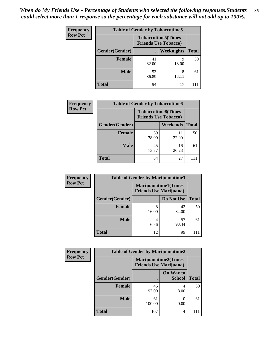| <b>Frequency</b> | <b>Table of Gender by Tobaccotime5</b> |             |                                                           |              |  |
|------------------|----------------------------------------|-------------|-----------------------------------------------------------|--------------|--|
| <b>Row Pct</b>   |                                        |             | <b>Tobaccotime5</b> (Times<br><b>Friends Use Tobacco)</b> |              |  |
|                  | Gender(Gender)                         |             | Weeknights                                                | <b>Total</b> |  |
|                  | <b>Female</b>                          | 41<br>82.00 | q<br>18.00                                                | 50           |  |
|                  | <b>Male</b>                            | 53<br>86.89 | 8<br>13.11                                                | 61           |  |
|                  | Total                                  | 94          | 17                                                        |              |  |

| Frequency      | <b>Table of Gender by Tobaccotime6</b> |                                                          |                 |              |
|----------------|----------------------------------------|----------------------------------------------------------|-----------------|--------------|
| <b>Row Pct</b> |                                        | <b>Tobaccotime6(Times</b><br><b>Friends Use Tobacco)</b> |                 |              |
|                | Gender(Gender)                         |                                                          | <b>Weekends</b> | <b>Total</b> |
|                | Female                                 | 39<br>78.00                                              | 11<br>22.00     | 50           |
|                | <b>Male</b>                            | 45<br>73.77                                              | 16<br>26.23     | 61           |
|                | <b>Total</b>                           | 84                                                       | 27              |              |

| Frequency      | <b>Table of Gender by Marijuanatime1</b> |                                                               |             |              |
|----------------|------------------------------------------|---------------------------------------------------------------|-------------|--------------|
| <b>Row Pct</b> |                                          | <b>Marijuanatime1(Times</b><br><b>Friends Use Marijuana</b> ) |             |              |
|                | Gender(Gender)                           |                                                               | Do Not Use  | <b>Total</b> |
|                | <b>Female</b>                            | 8<br>16.00                                                    | 42<br>84.00 | 50           |
|                | <b>Male</b>                              | 4<br>6.56                                                     | 57<br>93.44 | 61           |
|                | <b>Total</b>                             | 12                                                            | 99          |              |

| Frequency      | <b>Table of Gender by Marijuanatime2</b> |                                                               |                            |              |
|----------------|------------------------------------------|---------------------------------------------------------------|----------------------------|--------------|
| <b>Row Pct</b> |                                          | <b>Marijuanatime2(Times</b><br><b>Friends Use Marijuana</b> ) |                            |              |
|                | Gender(Gender)                           |                                                               | On Way to<br><b>School</b> | <b>Total</b> |
|                | <b>Female</b>                            | 46<br>92.00                                                   | 4<br>8.00                  | 50           |
|                | <b>Male</b>                              | 61<br>100.00                                                  | 0.00                       | 61           |
|                | <b>Total</b>                             | 107                                                           | 4                          |              |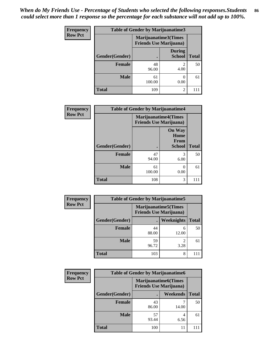| <b>Frequency</b> | Table of Gender by Marijuanatime3 |                                                        |                                |              |
|------------------|-----------------------------------|--------------------------------------------------------|--------------------------------|--------------|
| <b>Row Pct</b>   |                                   | Marijuanatime3(Times<br><b>Friends Use Marijuana</b> ) |                                |              |
|                  | Gender(Gender)                    | $\bullet$                                              | <b>During</b><br><b>School</b> | <b>Total</b> |
|                  | <b>Female</b>                     | 48<br>96.00                                            | $\mathfrak{D}$<br>4.00         | 50           |
|                  | <b>Male</b>                       | 61<br>100.00                                           | 0<br>0.00                      | 61           |
|                  | <b>Total</b>                      | 109                                                    | $\overline{2}$                 | 111          |

| Frequency      | <b>Table of Gender by Marijuanatime4</b> |                                                               |                                                       |              |
|----------------|------------------------------------------|---------------------------------------------------------------|-------------------------------------------------------|--------------|
| <b>Row Pct</b> |                                          | <b>Marijuanatime4(Times</b><br><b>Friends Use Marijuana</b> ) |                                                       |              |
|                | Gender(Gender)                           |                                                               | <b>On Way</b><br>Home<br><b>From</b><br><b>School</b> | <b>Total</b> |
|                | <b>Female</b>                            | 47<br>94.00                                                   | 3<br>6.00                                             | 50           |
|                | <b>Male</b>                              | 61<br>100.00                                                  | 0.00                                                  | 61           |
|                | <b>Total</b>                             | 108                                                           | 3                                                     | 111          |

| <b>Frequency</b> | <b>Table of Gender by Marijuanatime5</b> |             |                                                                |              |  |
|------------------|------------------------------------------|-------------|----------------------------------------------------------------|--------------|--|
| <b>Row Pct</b>   |                                          |             | <b>Marijuanatime5</b> (Times<br><b>Friends Use Marijuana</b> ) |              |  |
|                  | Gender(Gender)                           | ٠           | Weeknights                                                     | <b>Total</b> |  |
|                  | <b>Female</b>                            | 44<br>88.00 | 6<br>12.00                                                     | 50           |  |
|                  | <b>Male</b>                              | 59<br>96.72 | 2<br>3.28                                                      | 61           |  |
|                  | <b>Total</b>                             | 103         | 8                                                              |              |  |

| <b>Frequency</b> | <b>Table of Gender by Marijuanatime6</b> |                                                               |                 |              |  |
|------------------|------------------------------------------|---------------------------------------------------------------|-----------------|--------------|--|
| <b>Row Pct</b>   |                                          | <b>Marijuanatime6(Times</b><br><b>Friends Use Marijuana</b> ) |                 |              |  |
|                  | Gender(Gender)                           |                                                               | <b>Weekends</b> | <b>Total</b> |  |
|                  | <b>Female</b>                            | 43<br>86.00                                                   | 14.00           | 50           |  |
|                  | <b>Male</b>                              | 57<br>93.44                                                   | 6.56            | 61           |  |
|                  | <b>Total</b>                             | 100                                                           | 11              |              |  |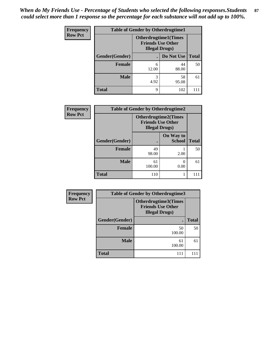| <b>Frequency</b> | <b>Table of Gender by Otherdrugtime1</b> |                                                        |                          |              |  |
|------------------|------------------------------------------|--------------------------------------------------------|--------------------------|--------------|--|
| <b>Row Pct</b>   |                                          | <b>Otherdrugtime1</b> (Times<br><b>Illegal Drugs</b> ) | <b>Friends Use Other</b> |              |  |
|                  | Gender(Gender)                           |                                                        | Do Not Use               | <b>Total</b> |  |
|                  | <b>Female</b>                            | 6<br>12.00                                             | 44<br>88.00              | 50           |  |
|                  | <b>Male</b>                              | 3<br>4.92                                              | 58<br>95.08              | 61           |  |
|                  | <b>Total</b>                             | 9                                                      | 102                      |              |  |

| Frequency      | <b>Table of Gender by Otherdrugtime2</b> |                                                                                   |                            |              |  |
|----------------|------------------------------------------|-----------------------------------------------------------------------------------|----------------------------|--------------|--|
| <b>Row Pct</b> |                                          | <b>Otherdrugtime2(Times</b><br><b>Friends Use Other</b><br><b>Illegal Drugs</b> ) |                            |              |  |
|                | Gender(Gender)                           |                                                                                   | On Way to<br><b>School</b> | <b>Total</b> |  |
|                | <b>Female</b>                            | 49<br>98.00                                                                       | 2.00                       | 50           |  |
|                | <b>Male</b>                              | 61<br>100.00                                                                      | 0.00                       | 61           |  |
|                | <b>Total</b>                             | 110                                                                               |                            |              |  |

| <b>Frequency</b> | Table of Gender by Otherdrugtime3 |                                                                                    |              |  |  |
|------------------|-----------------------------------|------------------------------------------------------------------------------------|--------------|--|--|
| <b>Row Pct</b>   |                                   | <b>Otherdrugtime3</b> (Times<br><b>Friends Use Other</b><br><b>Illegal Drugs</b> ) |              |  |  |
|                  | Gender(Gender)                    |                                                                                    | <b>Total</b> |  |  |
|                  | <b>Female</b>                     | 50<br>100.00                                                                       | 50           |  |  |
|                  | <b>Male</b>                       | 61<br>100.00                                                                       | 61           |  |  |
|                  | <b>Total</b>                      | 111                                                                                |              |  |  |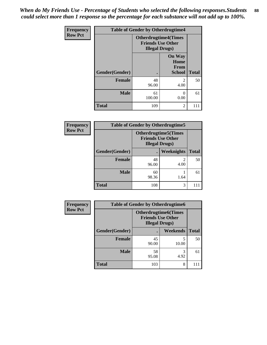*When do My Friends Use - Percentage of Students who selected the following responses.Students could select more than 1 response so the percentage for each substance will not add up to 100%.* **88**

| <b>Frequency</b> |                | <b>Table of Gender by Otherdrugtime4</b>           |                                                       |              |
|------------------|----------------|----------------------------------------------------|-------------------------------------------------------|--------------|
| <b>Row Pct</b>   |                | <b>Friends Use Other</b><br><b>Illegal Drugs</b> ) | <b>Otherdrugtime4(Times</b>                           |              |
|                  | Gender(Gender) |                                                    | <b>On Way</b><br>Home<br><b>From</b><br><b>School</b> | <b>Total</b> |
|                  | Female         | 48<br>96.00                                        | $\mathfrak{D}$<br>4.00                                | 50           |
|                  | <b>Male</b>    | 61<br>100.00                                       | 0.00                                                  | 61           |
|                  | <b>Total</b>   | 109                                                | 2                                                     | 111          |

| <b>Frequency</b> | <b>Table of Gender by Otherdrugtime5</b> |                                                                                    |            |              |  |
|------------------|------------------------------------------|------------------------------------------------------------------------------------|------------|--------------|--|
| <b>Row Pct</b>   |                                          | <b>Otherdrugtime5</b> (Times<br><b>Friends Use Other</b><br><b>Illegal Drugs</b> ) |            |              |  |
|                  | Gender(Gender)                           |                                                                                    | Weeknights | <b>Total</b> |  |
|                  | <b>Female</b>                            | 48<br>96.00                                                                        | 4.00       | 50           |  |
|                  | <b>Male</b>                              | 60<br>98.36                                                                        | 1.64       | 61           |  |
|                  | <b>Total</b>                             | 108                                                                                | 3          |              |  |

| <b>Frequency</b> | <b>Table of Gender by Otherdrugtime6</b> |                                                                                   |            |              |  |
|------------------|------------------------------------------|-----------------------------------------------------------------------------------|------------|--------------|--|
| <b>Row Pct</b>   |                                          | <b>Otherdrugtime6(Times</b><br><b>Friends Use Other</b><br><b>Illegal Drugs</b> ) |            |              |  |
|                  | Gender(Gender)                           |                                                                                   | Weekends   | <b>Total</b> |  |
|                  | <b>Female</b>                            | 45<br>90.00                                                                       | 5<br>10.00 | 50           |  |
|                  | <b>Male</b>                              | 58<br>95.08                                                                       | 3<br>4.92  | 61           |  |
|                  | <b>Total</b>                             | 103                                                                               | 8          | 111          |  |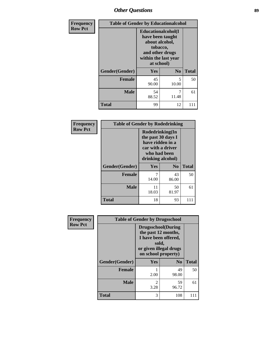# *Other Questions* **89**

| <b>Frequency</b> | <b>Table of Gender by Educationalcohol</b> |                                                                                                                                       |                |              |
|------------------|--------------------------------------------|---------------------------------------------------------------------------------------------------------------------------------------|----------------|--------------|
| <b>Row Pct</b>   |                                            | <b>Educationalcohol</b> (I<br>have been taught<br>about alcohol,<br>tobacco,<br>and other drugs<br>within the last year<br>at school) |                |              |
|                  | Gender(Gender)                             | <b>Yes</b>                                                                                                                            | N <sub>0</sub> | <b>Total</b> |
|                  | <b>Female</b>                              | 45<br>90.00                                                                                                                           | 5<br>10.00     | 50           |
|                  | <b>Male</b>                                | 54<br>88.52                                                                                                                           | 7<br>11.48     | 61           |
|                  | <b>Total</b>                               | 99                                                                                                                                    | 12             | 111          |

| Frequency      | <b>Table of Gender by Rodedrinking</b> |                                                                                                                     |             |              |  |
|----------------|----------------------------------------|---------------------------------------------------------------------------------------------------------------------|-------------|--------------|--|
| <b>Row Pct</b> |                                        | Rodedrinking(In<br>the past 30 days I<br>have ridden in a<br>car with a driver<br>who had been<br>drinking alcohol) |             |              |  |
|                | Gender(Gender)                         | Yes                                                                                                                 | $\bf N_0$   | <b>Total</b> |  |
|                | <b>Female</b>                          | 14.00                                                                                                               | 43<br>86.00 | 50           |  |
|                | <b>Male</b>                            | 11<br>18.03                                                                                                         | 50<br>81.97 | 61           |  |
|                | <b>Total</b>                           | 18                                                                                                                  | 93          | 111          |  |

| Frequency      | <b>Table of Gender by Drugsschool</b> |                                                                                                                                     |                |              |  |
|----------------|---------------------------------------|-------------------------------------------------------------------------------------------------------------------------------------|----------------|--------------|--|
| <b>Row Pct</b> |                                       | <b>Drugsschool</b> (During<br>the past 12 months,<br>I have been offered,<br>sold,<br>or given illegal drugs<br>on school property) |                |              |  |
|                | Gender(Gender)                        | <b>Yes</b>                                                                                                                          | N <sub>0</sub> | <b>Total</b> |  |
|                | <b>Female</b>                         | 2.00                                                                                                                                | 49<br>98.00    | 50           |  |
|                | <b>Male</b>                           | 2<br>3.28                                                                                                                           | 59<br>96.72    | 61           |  |
|                | <b>Total</b>                          | 3                                                                                                                                   | 108            |              |  |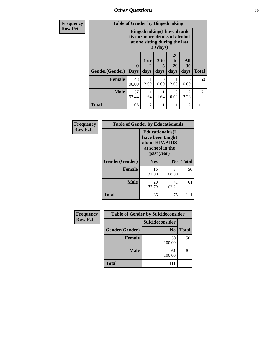*Other Questions* **90** 

| <b>Frequency</b> | <b>Table of Gender by Bingedrinking</b> |                                                                                                                   |                |                              |                        |                                     |              |
|------------------|-----------------------------------------|-------------------------------------------------------------------------------------------------------------------|----------------|------------------------------|------------------------|-------------------------------------|--------------|
| <b>Row Pct</b>   |                                         | <b>Bingedrinking(I have drunk</b><br>five or more drinks of alcohol<br>at one sitting during the last<br>30 days) |                |                              |                        |                                     |              |
|                  | Gender(Gender)                          | $\mathbf{0}$<br><b>Days</b>                                                                                       | 1 or<br>days   | 3 <sub>to</sub><br>5<br>days | 20<br>to<br>29<br>days | All<br>30<br>days                   | <b>Total</b> |
|                  | <b>Female</b>                           | 48<br>96.00                                                                                                       | 2.00           | 0<br>0.00                    | 2.00                   | 0<br>0.00                           | 50           |
|                  | <b>Male</b>                             | 57<br>93.44                                                                                                       | 1.64           | 1.64                         | $\Omega$<br>0.00       | $\mathcal{D}_{\mathcal{L}}$<br>3.28 | 61           |
|                  | <b>Total</b>                            | 105                                                                                                               | $\overline{2}$ | 1                            |                        | $\overline{c}$                      | 111          |

| Frequency      | <b>Table of Gender by Educationaids</b> |                                                                                                 |                |              |
|----------------|-----------------------------------------|-------------------------------------------------------------------------------------------------|----------------|--------------|
| <b>Row Pct</b> |                                         | <b>Educationaids</b> (I<br>have been taught<br>about HIV/AIDS<br>at school in the<br>past year) |                |              |
|                | Gender(Gender)                          | Yes                                                                                             | $\mathbf{N_0}$ | <b>Total</b> |
|                | <b>Female</b>                           | 16<br>32.00                                                                                     | 34<br>68.00    | 50           |
|                | <b>Male</b>                             | 20<br>32.79                                                                                     | 41<br>67.21    | 61           |
|                | <b>Total</b>                            | 36                                                                                              | 75             | 111          |

| Frequency      |                | <b>Table of Gender by Suicideconsider</b> |              |
|----------------|----------------|-------------------------------------------|--------------|
| <b>Row Pct</b> |                | Suicideconsider                           |              |
|                | Gender(Gender) | N <sub>0</sub>                            | <b>Total</b> |
|                | <b>Female</b>  | 50<br>100.00                              | 50           |
|                | <b>Male</b>    | 61<br>100.00                              | 61           |
|                | <b>Total</b>   | 111                                       |              |